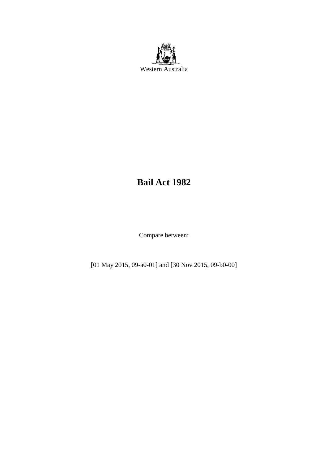

# **Bail Act 1982**

Compare between:

[01 May 2015, 09-a0-01] and [30 Nov 2015, 09-b0-00]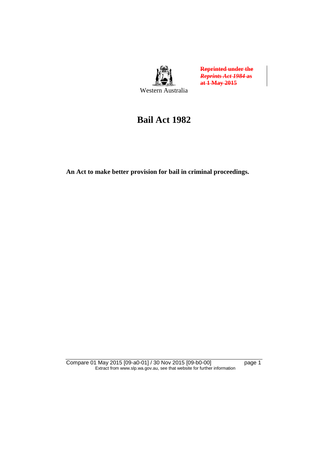

**Reprinted under the**  *Reprints Act 1984* **as at 1 May 2015**

# **Bail Act 1982**

**An Act to make better provision for bail in criminal proceedings.** 

Compare 01 May 2015 [09-a0-01] / 30 Nov 2015 [09-b0-00] page 1 Extract from www.slp.wa.gov.au, see that website for further information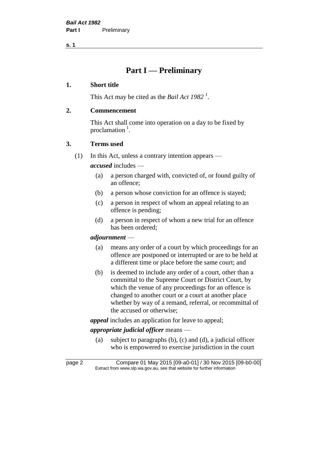# **Part I — Preliminary**

#### **1. Short title**

This Act may be cited as the *Bail Act* 1982<sup>1</sup>.

#### **2. Commencement**

This Act shall come into operation on a day to be fixed by proclamation<sup>1</sup>.

#### **3. Terms used**

(1) In this Act, unless a contrary intention appears —

*accused* includes —

- (a) a person charged with, convicted of, or found guilty of an offence;
- (b) a person whose conviction for an offence is stayed;
- (c) a person in respect of whom an appeal relating to an offence is pending;
- (d) a person in respect of whom a new trial for an offence has been ordered;

#### *adjournment* —

- (a) means any order of a court by which proceedings for an offence are postponed or interrupted or are to be held at a different time or place before the same court; and
- (b) is deemed to include any order of a court, other than a committal to the Supreme Court or District Court, by which the venue of any proceedings for an offence is changed to another court or a court at another place whether by way of a remand, referral, or recommittal of the accused or otherwise;

*appeal* includes an application for leave to appeal;

# *appropriate judicial officer* means —

(a) subject to paragraphs (b), (c) and (d), a judicial officer who is empowered to exercise jurisdiction in the court

page 2 Compare 01 May 2015 [09-a0-01] / 30 Nov 2015 [09-b0-00] Extract from www.slp.wa.gov.au, see that website for further information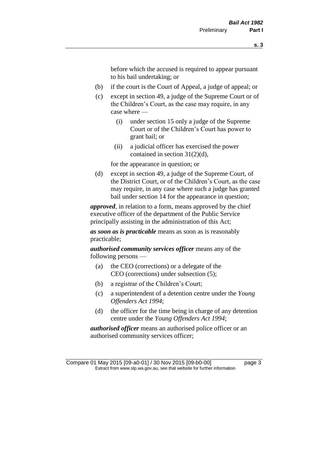before which the accused is required to appear pursuant to his bail undertaking; or

- (b) if the court is the Court of Appeal, a judge of appeal; or
- (c) except in section 49, a judge of the Supreme Court or of the Children's Court, as the case may require, in any case where —
	- (i) under section 15 only a judge of the Supreme Court or of the Children's Court has power to grant bail; or
	- (ii) a judicial officer has exercised the power contained in section 31(2)(d),

for the appearance in question; or

(d) except in section 49, a judge of the Supreme Court, of the District Court, or of the Children's Court, as the case may require, in any case where such a judge has granted bail under section 14 for the appearance in question;

*approved*, in relation to a form, means approved by the chief executive officer of the department of the Public Service principally assisting in the administration of this Act;

*as soon as is practicable* means as soon as is reasonably practicable;

*authorised community services officer* means any of the following persons —

- (a) the CEO (corrections) or a delegate of the CEO (corrections) under subsection (5);
- (b) a registrar of the Children's Court;
- (c) a superintendent of a detention centre under the *Young Offenders Act 1994*;
- (d) the officer for the time being in charge of any detention centre under the *Young Offenders Act 1994*;

*authorised officer* means an authorised police officer or an authorised community services officer;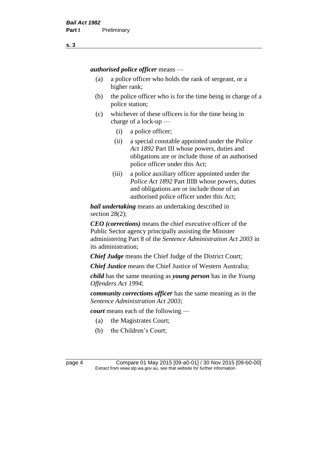*authorised police officer* means —

- (a) a police officer who holds the rank of sergeant, or a higher rank;
- (b) the police officer who is for the time being in charge of a police station;
- (c) whichever of these officers is for the time being in charge of a lock-up —
	- (i) a police officer;
	- (ii) a special constable appointed under the *Police Act 1892* Part III whose powers, duties and obligations are or include those of an authorised police officer under this Act;
	- (iii) a police auxiliary officer appointed under the *Police Act 1892* Part IIIB whose powers, duties and obligations are or include those of an authorised police officer under this Act;

*bail undertaking* means an undertaking described in section 28(2);

*CEO (corrections)* means the chief executive officer of the Public Sector agency principally assisting the Minister administering Part 8 of the *Sentence Administration Act 2003* in its administration;

*Chief Judge* means the Chief Judge of the District Court;

*Chief Justice* means the Chief Justice of Western Australia;

*child* has the same meaning as *young person* has in the *Young Offenders Act 1994*;

*community corrections officer* has the same meaning as in the *Sentence Administration Act 2003*;

*court* means each of the following —

- (a) the Magistrates Court;
- (b) the Children's Court;

page 4 Compare 01 May 2015 [09-a0-01] / 30 Nov 2015 [09-b0-00] Extract from www.slp.wa.gov.au, see that website for further information

**s. 3**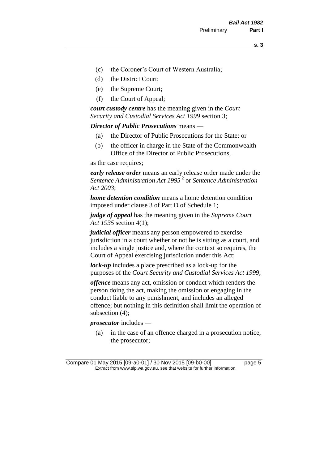- (c) the Coroner's Court of Western Australia;
- (d) the District Court;
- (e) the Supreme Court;
- (f) the Court of Appeal;

*court custody centre* has the meaning given in the *Court Security and Custodial Services Act 1999* section 3;

*Director of Public Prosecutions* means —

- (a) the Director of Public Prosecutions for the State; or
- (b) the officer in charge in the State of the Commonwealth Office of the Director of Public Prosecutions,

as the case requires;

*early release order* means an early release order made under the *Sentence Administration Act 1995* <sup>2</sup> or *Sentence Administration Act 2003*;

*home detention condition* means a home detention condition imposed under clause 3 of Part D of Schedule 1;

*judge of appeal* has the meaning given in the *Supreme Court Act 1935* section 4(1);

*judicial officer* means any person empowered to exercise jurisdiction in a court whether or not he is sitting as a court, and includes a single justice and, where the context so requires, the Court of Appeal exercising jurisdiction under this Act;

*lock-up* includes a place prescribed as a lock-up for the purposes of the *Court Security and Custodial Services Act 1999*;

*offence* means any act, omission or conduct which renders the person doing the act, making the omission or engaging in the conduct liable to any punishment, and includes an alleged offence; but nothing in this definition shall limit the operation of subsection (4);

*prosecutor* includes —

(a) in the case of an offence charged in a prosecution notice, the prosecutor;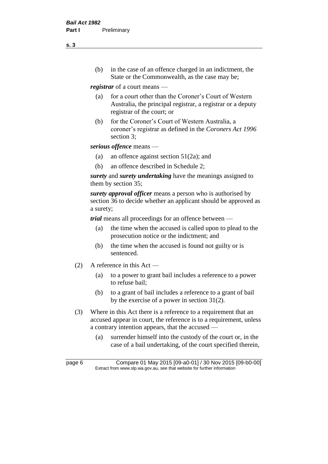(b) in the case of an offence charged in an indictment, the State or the Commonwealth, as the case may be;

*registrar* of a court means —

- (a) for a court other than the Coroner's Court of Western Australia, the principal registrar, a registrar or a deputy registrar of the court; or
- (b) for the Coroner's Court of Western Australia, a coroner's registrar as defined in the *Coroners Act 1996* section 3;

*serious offence* means —

- (a) an offence against section 51(2a); and
- (b) an offence described in Schedule 2;

*surety* and *surety undertaking* have the meanings assigned to them by section 35;

*surety approval officer* means a person who is authorised by section 36 to decide whether an applicant should be approved as a surety;

*trial* means all proceedings for an offence between —

- (a) the time when the accused is called upon to plead to the prosecution notice or the indictment; and
- (b) the time when the accused is found not guilty or is sentenced.
- (2) A reference in this Act
	- (a) to a power to grant bail includes a reference to a power to refuse bail;
	- (b) to a grant of bail includes a reference to a grant of bail by the exercise of a power in section 31(2).
- (3) Where in this Act there is a reference to a requirement that an accused appear in court, the reference is to a requirement, unless a contrary intention appears, that the accused —
	- (a) surrender himself into the custody of the court or, in the case of a bail undertaking, of the court specified therein,

**s. 3**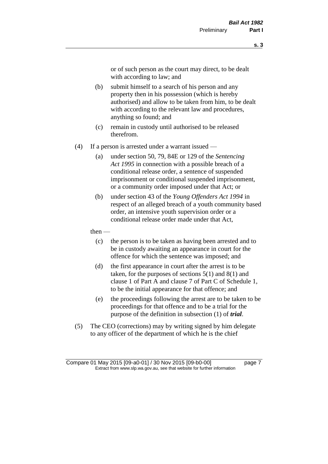or of such person as the court may direct, to be dealt with according to law; and

- (b) submit himself to a search of his person and any property then in his possession (which is hereby authorised) and allow to be taken from him, to be dealt with according to the relevant law and procedures, anything so found; and
- (c) remain in custody until authorised to be released therefrom.
- (4) If a person is arrested under a warrant issued
	- (a) under section 50, 79, 84E or 129 of the *Sentencing Act 1995* in connection with a possible breach of a conditional release order, a sentence of suspended imprisonment or conditional suspended imprisonment, or a community order imposed under that Act; or
	- (b) under section 43 of the *Young Offenders Act 1994* in respect of an alleged breach of a youth community based order, an intensive youth supervision order or a conditional release order made under that Act,
	- then
		- (c) the person is to be taken as having been arrested and to be in custody awaiting an appearance in court for the offence for which the sentence was imposed; and
		- (d) the first appearance in court after the arrest is to be taken, for the purposes of sections  $5(1)$  and  $8(1)$  and clause 1 of Part A and clause 7 of Part C of Schedule 1, to be the initial appearance for that offence; and
		- (e) the proceedings following the arrest are to be taken to be proceedings for that offence and to be a trial for the purpose of the definition in subsection (1) of *trial*.
- (5) The CEO (corrections) may by writing signed by him delegate to any officer of the department of which he is the chief

Compare 01 May 2015 [09-a0-01] / 30 Nov 2015 [09-b0-00] page 7 Extract from www.slp.wa.gov.au, see that website for further information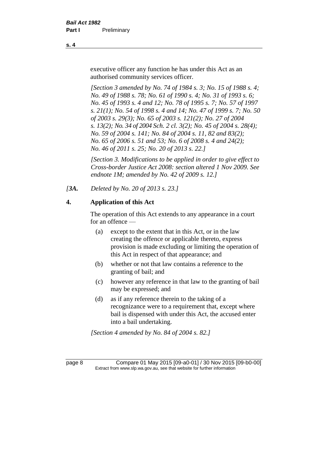executive officer any function he has under this Act as an authorised community services officer.

*[Section 3 amended by No. 74 of 1984 s. 3; No. 15 of 1988 s. 4; No. 49 of 1988 s. 78; No. 61 of 1990 s. 4; No. 31 of 1993 s. 6; No. 45 of 1993 s. 4 and 12; No. 78 of 1995 s. 7; No. 57 of 1997 s. 21(1); No. 54 of 1998 s. 4 and 14; No. 47 of 1999 s. 7; No. 50 of 2003 s. 29(3); No. 65 of 2003 s. 121(2); No. 27 of 2004 s. 13(2); No. 34 of 2004 Sch. 2 cl. 3(2); No. 45 of 2004 s. 28(4); No. 59 of 2004 s. 141; No. 84 of 2004 s. 11, 82 and 83(2); No. 65 of 2006 s. 51 and 53; No. 6 of 2008 s. 4 and 24(2); No. 46 of 2011 s. 25; No. 20 of 2013 s. 22.]* 

*[Section 3. Modifications to be applied in order to give effect to Cross-border Justice Act 2008: section altered 1 Nov 2009. See endnote 1M; amended by No. 42 of 2009 s. 12.]*

*[3A. Deleted by No. 20 of 2013 s. 23.]*

# **4. Application of this Act**

The operation of this Act extends to any appearance in a court for an offence —

- (a) except to the extent that in this Act, or in the law creating the offence or applicable thereto, express provision is made excluding or limiting the operation of this Act in respect of that appearance; and
- (b) whether or not that law contains a reference to the granting of bail; and
- (c) however any reference in that law to the granting of bail may be expressed; and
- (d) as if any reference therein to the taking of a recognizance were to a requirement that, except where bail is dispensed with under this Act, the accused enter into a bail undertaking.

*[Section 4 amended by No. 84 of 2004 s. 82.]*

page 8 Compare 01 May 2015 [09-a0-01] / 30 Nov 2015 [09-b0-00] Extract from www.slp.wa.gov.au, see that website for further information

**s. 4**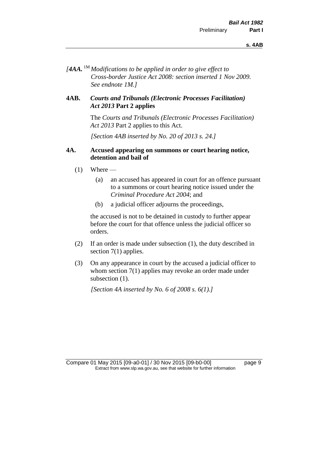*[4AA.* 1M *Modifications to be applied in order to give effect to Cross-border Justice Act 2008: section inserted 1 Nov 2009. See endnote 1M.]*

#### **4AB.** *Courts and Tribunals (Electronic Processes Facilitation) Act 2013* **Part 2 applies**

The *Courts and Tribunals (Electronic Processes Facilitation) Act 2013* Part 2 applies to this Act.

*[Section 4AB inserted by No. 20 of 2013 s. 24.]*

#### **4A. Accused appearing on summons or court hearing notice, detention and bail of**

- $(1)$  Where
	- (a) an accused has appeared in court for an offence pursuant to a summons or court hearing notice issued under the *Criminal Procedure Act 2004*; and
	- (b) a judicial officer adjourns the proceedings,

the accused is not to be detained in custody to further appear before the court for that offence unless the judicial officer so orders.

- (2) If an order is made under subsection (1), the duty described in section 7(1) applies.
- (3) On any appearance in court by the accused a judicial officer to whom section 7(1) applies may revoke an order made under subsection  $(1)$ .

*[Section 4A inserted by No. 6 of 2008 s. 6(1).]*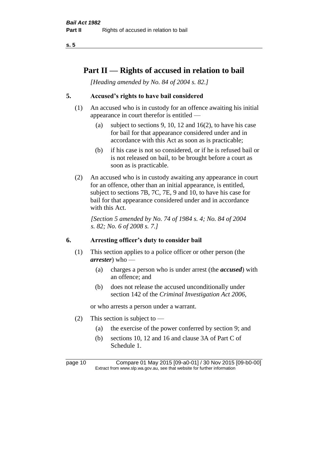# **Part II — Rights of accused in relation to bail**

*[Heading amended by No. 84 of 2004 s. 82.]* 

# **5. Accused's rights to have bail considered**

- (1) An accused who is in custody for an offence awaiting his initial appearance in court therefor is entitled —
	- (a) subject to sections 9, 10, 12 and 16(2), to have his case for bail for that appearance considered under and in accordance with this Act as soon as is practicable;
	- (b) if his case is not so considered, or if he is refused bail or is not released on bail, to be brought before a court as soon as is practicable.
- (2) An accused who is in custody awaiting any appearance in court for an offence, other than an initial appearance, is entitled, subject to sections 7B, 7C, 7E, 9 and 10, to have his case for bail for that appearance considered under and in accordance with this Act.

*[Section 5 amended by No. 74 of 1984 s. 4; No. 84 of 2004 s. 82; No. 6 of 2008 s. 7.]* 

# **6. Arresting officer's duty to consider bail**

- (1) This section applies to a police officer or other person (the *arrester*) who —
	- (a) charges a person who is under arrest (the *accused*) with an offence; and
	- (b) does not release the accused unconditionally under section 142 of the *Criminal Investigation Act 2006*,

or who arrests a person under a warrant.

- (2) This section is subject to
	- (a) the exercise of the power conferred by section 9; and
	- (b) sections 10, 12 and 16 and clause 3A of Part C of Schedule 1.

page 10 Compare 01 May 2015 [09-a0-01] / 30 Nov 2015 [09-b0-00] Extract from www.slp.wa.gov.au, see that website for further information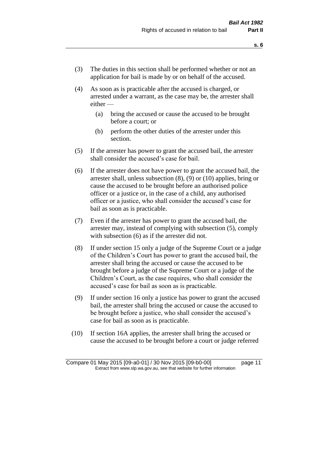- (3) The duties in this section shall be performed whether or not an application for bail is made by or on behalf of the accused.
- (4) As soon as is practicable after the accused is charged, or arrested under a warrant, as the case may be, the arrester shall either —
	- (a) bring the accused or cause the accused to be brought before a court; or
	- (b) perform the other duties of the arrester under this section.
- (5) If the arrester has power to grant the accused bail, the arrester shall consider the accused's case for bail.
- (6) If the arrester does not have power to grant the accused bail, the arrester shall, unless subsection (8), (9) or (10) applies, bring or cause the accused to be brought before an authorised police officer or a justice or, in the case of a child, any authorised officer or a justice, who shall consider the accused's case for bail as soon as is practicable.
- (7) Even if the arrester has power to grant the accused bail, the arrester may, instead of complying with subsection (5), comply with subsection  $(6)$  as if the arrester did not.
- (8) If under section 15 only a judge of the Supreme Court or a judge of the Children's Court has power to grant the accused bail, the arrester shall bring the accused or cause the accused to be brought before a judge of the Supreme Court or a judge of the Children's Court, as the case requires, who shall consider the accused's case for bail as soon as is practicable.
- (9) If under section 16 only a justice has power to grant the accused bail, the arrester shall bring the accused or cause the accused to be brought before a justice, who shall consider the accused's case for bail as soon as is practicable.
- (10) If section 16A applies, the arrester shall bring the accused or cause the accused to be brought before a court or judge referred

Compare 01 May 2015 [09-a0-01] / 30 Nov 2015 [09-b0-00] page 11 Extract from www.slp.wa.gov.au, see that website for further information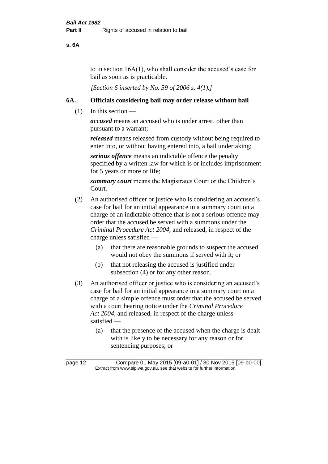**s. 6A**

to in section 16A(1), who shall consider the accused's case for bail as soon as is practicable.

*[Section 6 inserted by No. 59 of 2006 s. 4(1).]* 

#### **6A. Officials considering bail may order release without bail**

(1) In this section —

*accused* means an accused who is under arrest, other than pursuant to a warrant;

*released* means released from custody without being required to enter into, or without having entered into, a bail undertaking;

*serious offence* means an indictable offence the penalty specified by a written law for which is or includes imprisonment for 5 years or more or life;

*summary court* means the Magistrates Court or the Children's Court.

- (2) An authorised officer or justice who is considering an accused's case for bail for an initial appearance in a summary court on a charge of an indictable offence that is not a serious offence may order that the accused be served with a summons under the *Criminal Procedure Act 2004*, and released, in respect of the charge unless satisfied —
	- (a) that there are reasonable grounds to suspect the accused would not obey the summons if served with it; or
	- (b) that not releasing the accused is justified under subsection (4) or for any other reason.
- (3) An authorised officer or justice who is considering an accused's case for bail for an initial appearance in a summary court on a charge of a simple offence must order that the accused be served with a court hearing notice under the *Criminal Procedure Act 2004*, and released, in respect of the charge unless satisfied —
	- (a) that the presence of the accused when the charge is dealt with is likely to be necessary for any reason or for sentencing purposes; or

page 12 Compare 01 May 2015 [09-a0-01] / 30 Nov 2015 [09-b0-00] Extract from www.slp.wa.gov.au, see that website for further information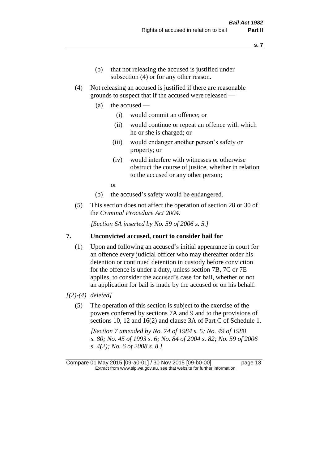- (b) that not releasing the accused is justified under subsection (4) or for any other reason.
- (4) Not releasing an accused is justified if there are reasonable grounds to suspect that if the accused were released —
	- (a) the accused
		- (i) would commit an offence; or
		- (ii) would continue or repeat an offence with which he or she is charged; or
		- (iii) would endanger another person's safety or property; or
		- (iv) would interfere with witnesses or otherwise obstruct the course of justice, whether in relation to the accused or any other person;

or

- (b) the accused's safety would be endangered.
- (5) This section does not affect the operation of section 28 or 30 of the *Criminal Procedure Act 2004*.

*[Section 6A inserted by No. 59 of 2006 s. 5.]* 

#### **7. Unconvicted accused, court to consider bail for**

- (1) Upon and following an accused's initial appearance in court for an offence every judicial officer who may thereafter order his detention or continued detention in custody before conviction for the offence is under a duty, unless section 7B, 7C or 7E applies, to consider the accused's case for bail, whether or not an application for bail is made by the accused or on his behalf.
- *[(2)-(4) deleted]*
	- (5) The operation of this section is subject to the exercise of the powers conferred by sections 7A and 9 and to the provisions of sections 10, 12 and 16(2) and clause 3A of Part C of Schedule 1.

*[Section 7 amended by No. 74 of 1984 s. 5; No. 49 of 1988 s. 80; No. 45 of 1993 s. 6; No. 84 of 2004 s. 82; No. 59 of 2006 s. 4(2); No. 6 of 2008 s. 8.]*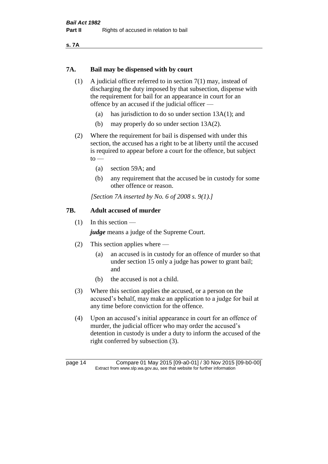**s. 7A**

#### **7A. Bail may be dispensed with by court**

- (1) A judicial officer referred to in section 7(1) may, instead of discharging the duty imposed by that subsection, dispense with the requirement for bail for an appearance in court for an offence by an accused if the judicial officer —
	- (a) has jurisdiction to do so under section 13A(1); and
	- (b) may properly do so under section 13A(2).
- (2) Where the requirement for bail is dispensed with under this section, the accused has a right to be at liberty until the accused is required to appear before a court for the offence, but subject  $to$ 
	- (a) section 59A; and
	- (b) any requirement that the accused be in custody for some other offence or reason.

*[Section 7A inserted by No. 6 of 2008 s. 9(1).]*

#### **7B. Adult accused of murder**

(1) In this section —

*judge* means a judge of the Supreme Court.

- (2) This section applies where
	- (a) an accused is in custody for an offence of murder so that under section 15 only a judge has power to grant bail; and
	- (b) the accused is not a child.
- (3) Where this section applies the accused, or a person on the accused's behalf, may make an application to a judge for bail at any time before conviction for the offence.
- (4) Upon an accused's initial appearance in court for an offence of murder, the judicial officer who may order the accused's detention in custody is under a duty to inform the accused of the right conferred by subsection (3).

page 14 Compare 01 May 2015 [09-a0-01] / 30 Nov 2015 [09-b0-00] Extract from www.slp.wa.gov.au, see that website for further information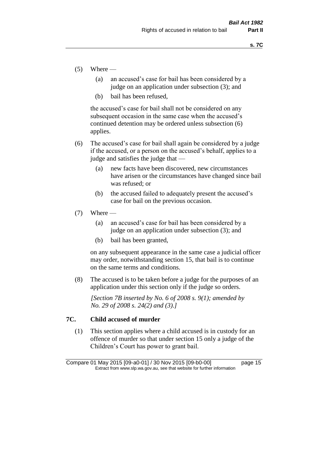- $(5)$  Where
	- (a) an accused's case for bail has been considered by a judge on an application under subsection (3); and
	- (b) bail has been refused,

the accused's case for bail shall not be considered on any subsequent occasion in the same case when the accused's continued detention may be ordered unless subsection (6) applies.

- (6) The accused's case for bail shall again be considered by a judge if the accused, or a person on the accused's behalf, applies to a judge and satisfies the judge that —
	- (a) new facts have been discovered, new circumstances have arisen or the circumstances have changed since bail was refused; or
	- (b) the accused failed to adequately present the accused's case for bail on the previous occasion.
- $(7)$  Where
	- (a) an accused's case for bail has been considered by a judge on an application under subsection (3); and
	- (b) bail has been granted,

on any subsequent appearance in the same case a judicial officer may order, notwithstanding section 15, that bail is to continue on the same terms and conditions.

(8) The accused is to be taken before a judge for the purposes of an application under this section only if the judge so orders.

*[Section 7B inserted by No. 6 of 2008 s. 9(1); amended by No. 29 of 2008 s. 24(2) and (3).]*

#### **7C. Child accused of murder**

(1) This section applies where a child accused is in custody for an offence of murder so that under section 15 only a judge of the Children's Court has power to grant bail.

Compare 01 May 2015 [09-a0-01] / 30 Nov 2015 [09-b0-00] page 15 Extract from www.slp.wa.gov.au, see that website for further information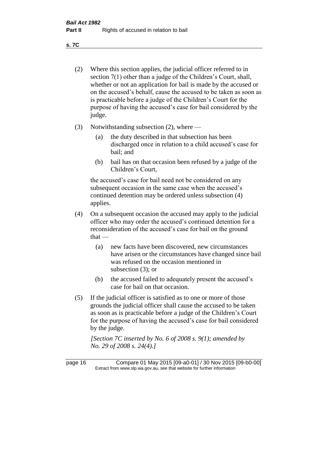**s. 7C**

- (2) Where this section applies, the judicial officer referred to in section 7(1) other than a judge of the Children's Court, shall, whether or not an application for bail is made by the accused or on the accused's behalf, cause the accused to be taken as soon as is practicable before a judge of the Children's Court for the purpose of having the accused's case for bail considered by the judge.
- (3) Notwithstanding subsection (2), where
	- (a) the duty described in that subsection has been discharged once in relation to a child accused's case for bail; and
	- (b) bail has on that occasion been refused by a judge of the Children's Court,

the accused's case for bail need not be considered on any subsequent occasion in the same case when the accused's continued detention may be ordered unless subsection (4) applies.

- (4) On a subsequent occasion the accused may apply to the judicial officer who may order the accused's continued detention for a reconsideration of the accused's case for bail on the ground  $that -$ 
	- (a) new facts have been discovered, new circumstances have arisen or the circumstances have changed since bail was refused on the occasion mentioned in subsection (3); or
	- (b) the accused failed to adequately present the accused's case for bail on that occasion.
- (5) If the judicial officer is satisfied as to one or more of those grounds the judicial officer shall cause the accused to be taken as soon as is practicable before a judge of the Children's Court for the purpose of having the accused's case for bail considered by the judge.

*[Section 7C inserted by No. 6 of 2008 s. 9(1); amended by No. 29 of 2008 s. 24(4).]*

page 16 Compare 01 May 2015 [09-a0-01] / 30 Nov 2015 [09-b0-00] Extract from www.slp.wa.gov.au, see that website for further information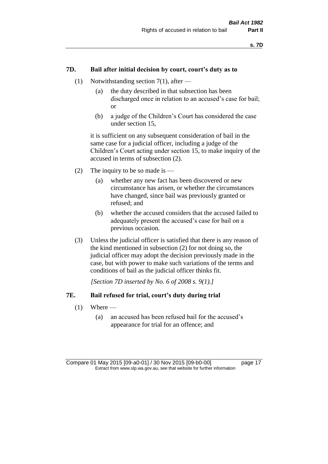#### **7D. Bail after initial decision by court, court's duty as to**

- (1) Notwithstanding section 7(1), after
	- (a) the duty described in that subsection has been discharged once in relation to an accused's case for bail; or
	- (b) a judge of the Children's Court has considered the case under section 15,

it is sufficient on any subsequent consideration of bail in the same case for a judicial officer, including a judge of the Children's Court acting under section 15, to make inquiry of the accused in terms of subsection (2).

- (2) The inquiry to be so made is  $-$ 
	- (a) whether any new fact has been discovered or new circumstance has arisen, or whether the circumstances have changed, since bail was previously granted or refused; and
	- (b) whether the accused considers that the accused failed to adequately present the accused's case for bail on a previous occasion.
- (3) Unless the judicial officer is satisfied that there is any reason of the kind mentioned in subsection (2) for not doing so, the judicial officer may adopt the decision previously made in the case, but with power to make such variations of the terms and conditions of bail as the judicial officer thinks fit.

*[Section 7D inserted by No. 6 of 2008 s. 9(1).]*

#### **7E. Bail refused for trial, court's duty during trial**

- $(1)$  Where
	- (a) an accused has been refused bail for the accused's appearance for trial for an offence; and

Compare 01 May 2015 [09-a0-01] / 30 Nov 2015 [09-b0-00] page 17 Extract from www.slp.wa.gov.au, see that website for further information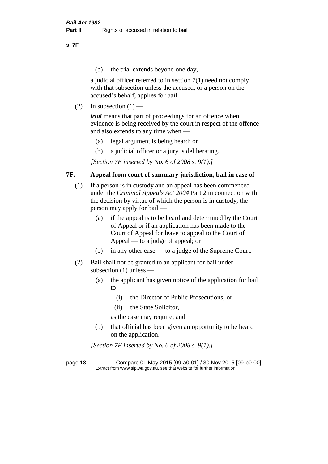**s. 7F**

(b) the trial extends beyond one day,

a judicial officer referred to in section 7(1) need not comply with that subsection unless the accused, or a person on the accused's behalf, applies for bail.

(2) In subsection  $(1)$  —

*trial* means that part of proceedings for an offence when evidence is being received by the court in respect of the offence and also extends to any time when —

- (a) legal argument is being heard; or
- (b) a judicial officer or a jury is deliberating.

*[Section 7E inserted by No. 6 of 2008 s. 9(1).]*

#### **7F. Appeal from court of summary jurisdiction, bail in case of**

- (1) If a person is in custody and an appeal has been commenced under the *Criminal Appeals Act 2004* Part 2 in connection with the decision by virtue of which the person is in custody, the person may apply for bail —
	- (a) if the appeal is to be heard and determined by the Court of Appeal or if an application has been made to the Court of Appeal for leave to appeal to the Court of Appeal — to a judge of appeal; or
	- (b) in any other case to a judge of the Supreme Court.
- (2) Bail shall not be granted to an applicant for bail under subsection (1) unless —
	- (a) the applicant has given notice of the application for bail  $to -$ 
		- (i) the Director of Public Prosecutions; or
		- (ii) the State Solicitor,
		- as the case may require; and
	- (b) that official has been given an opportunity to be heard on the application.

*[Section 7F inserted by No. 6 of 2008 s. 9(1).]*

page 18 Compare 01 May 2015 [09-a0-01] / 30 Nov 2015 [09-b0-00] Extract from www.slp.wa.gov.au, see that website for further information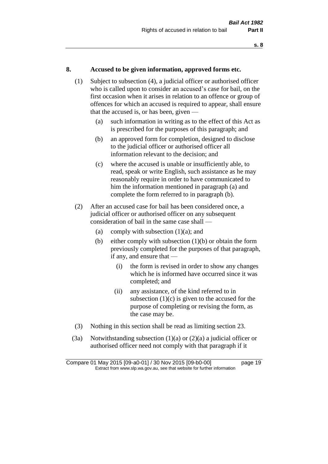#### **8. Accused to be given information, approved forms etc.**

- (1) Subject to subsection (4), a judicial officer or authorised officer who is called upon to consider an accused's case for bail, on the first occasion when it arises in relation to an offence or group of offences for which an accused is required to appear, shall ensure that the accused is, or has been, given —
	- (a) such information in writing as to the effect of this Act as is prescribed for the purposes of this paragraph; and
	- (b) an approved form for completion, designed to disclose to the judicial officer or authorised officer all information relevant to the decision; and
	- (c) where the accused is unable or insufficiently able, to read, speak or write English, such assistance as he may reasonably require in order to have communicated to him the information mentioned in paragraph (a) and complete the form referred to in paragraph (b).
- (2) After an accused case for bail has been considered once, a judicial officer or authorised officer on any subsequent consideration of bail in the same case shall —
	- (a) comply with subsection  $(1)(a)$ ; and
	- (b) either comply with subsection  $(1)(b)$  or obtain the form previously completed for the purposes of that paragraph, if any, and ensure that —
		- (i) the form is revised in order to show any changes which he is informed have occurred since it was completed; and
		- (ii) any assistance, of the kind referred to in subsection  $(1)(c)$  is given to the accused for the purpose of completing or revising the form, as the case may be.
- (3) Nothing in this section shall be read as limiting section 23.
- (3a) Notwithstanding subsection  $(1)(a)$  or  $(2)(a)$  a judicial officer or authorised officer need not comply with that paragraph if it

Compare 01 May 2015 [09-a0-01] / 30 Nov 2015 [09-b0-00] page 19 Extract from www.slp.wa.gov.au, see that website for further information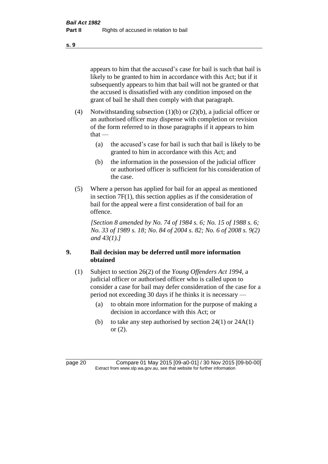appears to him that the accused's case for bail is such that bail is likely to be granted to him in accordance with this Act; but if it subsequently appears to him that bail will not be granted or that the accused is dissatisfied with any condition imposed on the grant of bail he shall then comply with that paragraph.

- (4) Notwithstanding subsection (1)(b) or (2)(b), a judicial officer or an authorised officer may dispense with completion or revision of the form referred to in those paragraphs if it appears to him  $that -$ 
	- (a) the accused's case for bail is such that bail is likely to be granted to him in accordance with this Act; and
	- (b) the information in the possession of the judicial officer or authorised officer is sufficient for his consideration of the case.
- (5) Where a person has applied for bail for an appeal as mentioned in section 7F(1), this section applies as if the consideration of bail for the appeal were a first consideration of bail for an offence.

*[Section 8 amended by No. 74 of 1984 s. 6; No. 15 of 1988 s. 6; No. 33 of 1989 s. 18; No. 84 of 2004 s. 82; No. 6 of 2008 s. 9(2) and 43(1).]* 

#### **9. Bail decision may be deferred until more information obtained**

- (1) Subject to section 26(2) of the *Young Offenders Act 1994*, a judicial officer or authorised officer who is called upon to consider a case for bail may defer consideration of the case for a period not exceeding 30 days if he thinks it is necessary —
	- (a) to obtain more information for the purpose of making a decision in accordance with this Act; or
	- (b) to take any step authorised by section  $24(1)$  or  $24A(1)$ or (2).

page 20 Compare 01 May 2015 [09-a0-01] / 30 Nov 2015 [09-b0-00] Extract from www.slp.wa.gov.au, see that website for further information

**s. 9**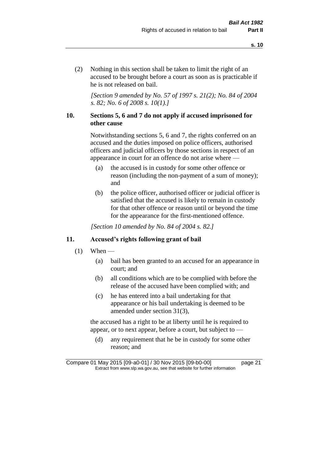(2) Nothing in this section shall be taken to limit the right of an accused to be brought before a court as soon as is practicable if he is not released on bail.

*[Section 9 amended by No. 57 of 1997 s. 21(2); No. 84 of 2004 s. 82; No. 6 of 2008 s. 10(1).]*

#### **10. Sections 5, 6 and 7 do not apply if accused imprisoned for other cause**

Notwithstanding sections 5, 6 and 7, the rights conferred on an accused and the duties imposed on police officers, authorised officers and judicial officers by those sections in respect of an appearance in court for an offence do not arise where —

- (a) the accused is in custody for some other offence or reason (including the non-payment of a sum of money); and
- (b) the police officer, authorised officer or judicial officer is satisfied that the accused is likely to remain in custody for that other offence or reason until or beyond the time for the appearance for the first-mentioned offence.

*[Section 10 amended by No. 84 of 2004 s. 82.]*

#### **11. Accused's rights following grant of bail**

- $(1)$  When
	- (a) bail has been granted to an accused for an appearance in court; and
	- (b) all conditions which are to be complied with before the release of the accused have been complied with; and
	- (c) he has entered into a bail undertaking for that appearance or his bail undertaking is deemed to be amended under section 31(3),

the accused has a right to be at liberty until he is required to appear, or to next appear, before a court, but subject to —

(d) any requirement that he be in custody for some other reason; and

Compare 01 May 2015 [09-a0-01] / 30 Nov 2015 [09-b0-00] page 21 Extract from www.slp.wa.gov.au, see that website for further information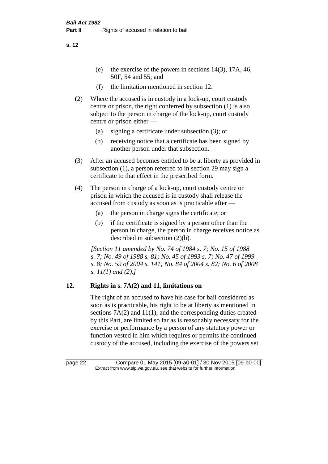- (e) the exercise of the powers in sections 14(3), 17A, 46, 50F, 54 and 55; and
- (f) the limitation mentioned in section 12.
- (2) Where the accused is in custody in a lock-up, court custody centre or prison, the right conferred by subsection (1) is also subject to the person in charge of the lock-up, court custody centre or prison either —
	- (a) signing a certificate under subsection (3); or
	- (b) receiving notice that a certificate has been signed by another person under that subsection.
- (3) After an accused becomes entitled to be at liberty as provided in subsection (1), a person referred to in section 29 may sign a certificate to that effect in the prescribed form.
- (4) The person in charge of a lock-up, court custody centre or prison in which the accused is in custody shall release the accused from custody as soon as is practicable after —
	- (a) the person in charge signs the certificate; or
	- (b) if the certificate is signed by a person other than the person in charge, the person in charge receives notice as described in subsection (2)(b).

*[Section 11 amended by No. 74 of 1984 s. 7; No. 15 of 1988 s. 7; No. 49 of 1988 s. 81; No. 45 of 1993 s. 7; No. 47 of 1999 s. 8; No. 59 of 2004 s. 141; No. 84 of 2004 s. 82; No. 6 of 2008 s. 11(1) and (2).]* 

# **12. Rights in s. 7A(2) and 11, limitations on**

The right of an accused to have his case for bail considered as soon as is practicable, his right to be at liberty as mentioned in sections 7A(2) and 11(1), and the corresponding duties created by this Part, are limited so far as is reasonably necessary for the exercise or performance by a person of any statutory power or function vested in him which requires or permits the continued custody of the accused, including the exercise of the powers set

page 22 Compare 01 May 2015 [09-a0-01] / 30 Nov 2015 [09-b0-00] Extract from www.slp.wa.gov.au, see that website for further information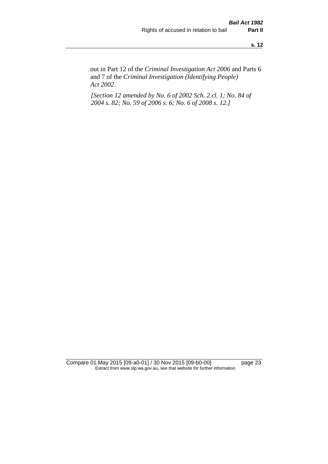out in Part 12 of the *Criminal Investigation Act 2006* and Parts 6 and 7 of the *Criminal Investigation (Identifying People) Act 2002*.

*[Section 12 amended by No. 6 of 2002 Sch. 2 cl. 1; No. 84 of 2004 s. 82; No. 59 of 2006 s. 6; No. 6 of 2008 s. 12.]*

Compare 01 May 2015 [09-a0-01] / 30 Nov 2015 [09-b0-00] page 23 Extract from www.slp.wa.gov.au, see that website for further information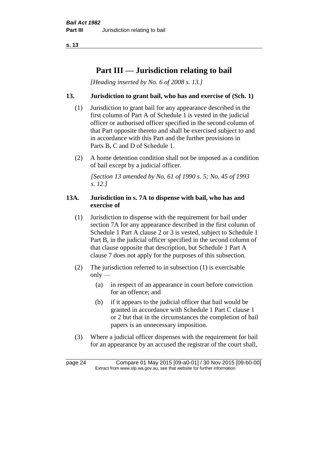# **Part III — Jurisdiction relating to bail**

*[Heading inserted by No. 6 of 2008 s. 13.]*

### **13. Jurisdiction to grant bail, who has and exercise of (Sch. 1)**

- (1) Jurisdiction to grant bail for any appearance described in the first column of Part A of Schedule 1 is vested in the judicial officer or authorised officer specified in the second column of that Part opposite thereto and shall be exercised subject to and in accordance with this Part and the further provisions in Parts B, C and D of Schedule 1.
- (2) A home detention condition shall not be imposed as a condition of bail except by a judicial officer.

*[Section 13 amended by No. 61 of 1990 s. 5; No. 45 of 1993 s. 12.]* 

#### **13A. Jurisdiction in s. 7A to dispense with bail, who has and exercise of**

- (1) Jurisdiction to dispense with the requirement for bail under section 7A for any appearance described in the first column of Schedule 1 Part A clause 2 or 3 is vested, subject to Schedule 1 Part B, in the judicial officer specified in the second column of that clause opposite that description, but Schedule 1 Part A clause 7 does not apply for the purposes of this subsection.
- (2) The jurisdiction referred to in subsection (1) is exercisable  $only$ —
	- (a) in respect of an appearance in court before conviction for an offence; and
	- (b) if it appears to the judicial officer that bail would be granted in accordance with Schedule 1 Part C clause 1 or 2 but that in the circumstances the completion of bail papers is an unnecessary imposition.
- (3) Where a judicial officer dispenses with the requirement for bail for an appearance by an accused the registrar of the court shall,

page 24 Compare 01 May 2015 [09-a0-01] / 30 Nov 2015 [09-b0-00] Extract from www.slp.wa.gov.au, see that website for further information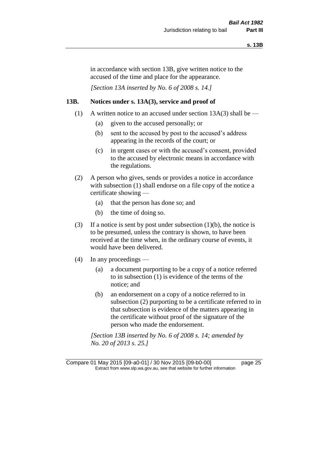in accordance with section 13B, give written notice to the accused of the time and place for the appearance.

*[Section 13A inserted by No. 6 of 2008 s. 14.]*

#### **13B. Notices under s. 13A(3), service and proof of**

- (1) A written notice to an accused under section  $13A(3)$  shall be
	- (a) given to the accused personally; or
	- (b) sent to the accused by post to the accused's address appearing in the records of the court; or
	- (c) in urgent cases or with the accused's consent, provided to the accused by electronic means in accordance with the regulations.
- (2) A person who gives, sends or provides a notice in accordance with subsection (1) shall endorse on a file copy of the notice a certificate showing —
	- (a) that the person has done so; and
	- (b) the time of doing so.
- (3) If a notice is sent by post under subsection  $(1)(b)$ , the notice is to be presumed, unless the contrary is shown, to have been received at the time when, in the ordinary course of events, it would have been delivered.
- (4) In any proceedings
	- (a) a document purporting to be a copy of a notice referred to in subsection (1) is evidence of the terms of the notice; and
	- (b) an endorsement on a copy of a notice referred to in subsection (2) purporting to be a certificate referred to in that subsection is evidence of the matters appearing in the certificate without proof of the signature of the person who made the endorsement.

*[Section 13B inserted by No. 6 of 2008 s. 14; amended by No. 20 of 2013 s. 25.]*

Compare 01 May 2015 [09-a0-01] / 30 Nov 2015 [09-b0-00] page 25 Extract from www.slp.wa.gov.au, see that website for further information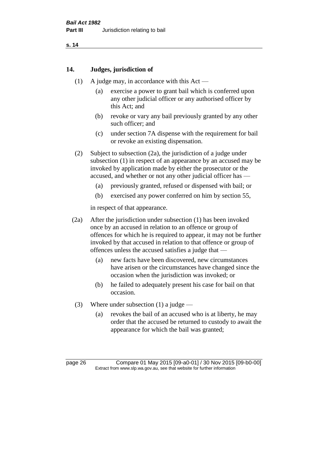#### **14. Judges, jurisdiction of**

- (1) A judge may, in accordance with this Act
	- (a) exercise a power to grant bail which is conferred upon any other judicial officer or any authorised officer by this Act; and
	- (b) revoke or vary any bail previously granted by any other such officer; and
	- (c) under section 7A dispense with the requirement for bail or revoke an existing dispensation.
- (2) Subject to subsection (2a), the jurisdiction of a judge under subsection (1) in respect of an appearance by an accused may be invoked by application made by either the prosecutor or the accused, and whether or not any other judicial officer has —
	- (a) previously granted, refused or dispensed with bail; or
	- (b) exercised any power conferred on him by section 55,

in respect of that appearance.

- (2a) After the jurisdiction under subsection (1) has been invoked once by an accused in relation to an offence or group of offences for which he is required to appear, it may not be further invoked by that accused in relation to that offence or group of offences unless the accused satisfies a judge that —
	- (a) new facts have been discovered, new circumstances have arisen or the circumstances have changed since the occasion when the jurisdiction was invoked; or
	- (b) he failed to adequately present his case for bail on that occasion.
- (3) Where under subsection (1) a judge
	- (a) revokes the bail of an accused who is at liberty, he may order that the accused be returned to custody to await the appearance for which the bail was granted;

page 26 Compare 01 May 2015 [09-a0-01] / 30 Nov 2015 [09-b0-00] Extract from www.slp.wa.gov.au, see that website for further information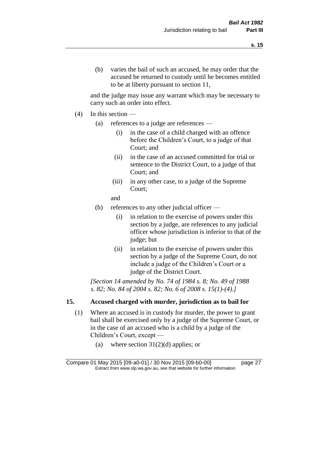and the judge may issue any warrant which may be necessary to carry such an order into effect.

- $(4)$  In this section
	- (a) references to a judge are references
		- (i) in the case of a child charged with an offence before the Children's Court, to a judge of that Court; and
		- (ii) in the case of an accused committed for trial or sentence to the District Court, to a judge of that Court; and
		- (iii) in any other case, to a judge of the Supreme Court;
		- and
	- (b) references to any other judicial officer
		- (i) in relation to the exercise of powers under this section by a judge, are references to any judicial officer whose jurisdiction is inferior to that of the judge; but
		- (ii) in relation to the exercise of powers under this section by a judge of the Supreme Court, do not include a judge of the Children's Court or a judge of the District Court.

*[Section 14 amended by No. 74 of 1984 s. 8; No. 49 of 1988 s. 82; No. 84 of 2004 s. 82; No. 6 of 2008 s. 15(1)-(4).]* 

# **15. Accused charged with murder, jurisdiction as to bail for**

- (1) Where an accused is in custody for murder, the power to grant bail shall be exercised only by a judge of the Supreme Court, or in the case of an accused who is a child by a judge of the Children's Court, except —
	- (a) where section  $31(2)(d)$  applies; or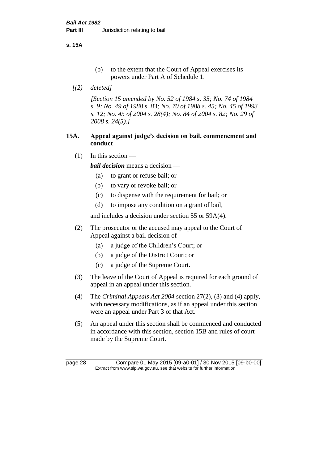**s. 15A**

- (b) to the extent that the Court of Appeal exercises its powers under Part A of Schedule 1.
- *[(2) deleted]*

*[Section 15 amended by No. 52 of 1984 s. 35; No. 74 of 1984 s. 9; No. 49 of 1988 s. 83; No. 70 of 1988 s. 45; No. 45 of 1993 s. 12; No. 45 of 2004 s. 28(4); No. 84 of 2004 s. 82; No. 29 of 2008 s. 24(5).]* 

#### **15A. Appeal against judge's decision on bail, commencment and conduct**

 $(1)$  In this section —

*bail decision* means a decision —

- (a) to grant or refuse bail; or
- (b) to vary or revoke bail; or
- (c) to dispense with the requirement for bail; or
- (d) to impose any condition on a grant of bail,

and includes a decision under section 55 or 59A(4).

- (2) The prosecutor or the accused may appeal to the Court of Appeal against a bail decision of —
	- (a) a judge of the Children's Court; or
	- (b) a judge of the District Court; or
	- (c) a judge of the Supreme Court.
- (3) The leave of the Court of Appeal is required for each ground of appeal in an appeal under this section.
- (4) The *Criminal Appeals Act 2004* section 27(2), (3) and (4) apply, with necessary modifications, as if an appeal under this section were an appeal under Part 3 of that Act.
- (5) An appeal under this section shall be commenced and conducted in accordance with this section, section 15B and rules of court made by the Supreme Court.

page 28 Compare 01 May 2015 [09-a0-01] / 30 Nov 2015 [09-b0-00] Extract from www.slp.wa.gov.au, see that website for further information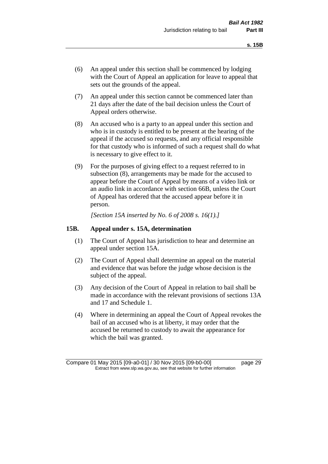- (6) An appeal under this section shall be commenced by lodging with the Court of Appeal an application for leave to appeal that sets out the grounds of the appeal.
- (7) An appeal under this section cannot be commenced later than 21 days after the date of the bail decision unless the Court of Appeal orders otherwise.
- (8) An accused who is a party to an appeal under this section and who is in custody is entitled to be present at the hearing of the appeal if the accused so requests, and any official responsible for that custody who is informed of such a request shall do what is necessary to give effect to it.
- (9) For the purposes of giving effect to a request referred to in subsection (8), arrangements may be made for the accused to appear before the Court of Appeal by means of a video link or an audio link in accordance with section 66B, unless the Court of Appeal has ordered that the accused appear before it in person.

*[Section 15A inserted by No. 6 of 2008 s. 16(1).]*

#### **15B. Appeal under s. 15A, determination**

- (1) The Court of Appeal has jurisdiction to hear and determine an appeal under section 15A.
- (2) The Court of Appeal shall determine an appeal on the material and evidence that was before the judge whose decision is the subject of the appeal.
- (3) Any decision of the Court of Appeal in relation to bail shall be made in accordance with the relevant provisions of sections 13A and 17 and Schedule 1.
- (4) Where in determining an appeal the Court of Appeal revokes the bail of an accused who is at liberty, it may order that the accused be returned to custody to await the appearance for which the bail was granted.

Compare 01 May 2015 [09-a0-01] / 30 Nov 2015 [09-b0-00] page 29 Extract from www.slp.wa.gov.au, see that website for further information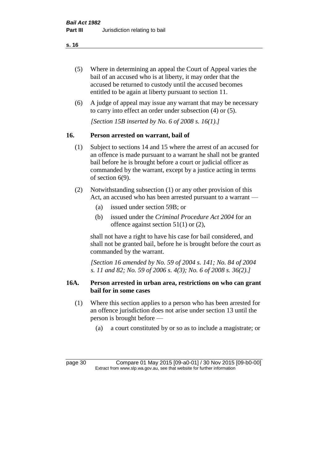- (5) Where in determining an appeal the Court of Appeal varies the bail of an accused who is at liberty, it may order that the accused be returned to custody until the accused becomes entitled to be again at liberty pursuant to section 11.
- (6) A judge of appeal may issue any warrant that may be necessary to carry into effect an order under subsection (4) or (5).

*[Section 15B inserted by No. 6 of 2008 s. 16(1).]*

#### **16. Person arrested on warrant, bail of**

- (1) Subject to sections 14 and 15 where the arrest of an accused for an offence is made pursuant to a warrant he shall not be granted bail before he is brought before a court or judicial officer as commanded by the warrant, except by a justice acting in terms of section 6(9).
- (2) Notwithstanding subsection (1) or any other provision of this Act, an accused who has been arrested pursuant to a warrant —
	- (a) issued under section 59B; or
	- (b) issued under the *Criminal Procedure Act 2004* for an offence against section 51(1) or (2),

shall not have a right to have his case for bail considered, and shall not be granted bail, before he is brought before the court as commanded by the warrant.

*[Section 16 amended by No. 59 of 2004 s. 141; No. 84 of 2004 s. 11 and 82; No. 59 of 2006 s. 4(3); No. 6 of 2008 s. 36(2).]*

#### **16A. Person arrested in urban area, restrictions on who can grant bail for in some cases**

- (1) Where this section applies to a person who has been arrested for an offence jurisdiction does not arise under section 13 until the person is brought before —
	- (a) a court constituted by or so as to include a magistrate; or

page 30 Compare 01 May 2015 [09-a0-01] / 30 Nov 2015 [09-b0-00] Extract from www.slp.wa.gov.au, see that website for further information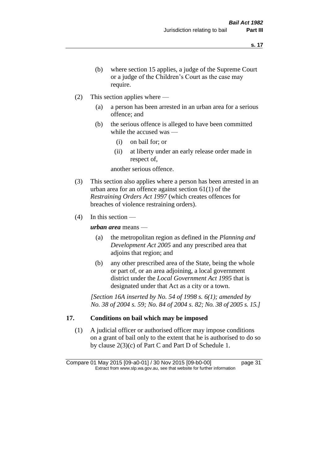- (b) where section 15 applies, a judge of the Supreme Court or a judge of the Children's Court as the case may require.
- (2) This section applies where
	- (a) a person has been arrested in an urban area for a serious offence; and
	- (b) the serious offence is alleged to have been committed while the accused was —
		- (i) on bail for; or
		- (ii) at liberty under an early release order made in respect of,

another serious offence.

- (3) This section also applies where a person has been arrested in an urban area for an offence against section 61(1) of the *Restraining Orders Act 1997* (which creates offences for breaches of violence restraining orders).
- (4) In this section —

*urban area* means —

- (a) the metropolitan region as defined in the *Planning and Development Act 2005* and any prescribed area that adjoins that region; and
- (b) any other prescribed area of the State, being the whole or part of, or an area adjoining, a local government district under the *Local Government Act 1995* that is designated under that Act as a city or a town.

*[Section 16A inserted by No. 54 of 1998 s. 6(1); amended by No. 38 of 2004 s. 59; No. 84 of 2004 s. 82; No. 38 of 2005 s. 15.]*

# **17. Conditions on bail which may be imposed**

(1) A judicial officer or authorised officer may impose conditions on a grant of bail only to the extent that he is authorised to do so by clause 2(3)(c) of Part C and Part D of Schedule 1.

Compare 01 May 2015 [09-a0-01] / 30 Nov 2015 [09-b0-00] page 31 Extract from www.slp.wa.gov.au, see that website for further information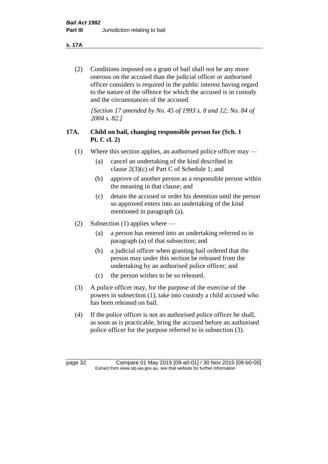**s. 17A**

(2) Conditions imposed on a grant of bail shall not be any more onerous on the accused than the judicial officer or authorised officer considers is required in the public interest having regard to the nature of the offence for which the accused is in custody and the circumstances of the accused.

*[Section 17 amended by No. 45 of 1993 s. 8 and 12; No. 84 of 2004 s. 82.]* 

# **17A. Child on bail, changing responsible person for (Sch. 1 Pt. C cl. 2)**

- (1) Where this section applies, an authorised police officer may
	- (a) cancel an undertaking of the kind described in clause 2(3)(c) of Part C of Schedule 1; and
	- (b) approve of another person as a responsible person within the meaning in that clause; and
	- (c) detain the accused or order his detention until the person so approved enters into an undertaking of the kind mentioned in paragraph (a).
- (2) Subsection (1) applies where
	- (a) a person has entered into an undertaking referred to in paragraph (a) of that subsection; and
	- (b) a judicial officer when granting bail ordered that the person may under this section be released from the undertaking by an authorised police officer; and
	- (c) the person wishes to be so released.
- (3) A police officer may, for the purpose of the exercise of the powers in subsection (1), take into custody a child accused who has been released on bail.
- (4) If the police officer is not an authorised police officer he shall, as soon as is practicable, bring the accused before an authorised police officer for the purpose referred to in subsection (3).

page 32 Compare 01 May 2015 [09-a0-01] / 30 Nov 2015 [09-b0-00] Extract from www.slp.wa.gov.au, see that website for further information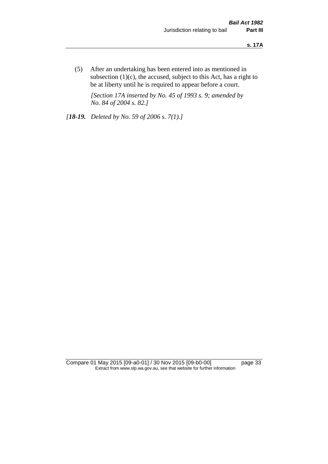(5) After an undertaking has been entered into as mentioned in subsection  $(1)(c)$ , the accused, subject to this Act, has a right to be at liberty until he is required to appear before a court.

*[Section 17A inserted by No. 45 of 1993 s. 9; amended by No. 84 of 2004 s. 82.]* 

*[18-19. Deleted by No. 59 of 2006 s. 7(1).]*

Compare 01 May 2015 [09-a0-01] / 30 Nov 2015 [09-b0-00] page 33 Extract from www.slp.wa.gov.au, see that website for further information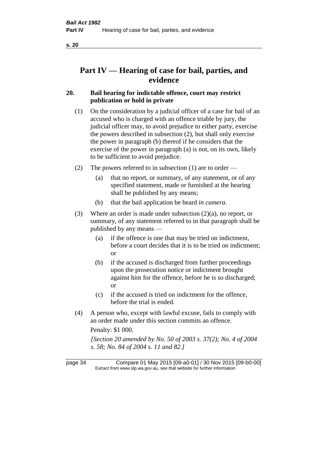# **Part IV — Hearing of case for bail, parties, and evidence**

### **20. Bail hearing for indictable offence, court may restrict publication or hold in private**

- (1) On the consideration by a judicial officer of a case for bail of an accused who is charged with an offence triable by jury, the judicial officer may, to avoid prejudice to either party, exercise the powers described in subsection (2), but shall only exercise the power in paragraph (b) thereof if he considers that the exercise of the power in paragraph (a) is not, on its own, likely to be sufficient to avoid prejudice.
- (2) The powers referred to in subsection (1) are to order
	- (a) that no report, or summary, of any statement, or of any specified statement, made or furnished at the hearing shall be published by any means;
	- (b) that the bail application be heard *in camera*.
- (3) Where an order is made under subsection (2)(a), no report, or summary, of any statement referred to in that paragraph shall be published by any means —
	- (a) if the offence is one that may be tried on indictment, before a court decides that it is to be tried on indictment; or
	- (b) if the accused is discharged from further proceedings upon the prosecution notice or indictment brought against him for the offence, before he is so discharged; or
	- (c) if the accused is tried on indictment for the offence, before the trial is ended.
- (4) A person who, except with lawful excuse, fails to comply with an order made under this section commits an offence.

Penalty: \$1 000.

*[Section 20 amended by No. 50 of 2003 s. 37(2); No. 4 of 2004 s. 58; No. 84 of 2004 s. 11 and 82.]*

page 34 Compare 01 May 2015 [09-a0-01] / 30 Nov 2015 [09-b0-00] Extract from www.slp.wa.gov.au, see that website for further information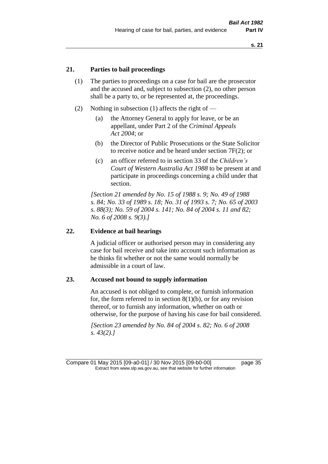# **21. Parties to bail proceedings**

- (1) The parties to proceedings on a case for bail are the prosecutor and the accused and, subject to subsection (2), no other person shall be a party to, or be represented at, the proceedings.
- (2) Nothing in subsection (1) affects the right of
	- (a) the Attorney General to apply for leave, or be an appellant, under Part 2 of the *Criminal Appeals Act 2004*; or
	- (b) the Director of Public Prosecutions or the State Solicitor to receive notice and be heard under section 7F(2); or
	- (c) an officer referred to in section 33 of the *Children's Court of Western Australia Act 1988* to be present at and participate in proceedings concerning a child under that section.

*[Section 21 amended by No. 15 of 1988 s. 9; No. 49 of 1988 s. 84; No. 33 of 1989 s. 18; No. 31 of 1993 s. 7; No. 65 of 2003 s. 88(3); No. 59 of 2004 s. 141; No. 84 of 2004 s. 11 and 82; No. 6 of 2008 s. 9(3).]* 

#### **22. Evidence at bail hearings**

A judicial officer or authorised person may in considering any case for bail receive and take into account such information as he thinks fit whether or not the same would normally be admissible in a court of law.

#### **23. Accused not bound to supply information**

An accused is not obliged to complete, or furnish information for, the form referred to in section  $8(1)(b)$ , or for any revision thereof, or to furnish any information, whether on oath or otherwise, for the purpose of having his case for bail considered.

*[Section 23 amended by No. 84 of 2004 s. 82; No. 6 of 2008 s. 43(2).]* 

Compare 01 May 2015 [09-a0-01] / 30 Nov 2015 [09-b0-00] page 35 Extract from www.slp.wa.gov.au, see that website for further information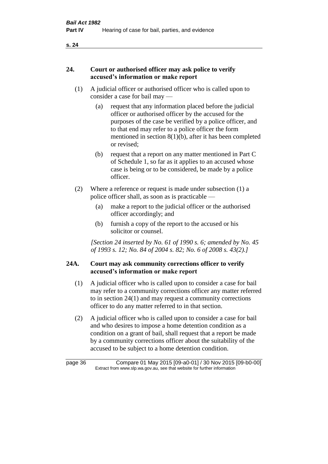# **24. Court or authorised officer may ask police to verify accused's information or make report**

- (1) A judicial officer or authorised officer who is called upon to consider a case for bail may —
	- (a) request that any information placed before the judicial officer or authorised officer by the accused for the purposes of the case be verified by a police officer, and to that end may refer to a police officer the form mentioned in section 8(1)(b), after it has been completed or revised;
	- (b) request that a report on any matter mentioned in Part C of Schedule 1, so far as it applies to an accused whose case is being or to be considered, be made by a police officer.
- (2) Where a reference or request is made under subsection (1) a police officer shall, as soon as is practicable —
	- (a) make a report to the judicial officer or the authorised officer accordingly; and
	- (b) furnish a copy of the report to the accused or his solicitor or counsel.

*[Section 24 inserted by No. 61 of 1990 s. 6; amended by No. 45 of 1993 s. 12; No. 84 of 2004 s. 82; No. 6 of 2008 s. 43(2).]* 

# **24A. Court may ask community corrections officer to verify accused's information or make report**

- (1) A judicial officer who is called upon to consider a case for bail may refer to a community corrections officer any matter referred to in section 24(1) and may request a community corrections officer to do any matter referred to in that section.
- (2) A judicial officer who is called upon to consider a case for bail and who desires to impose a home detention condition as a condition on a grant of bail, shall request that a report be made by a community corrections officer about the suitability of the accused to be subject to a home detention condition.

page 36 Compare 01 May 2015 [09-a0-01] / 30 Nov 2015 [09-b0-00] Extract from www.slp.wa.gov.au, see that website for further information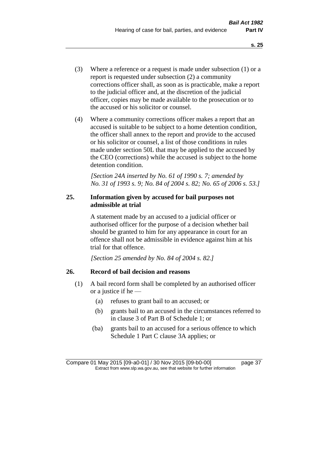- (3) Where a reference or a request is made under subsection (1) or a report is requested under subsection (2) a community corrections officer shall, as soon as is practicable, make a report to the judicial officer and, at the discretion of the judicial officer, copies may be made available to the prosecution or to the accused or his solicitor or counsel.
- (4) Where a community corrections officer makes a report that an accused is suitable to be subject to a home detention condition, the officer shall annex to the report and provide to the accused or his solicitor or counsel, a list of those conditions in rules made under section 50L that may be applied to the accused by the CEO (corrections) while the accused is subject to the home detention condition.

*[Section 24A inserted by No. 61 of 1990 s. 7; amended by No. 31 of 1993 s. 9; No. 84 of 2004 s. 82; No. 65 of 2006 s. 53.]* 

# **25. Information given by accused for bail purposes not admissible at trial**

A statement made by an accused to a judicial officer or authorised officer for the purpose of a decision whether bail should be granted to him for any appearance in court for an offence shall not be admissible in evidence against him at his trial for that offence.

*[Section 25 amended by No. 84 of 2004 s. 82.]* 

# **26. Record of bail decision and reasons**

- (1) A bail record form shall be completed by an authorised officer or a justice if he —
	- (a) refuses to grant bail to an accused; or
	- (b) grants bail to an accused in the circumstances referred to in clause 3 of Part B of Schedule 1; or
	- (ba) grants bail to an accused for a serious offence to which Schedule 1 Part C clause 3A applies; or

Compare 01 May 2015 [09-a0-01] / 30 Nov 2015 [09-b0-00] page 37 Extract from www.slp.wa.gov.au, see that website for further information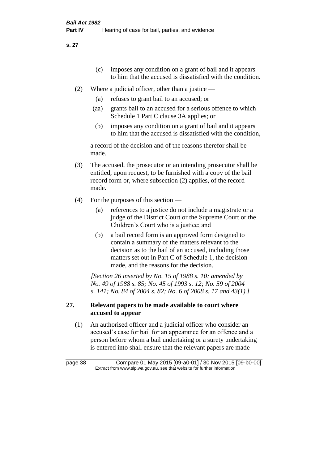- (c) imposes any condition on a grant of bail and it appears to him that the accused is dissatisfied with the condition.
- (2) Where a judicial officer, other than a justice
	- (a) refuses to grant bail to an accused; or
	- (aa) grants bail to an accused for a serious offence to which Schedule 1 Part C clause 3A applies; or
	- (b) imposes any condition on a grant of bail and it appears to him that the accused is dissatisfied with the condition,

a record of the decision and of the reasons therefor shall be made.

- (3) The accused, the prosecutor or an intending prosecutor shall be entitled, upon request, to be furnished with a copy of the bail record form or, where subsection (2) applies, of the record made.
- (4) For the purposes of this section
	- (a) references to a justice do not include a magistrate or a judge of the District Court or the Supreme Court or the Children's Court who is a justice; and
	- (b) a bail record form is an approved form designed to contain a summary of the matters relevant to the decision as to the bail of an accused, including those matters set out in Part C of Schedule 1, the decision made, and the reasons for the decision.

*[Section 26 inserted by No. 15 of 1988 s. 10; amended by No. 49 of 1988 s. 85; No. 45 of 1993 s. 12; No. 59 of 2004 s. 141; No. 84 of 2004 s. 82; No. 6 of 2008 s. 17 and 43(1).]* 

# **27. Relevant papers to be made available to court where accused to appear**

(1) An authorised officer and a judicial officer who consider an accused's case for bail for an appearance for an offence and a person before whom a bail undertaking or a surety undertaking is entered into shall ensure that the relevant papers are made

page 38 Compare 01 May 2015 [09-a0-01] / 30 Nov 2015 [09-b0-00] Extract from www.slp.wa.gov.au, see that website for further information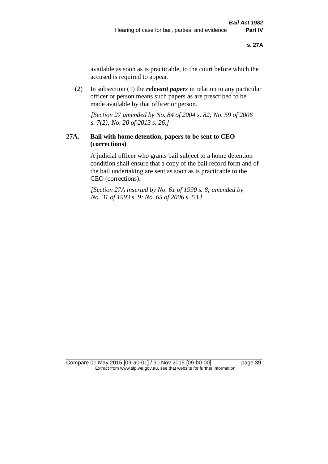available as soon as is practicable, to the court before which the accused is required to appear.

(2) In subsection (1) the *relevant papers* in relation to any particular officer or person means such papers as are prescribed to be made available by that officer or person.

*[Section 27 amended by No. 84 of 2004 s. 82; No. 59 of 2006 s. 7(2); No. 20 of 2013 s. 26.]* 

# **27A. Bail with home detention, papers to be sent to CEO (corrections)**

A judicial officer who grants bail subject to a home detention condition shall ensure that a copy of the bail record form and of the bail undertaking are sent as soon as is practicable to the CEO (corrections).

*[Section 27A inserted by No. 61 of 1990 s. 8; amended by No. 31 of 1993 s. 9; No. 65 of 2006 s. 53.]* 

Compare 01 May 2015 [09-a0-01] / 30 Nov 2015 [09-b0-00] page 39 Extract from www.slp.wa.gov.au, see that website for further information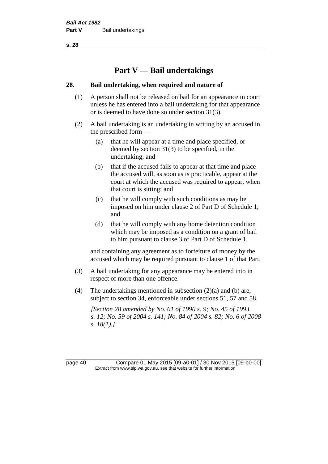# **Part V — Bail undertakings**

#### **28. Bail undertaking, when required and nature of**

- (1) A person shall not be released on bail for an appearance in court unless he has entered into a bail undertaking for that appearance or is deemed to have done so under section 31(3).
- (2) A bail undertaking is an undertaking in writing by an accused in the prescribed form —
	- (a) that he will appear at a time and place specified, or deemed by section 31(3) to be specified, in the undertaking; and
	- (b) that if the accused fails to appear at that time and place the accused will, as soon as is practicable, appear at the court at which the accused was required to appear, when that court is sitting; and
	- (c) that he will comply with such conditions as may be imposed on him under clause 2 of Part D of Schedule 1; and
	- (d) that he will comply with any home detention condition which may be imposed as a condition on a grant of bail to him pursuant to clause 3 of Part D of Schedule 1,

and containing any agreement as to forfeiture of money by the accused which may be required pursuant to clause 1 of that Part.

- (3) A bail undertaking for any appearance may be entered into in respect of more than one offence.
- (4) The undertakings mentioned in subsection (2)(a) and (b) are, subject to section 34, enforceable under sections 51, 57 and 58.

*[Section 28 amended by No. 61 of 1990 s. 9; No. 45 of 1993 s. 12; No. 59 of 2004 s. 141; No. 84 of 2004 s. 82; No. 6 of 2008 s. 18(1).]* 

page 40 Compare 01 May 2015 [09-a0-01] / 30 Nov 2015 [09-b0-00] Extract from www.slp.wa.gov.au, see that website for further information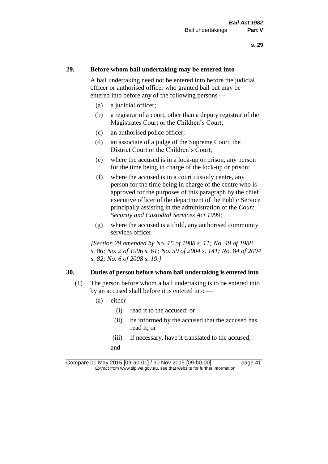# **29. Before whom bail undertaking may be entered into**

A bail undertaking need not be entered into before the judicial officer or authorised officer who granted bail but may be entered into before any of the following persons —

- (a) a judicial officer;
- (b) a registrar of a court, other than a deputy registrar of the Magistrates Court or the Children's Court;
- (c) an authorised police officer;
- (d) an associate of a judge of the Supreme Court, the District Court or the Children's Court;
- (e) where the accused is in a lock-up or prison, any person for the time being in charge of the lock-up or prison;
- (f) where the accused is in a court custody centre, any person for the time being in charge of the centre who is approved for the purposes of this paragraph by the chief executive officer of the department of the Public Service principally assisting in the administration of the *Court Security and Custodial Services Act 1999*;
- (g) where the accused is a child, any authorised community services officer.

*[Section 29 amended by No. 15 of 1988 s. 11; No. 49 of 1988 s. 86; No. 2 of 1996 s. 61; No. 59 of 2004 s. 141; No. 84 of 2004 s. 82; No. 6 of 2008 s. 19.]* 

#### **30. Duties of person before whom bail undertaking is entered into**

- (1) The person before whom a bail undertaking is to be entered into by an accused shall before it is entered into —
	- $(a)$  either
		- (i) read it to the accused; or
		- (ii) be informed by the accused that the accused has read it; or
		- (iii) if necessary, have it translated to the accused; and

Compare 01 May 2015 [09-a0-01] / 30 Nov 2015 [09-b0-00] page 41 Extract from www.slp.wa.gov.au, see that website for further information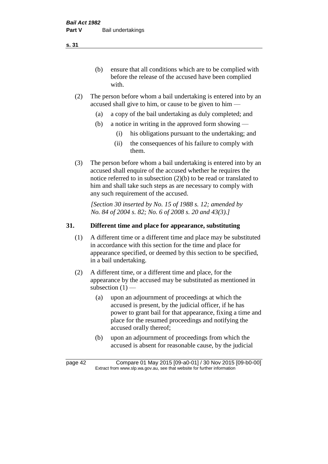(b) ensure that all conditions which are to be complied with before the release of the accused have been complied with.

- (2) The person before whom a bail undertaking is entered into by an accused shall give to him, or cause to be given to him —
	- (a) a copy of the bail undertaking as duly completed; and
	- (b) a notice in writing in the approved form showing
		- (i) his obligations pursuant to the undertaking; and
		- (ii) the consequences of his failure to comply with them.
- (3) The person before whom a bail undertaking is entered into by an accused shall enquire of the accused whether he requires the notice referred to in subsection (2)(b) to be read or translated to him and shall take such steps as are necessary to comply with any such requirement of the accused.

*[Section 30 inserted by No. 15 of 1988 s. 12; amended by No. 84 of 2004 s. 82; No. 6 of 2008 s. 20 and 43(3).]* 

# **31. Different time and place for appearance, substituting**

- (1) A different time or a different time and place may be substituted in accordance with this section for the time and place for appearance specified, or deemed by this section to be specified, in a bail undertaking.
- (2) A different time, or a different time and place, for the appearance by the accused may be substituted as mentioned in subsection  $(1)$  —
	- (a) upon an adjournment of proceedings at which the accused is present, by the judicial officer, if he has power to grant bail for that appearance, fixing a time and place for the resumed proceedings and notifying the accused orally thereof;
	- (b) upon an adjournment of proceedings from which the accused is absent for reasonable cause, by the judicial

page 42 Compare 01 May 2015 [09-a0-01] / 30 Nov 2015 [09-b0-00] Extract from www.slp.wa.gov.au, see that website for further information

**s. 31**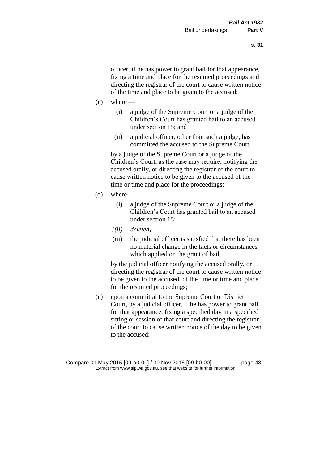officer, if he has power to grant bail for that appearance, fixing a time and place for the resumed proceedings and directing the registrar of the court to cause written notice of the time and place to be given to the accused;

- $(c)$  where
	- (i) a judge of the Supreme Court or a judge of the Children's Court has granted bail to an accused under section 15; and
	- (ii) a judicial officer, other than such a judge, has committed the accused to the Supreme Court,

by a judge of the Supreme Court or a judge of the Children's Court, as the case may require, notifying the accused orally, or directing the registrar of the court to cause written notice to be given to the accused of the time or time and place for the proceedings;

- $(d)$  where
	- (i) a judge of the Supreme Court or a judge of the Children's Court has granted bail to an accused under section 15;
	- *[(ii) deleted]*
	- (iii) the judicial officer is satisfied that there has been no material change in the facts or circumstances which applied on the grant of bail,

by the judicial officer notifying the accused orally, or directing the registrar of the court to cause written notice to be given to the accused, of the time or time and place for the resumed proceedings;

(e) upon a committal to the Supreme Court or District Court, by a judicial officer, if he has power to grant bail for that appearance, fixing a specified day in a specified sitting or session of that court and directing the registrar of the court to cause written notice of the day to be given to the accused;

Compare 01 May 2015 [09-a0-01] / 30 Nov 2015 [09-b0-00] page 43 Extract from www.slp.wa.gov.au, see that website for further information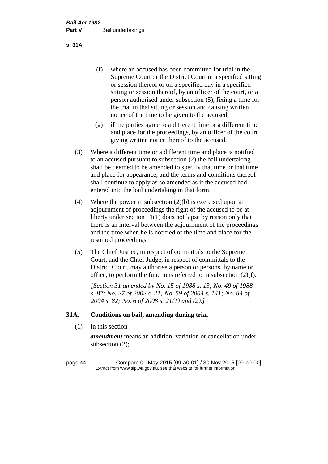(f) where an accused has been committed for trial in the Supreme Court or the District Court in a specified sitting or session thereof or on a specified day in a specified sitting or session thereof, by an officer of the court, or a person authorised under subsection (5), fixing a time for the trial in that sitting or session and causing written notice of the time to be given to the accused;

- (g) if the parties agree to a different time or a different time and place for the proceedings, by an officer of the court giving written notice thereof to the accused.
- (3) Where a different time or a different time and place is notified to an accused pursuant to subsection (2) the bail undertaking shall be deemed to be amended to specify that time or that time and place for appearance, and the terms and conditions thereof shall continue to apply as so amended as if the accused had entered into the bail undertaking in that form.
- (4) Where the power in subsection (2)(b) is exercised upon an adjournment of proceedings the right of the accused to be at liberty under section 11(1) does not lapse by reason only that there is an interval between the adjournment of the proceedings and the time when he is notified of the time and place for the resumed proceedings.
- (5) The Chief Justice, in respect of committals to the Supreme Court, and the Chief Judge, in respect of committals to the District Court, may authorise a person or persons, by name or office, to perform the functions referred to in subsection (2)(f).

*[Section 31 amended by No. 15 of 1988 s. 13; No. 49 of 1988 s. 87; No. 27 of 2002 s. 21; No. 59 of 2004 s. 141; No. 84 of 2004 s. 82; No. 6 of 2008 s. 21(1) and (2).]* 

# **31A. Conditions on bail, amending during trial**

 $(1)$  In this section —

*amendment* means an addition, variation or cancellation under subsection (2);

page 44 Compare 01 May 2015 [09-a0-01] / 30 Nov 2015 [09-b0-00] Extract from www.slp.wa.gov.au, see that website for further information

**s. 31A**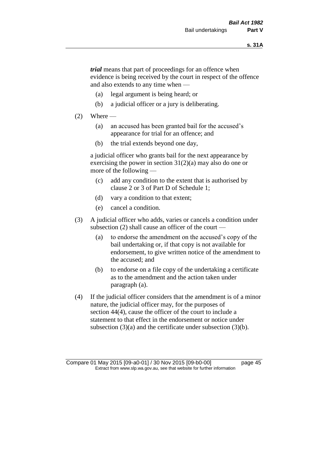*trial* means that part of proceedings for an offence when evidence is being received by the court in respect of the offence and also extends to any time when —

- (a) legal argument is being heard; or
- (b) a judicial officer or a jury is deliberating.

#### $(2)$  Where —

- (a) an accused has been granted bail for the accused's appearance for trial for an offence; and
- (b) the trial extends beyond one day,

a judicial officer who grants bail for the next appearance by exercising the power in section  $31(2)(a)$  may also do one or more of the following —

- (c) add any condition to the extent that is authorised by clause 2 or 3 of Part D of Schedule 1;
- (d) vary a condition to that extent;
- (e) cancel a condition.
- (3) A judicial officer who adds, varies or cancels a condition under subsection (2) shall cause an officer of the court —
	- (a) to endorse the amendment on the accused's copy of the bail undertaking or, if that copy is not available for endorsement, to give written notice of the amendment to the accused; and
	- (b) to endorse on a file copy of the undertaking a certificate as to the amendment and the action taken under paragraph (a).
- (4) If the judicial officer considers that the amendment is of a minor nature, the judicial officer may, for the purposes of section 44(4), cause the officer of the court to include a statement to that effect in the endorsement or notice under subsection (3)(a) and the certificate under subsection (3)(b).

Compare 01 May 2015 [09-a0-01] / 30 Nov 2015 [09-b0-00] page 45 Extract from www.slp.wa.gov.au, see that website for further information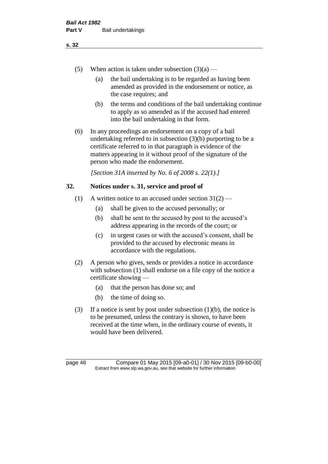- (5) When action is taken under subsection  $(3)(a)$ 
	- (a) the bail undertaking is to be regarded as having been amended as provided in the endorsement or notice, as the case requires; and
	- (b) the terms and conditions of the bail undertaking continue to apply as so amended as if the accused had entered into the bail undertaking in that form.
- (6) In any proceedings an endorsement on a copy of a bail undertaking referred to in subsection (3)(b) purporting to be a certificate referred to in that paragraph is evidence of the matters appearing in it without proof of the signature of the person who made the endorsement.

*[Section 31A inserted by No. 6 of 2008 s. 22(1).]*

# **32. Notices under s. 31, service and proof of**

- (1) A written notice to an accused under section  $31(2)$ 
	- (a) shall be given to the accused personally; or
	- (b) shall be sent to the accused by post to the accused's address appearing in the records of the court; or
	- (c) in urgent cases or with the accused's consent, shall be provided to the accused by electronic means in accordance with the regulations.
- (2) A person who gives, sends or provides a notice in accordance with subsection (1) shall endorse on a file copy of the notice a certificate showing —
	- (a) that the person has done so; and
	- (b) the time of doing so.
- (3) If a notice is sent by post under subsection  $(1)(b)$ , the notice is to be presumed, unless the contrary is shown, to have been received at the time when, in the ordinary course of events, it would have been delivered.

page 46 Compare 01 May 2015 [09-a0-01] / 30 Nov 2015 [09-b0-00] Extract from www.slp.wa.gov.au, see that website for further information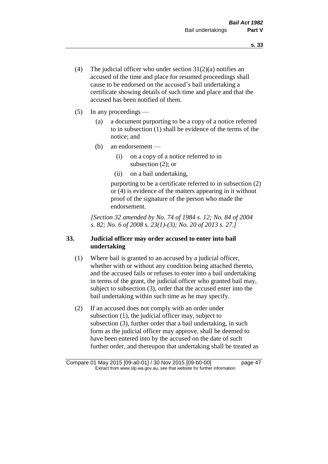- (4) The judicial officer who under section  $31(2)(a)$  notifies an accused of the time and place for resumed proceedings shall cause to be endorsed on the accused's bail undertaking a certificate showing details of such time and place and that the accused has been notified of them.
- (5) In any proceedings
	- (a) a document purporting to be a copy of a notice referred to in subsection (1) shall be evidence of the terms of the notice; and
	- (b) an endorsement
		- (i) on a copy of a notice referred to in subsection (2); or
		- (ii) on a bail undertaking,

purporting to be a certificate referred to in subsection (2) or (4) is evidence of the matters appearing in it without proof of the signature of the person who made the endorsement.

*[Section 32 amended by No. 74 of 1984 s. 12; No. 84 of 2004 s. 82; No. 6 of 2008 s. 23(1)-(3); No. 20 of 2013 s. 27.]* 

# **33. Judicial officer may order accused to enter into bail undertaking**

- (1) Where bail is granted to an accused by a judicial officer, whether with or without any condition being attached thereto, and the accused fails or refuses to enter into a bail undertaking in terms of the grant, the judicial officer who granted bail may, subject to subsection (3), order that the accused enter into the bail undertaking within such time as he may specify.
- (2) If an accused does not comply with an order under subsection (1), the judicial officer may, subject to subsection (3), further order that a bail undertaking, in such form as the judicial officer may approve, shall be deemed to have been entered into by the accused on the date of such further order, and thereupon that undertaking shall be treated as

Compare 01 May 2015 [09-a0-01] / 30 Nov 2015 [09-b0-00] page 47 Extract from www.slp.wa.gov.au, see that website for further information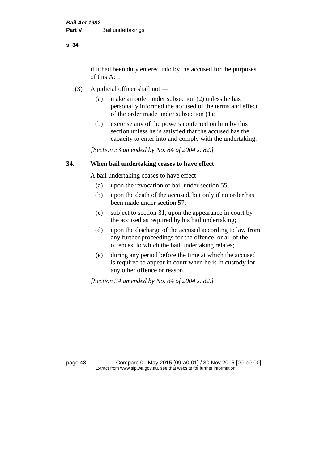if it had been duly entered into by the accused for the purposes of this Act.

- (3) A judicial officer shall not
	- (a) make an order under subsection (2) unless he has personally informed the accused of the terms and effect of the order made under subsection (1);
	- (b) exercise any of the powers conferred on him by this section unless he is satisfied that the accused has the capacity to enter into and comply with the undertaking.

*[Section 33 amended by No. 84 of 2004 s. 82.]* 

# **34. When bail undertaking ceases to have effect**

A bail undertaking ceases to have effect —

- (a) upon the revocation of bail under section 55;
- (b) upon the death of the accused, but only if no order has been made under section 57;
- (c) subject to section 31, upon the appearance in court by the accused as required by his bail undertaking;
- (d) upon the discharge of the accused according to law from any further proceedings for the offence, or all of the offences, to which the bail undertaking relates;
- (e) during any period before the time at which the accused is required to appear in court when he is in custody for any other offence or reason.

*[Section 34 amended by No. 84 of 2004 s. 82.]* 

page 48 Compare 01 May 2015 [09-a0-01] / 30 Nov 2015 [09-b0-00] Extract from www.slp.wa.gov.au, see that website for further information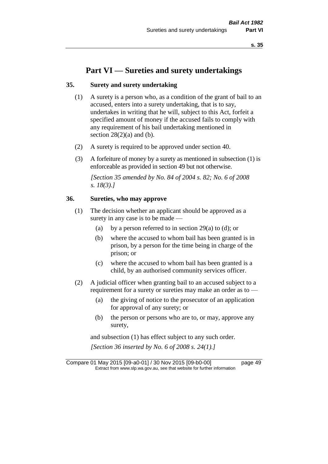# **Part VI — Sureties and surety undertakings**

# **35. Surety and surety undertaking**

- (1) A surety is a person who, as a condition of the grant of bail to an accused, enters into a surety undertaking, that is to say, undertakes in writing that he will, subject to this Act, forfeit a specified amount of money if the accused fails to comply with any requirement of his bail undertaking mentioned in section  $28(2)(a)$  and (b).
- (2) A surety is required to be approved under section 40.
- (3) A forfeiture of money by a surety as mentioned in subsection (1) is enforceable as provided in section 49 but not otherwise.

*[Section 35 amended by No. 84 of 2004 s. 82; No. 6 of 2008 s. 18(3).]* 

# **36. Sureties, who may approve**

- (1) The decision whether an applicant should be approved as a surety in any case is to be made —
	- (a) by a person referred to in section 29(a) to (d); or
	- (b) where the accused to whom bail has been granted is in prison, by a person for the time being in charge of the prison; or
	- (c) where the accused to whom bail has been granted is a child, by an authorised community services officer.
- (2) A judicial officer when granting bail to an accused subject to a requirement for a surety or sureties may make an order as to -
	- (a) the giving of notice to the prosecutor of an application for approval of any surety; or
	- (b) the person or persons who are to, or may, approve any surety,

and subsection (1) has effect subject to any such order. *[Section 36 inserted by No. 6 of 2008 s. 24(1).]*

Compare 01 May 2015 [09-a0-01] / 30 Nov 2015 [09-b0-00] page 49 Extract from www.slp.wa.gov.au, see that website for further information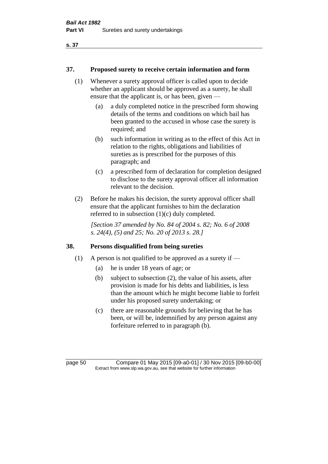#### **37. Proposed surety to receive certain information and form**

- (1) Whenever a surety approval officer is called upon to decide whether an applicant should be approved as a surety, he shall ensure that the applicant is, or has been, given —
	- (a) a duly completed notice in the prescribed form showing details of the terms and conditions on which bail has been granted to the accused in whose case the surety is required; and
	- (b) such information in writing as to the effect of this Act in relation to the rights, obligations and liabilities of sureties as is prescribed for the purposes of this paragraph; and
	- (c) a prescribed form of declaration for completion designed to disclose to the surety approval officer all information relevant to the decision.
- (2) Before he makes his decision, the surety approval officer shall ensure that the applicant furnishes to him the declaration referred to in subsection (1)(c) duly completed.

*[Section 37 amended by No. 84 of 2004 s. 82; No. 6 of 2008 s. 24(4), (5) and 25; No. 20 of 2013 s. 28.]* 

# **38. Persons disqualified from being sureties**

- (1) A person is not qualified to be approved as a surety if  $-$ 
	- (a) he is under 18 years of age; or
	- (b) subject to subsection (2), the value of his assets, after provision is made for his debts and liabilities, is less than the amount which he might become liable to forfeit under his proposed surety undertaking; or
	- (c) there are reasonable grounds for believing that he has been, or will be, indemnified by any person against any forfeiture referred to in paragraph (b).

page 50 Compare 01 May 2015 [09-a0-01] / 30 Nov 2015 [09-b0-00] Extract from www.slp.wa.gov.au, see that website for further information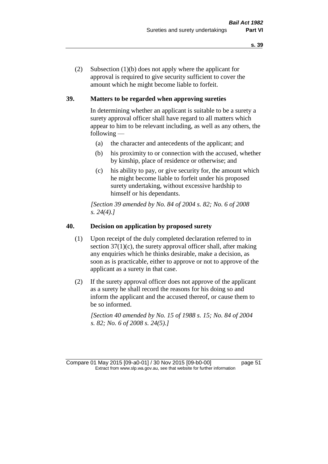(2) Subsection (1)(b) does not apply where the applicant for approval is required to give security sufficient to cover the amount which he might become liable to forfeit.

# **39. Matters to be regarded when approving sureties**

In determining whether an applicant is suitable to be a surety a surety approval officer shall have regard to all matters which appear to him to be relevant including, as well as any others, the following —

- (a) the character and antecedents of the applicant; and
- (b) his proximity to or connection with the accused, whether by kinship, place of residence or otherwise; and
- (c) his ability to pay, or give security for, the amount which he might become liable to forfeit under his proposed surety undertaking, without excessive hardship to himself or his dependants.

*[Section 39 amended by No. 84 of 2004 s. 82; No. 6 of 2008 s. 24(4).]* 

#### **40. Decision on application by proposed surety**

- (1) Upon receipt of the duly completed declaration referred to in section  $37(1)(c)$ , the surety approval officer shall, after making any enquiries which he thinks desirable, make a decision, as soon as is practicable, either to approve or not to approve of the applicant as a surety in that case.
- (2) If the surety approval officer does not approve of the applicant as a surety he shall record the reasons for his doing so and inform the applicant and the accused thereof, or cause them to be so informed.

*[Section 40 amended by No. 15 of 1988 s. 15; No. 84 of 2004 s. 82; No. 6 of 2008 s. 24(5).]* 

Compare 01 May 2015 [09-a0-01] / 30 Nov 2015 [09-b0-00] page 51 Extract from www.slp.wa.gov.au, see that website for further information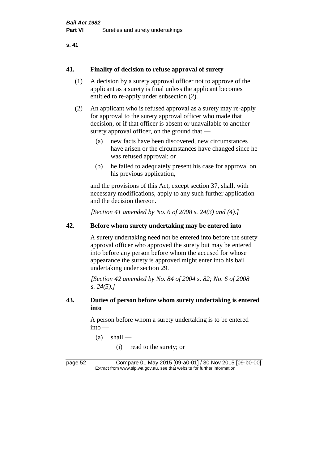```
s. 41
```
#### **41. Finality of decision to refuse approval of surety**

- (1) A decision by a surety approval officer not to approve of the applicant as a surety is final unless the applicant becomes entitled to re-apply under subsection (2).
- (2) An applicant who is refused approval as a surety may re-apply for approval to the surety approval officer who made that decision, or if that officer is absent or unavailable to another surety approval officer, on the ground that —
	- (a) new facts have been discovered, new circumstances have arisen or the circumstances have changed since he was refused approval; or
	- (b) he failed to adequately present his case for approval on his previous application,

and the provisions of this Act, except section 37, shall, with necessary modifications, apply to any such further application and the decision thereon.

*[Section 41 amended by No. 6 of 2008 s. 24(3) and (4).]*

# **42. Before whom surety undertaking may be entered into**

A surety undertaking need not be entered into before the surety approval officer who approved the surety but may be entered into before any person before whom the accused for whose appearance the surety is approved might enter into his bail undertaking under section 29.

*[Section 42 amended by No. 84 of 2004 s. 82; No. 6 of 2008 s. 24(5).]* 

# **43. Duties of person before whom surety undertaking is entered into**

A person before whom a surety undertaking is to be entered into —

- $(a)$  shall
	- (i) read to the surety; or

page 52 Compare 01 May 2015 [09-a0-01] / 30 Nov 2015 [09-b0-00] Extract from www.slp.wa.gov.au, see that website for further information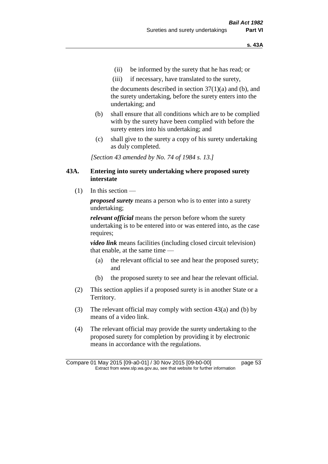- (ii) be informed by the surety that he has read; or
- (iii) if necessary, have translated to the surety,

the documents described in section  $37(1)(a)$  and (b), and the surety undertaking, before the surety enters into the undertaking; and

- (b) shall ensure that all conditions which are to be complied with by the surety have been complied with before the surety enters into his undertaking; and
- (c) shall give to the surety a copy of his surety undertaking as duly completed.

*[Section 43 amended by No. 74 of 1984 s. 13.]* 

#### **43A. Entering into surety undertaking where proposed surety interstate**

 $(1)$  In this section —

*proposed surety* means a person who is to enter into a surety undertaking;

*relevant official* means the person before whom the surety undertaking is to be entered into or was entered into, as the case requires;

*video link* means facilities (including closed circuit television) that enable, at the same time —

- (a) the relevant official to see and hear the proposed surety; and
- (b) the proposed surety to see and hear the relevant official.
- (2) This section applies if a proposed surety is in another State or a Territory.
- (3) The relevant official may comply with section 43(a) and (b) by means of a video link.
- (4) The relevant official may provide the surety undertaking to the proposed surety for completion by providing it by electronic means in accordance with the regulations.

Compare 01 May 2015 [09-a0-01] / 30 Nov 2015 [09-b0-00] page 53 Extract from www.slp.wa.gov.au, see that website for further information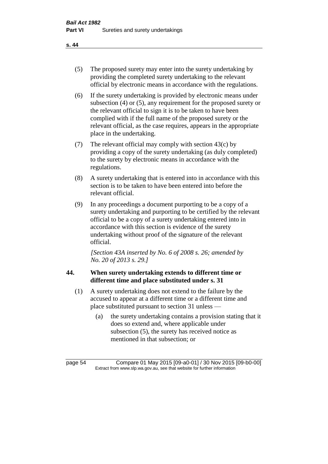- (5) The proposed surety may enter into the surety undertaking by providing the completed surety undertaking to the relevant official by electronic means in accordance with the regulations.
- (6) If the surety undertaking is provided by electronic means under subsection (4) or (5), any requirement for the proposed surety or the relevant official to sign it is to be taken to have been complied with if the full name of the proposed surety or the relevant official, as the case requires, appears in the appropriate place in the undertaking.
- (7) The relevant official may comply with section 43(c) by providing a copy of the surety undertaking (as duly completed) to the surety by electronic means in accordance with the regulations.
- (8) A surety undertaking that is entered into in accordance with this section is to be taken to have been entered into before the relevant official.
- (9) In any proceedings a document purporting to be a copy of a surety undertaking and purporting to be certified by the relevant official to be a copy of a surety undertaking entered into in accordance with this section is evidence of the surety undertaking without proof of the signature of the relevant official.

*[Section 43A inserted by No. 6 of 2008 s. 26; amended by No. 20 of 2013 s. 29.]*

# **44. When surety undertaking extends to different time or different time and place substituted under s. 31**

- (1) A surety undertaking does not extend to the failure by the accused to appear at a different time or a different time and place substituted pursuant to section 31 unless —
	- (a) the surety undertaking contains a provision stating that it does so extend and, where applicable under subsection (5), the surety has received notice as mentioned in that subsection; or

page 54 Compare 01 May 2015 [09-a0-01] / 30 Nov 2015 [09-b0-00] Extract from www.slp.wa.gov.au, see that website for further information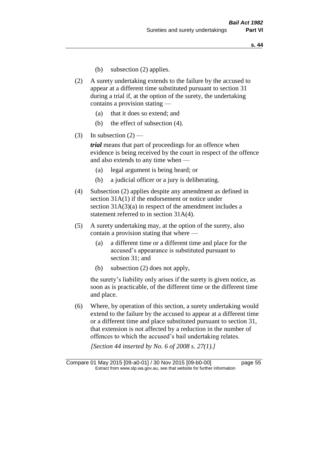- (b) subsection (2) applies.
- (2) A surety undertaking extends to the failure by the accused to appear at a different time substituted pursuant to section 31 during a trial if, at the option of the surety, the undertaking contains a provision stating —
	- (a) that it does so extend; and
	- (b) the effect of subsection (4).
- (3) In subsection  $(2)$  —

*trial* means that part of proceedings for an offence when evidence is being received by the court in respect of the offence and also extends to any time when —

- (a) legal argument is being heard; or
- (b) a judicial officer or a jury is deliberating.
- (4) Subsection (2) applies despite any amendment as defined in section 31A(1) if the endorsement or notice under section 31A(3)(a) in respect of the amendment includes a statement referred to in section 31A(4).
- (5) A surety undertaking may, at the option of the surety, also contain a provision stating that where —
	- (a) a different time or a different time and place for the accused's appearance is substituted pursuant to section 31; and
	- (b) subsection (2) does not apply,

the surety's liability only arises if the surety is given notice, as soon as is practicable, of the different time or the different time and place.

(6) Where, by operation of this section, a surety undertaking would extend to the failure by the accused to appear at a different time or a different time and place substituted pursuant to section 31, that extension is not affected by a reduction in the number of offences to which the accused's bail undertaking relates.

*[Section 44 inserted by No. 6 of 2008 s. 27(1).]*

Compare 01 May 2015 [09-a0-01] / 30 Nov 2015 [09-b0-00] page 55 Extract from www.slp.wa.gov.au, see that website for further information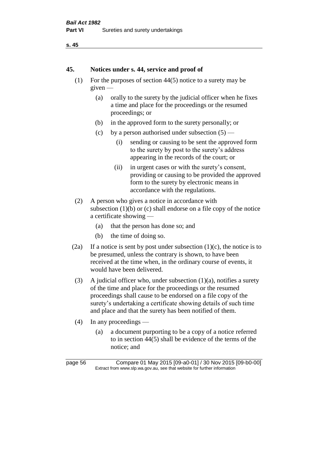```
s. 45
```
#### **45. Notices under s. 44, service and proof of**

- (1) For the purposes of section 44(5) notice to a surety may be given —
	- (a) orally to the surety by the judicial officer when he fixes a time and place for the proceedings or the resumed proceedings; or
	- (b) in the approved form to the surety personally; or
	- (c) by a person authorised under subsection  $(5)$ 
		- (i) sending or causing to be sent the approved form to the surety by post to the surety's address appearing in the records of the court; or
		- (ii) in urgent cases or with the surety's consent, providing or causing to be provided the approved form to the surety by electronic means in accordance with the regulations.
- (2) A person who gives a notice in accordance with subsection  $(1)(b)$  or  $(c)$  shall endorse on a file copy of the notice a certificate showing —
	- (a) that the person has done so; and
	- (b) the time of doing so.
- (2a) If a notice is sent by post under subsection  $(1)(c)$ , the notice is to be presumed, unless the contrary is shown, to have been received at the time when, in the ordinary course of events, it would have been delivered.
- (3) A judicial officer who, under subsection  $(1)(a)$ , notifies a surety of the time and place for the proceedings or the resumed proceedings shall cause to be endorsed on a file copy of the surety's undertaking a certificate showing details of such time and place and that the surety has been notified of them.
- (4) In any proceedings
	- (a) a document purporting to be a copy of a notice referred to in section 44(5) shall be evidence of the terms of the notice; and

page 56 Compare 01 May 2015 [09-a0-01] / 30 Nov 2015 [09-b0-00] Extract from www.slp.wa.gov.au, see that website for further information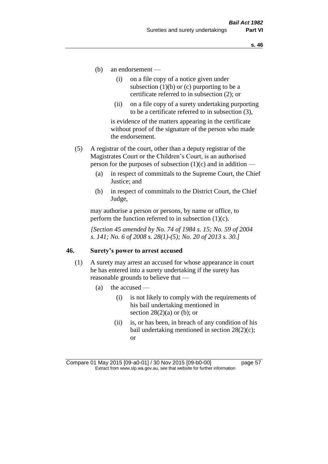- (b) an endorsement
	- (i) on a file copy of a notice given under subsection  $(1)(b)$  or  $(c)$  purporting to be a certificate referred to in subsection (2); or
	- (ii) on a file copy of a surety undertaking purporting to be a certificate referred to in subsection (3),

is evidence of the matters appearing in the certificate without proof of the signature of the person who made the endorsement.

- (5) A registrar of the court, other than a deputy registrar of the Magistrates Court or the Children's Court, is an authorised person for the purposes of subsection  $(1)(c)$  and in addition —
	- (a) in respect of committals to the Supreme Court, the Chief Justice; and
	- (b) in respect of committals to the District Court, the Chief Judge,

may authorise a person or persons, by name or office, to perform the function referred to in subsection  $(1)(c)$ .

*[Section 45 amended by No. 74 of 1984 s. 15; No. 59 of 2004 s. 141; No. 6 of 2008 s. 28(1)-(5); No. 20 of 2013 s. 30.]* 

#### **46. Surety's power to arrest accused**

- (1) A surety may arrest an accused for whose appearance in court he has entered into a surety undertaking if the surety has reasonable grounds to believe that —
	- (a) the accused
		- (i) is not likely to comply with the requirements of his bail undertaking mentioned in section  $28(2)(a)$  or (b); or
		- (ii) is, or has been, in breach of any condition of his bail undertaking mentioned in section 28(2)(c); or

Compare 01 May 2015 [09-a0-01] / 30 Nov 2015 [09-b0-00] page 57 Extract from www.slp.wa.gov.au, see that website for further information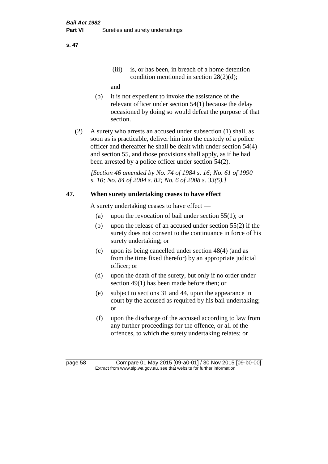(iii) is, or has been, in breach of a home detention condition mentioned in section 28(2)(d);

and

- (b) it is not expedient to invoke the assistance of the relevant officer under section 54(1) because the delay occasioned by doing so would defeat the purpose of that section.
- (2) A surety who arrests an accused under subsection (1) shall, as soon as is practicable, deliver him into the custody of a police officer and thereafter he shall be dealt with under section 54(4) and section 55, and those provisions shall apply, as if he had been arrested by a police officer under section 54(2).

*[Section 46 amended by No. 74 of 1984 s. 16; No. 61 of 1990 s. 10; No. 84 of 2004 s. 82; No. 6 of 2008 s. 33(5).]* 

# **47. When surety undertaking ceases to have effect**

A surety undertaking ceases to have effect —

- (a) upon the revocation of bail under section 55(1); or
- (b) upon the release of an accused under section 55(2) if the surety does not consent to the continuance in force of his surety undertaking; or
- (c) upon its being cancelled under section 48(4) (and as from the time fixed therefor) by an appropriate judicial officer; or
- (d) upon the death of the surety, but only if no order under section 49(1) has been made before then; or
- (e) subject to sections 31 and 44, upon the appearance in court by the accused as required by his bail undertaking; or
- (f) upon the discharge of the accused according to law from any further proceedings for the offence, or all of the offences, to which the surety undertaking relates; or

page 58 Compare 01 May 2015 [09-a0-01] / 30 Nov 2015 [09-b0-00] Extract from www.slp.wa.gov.au, see that website for further information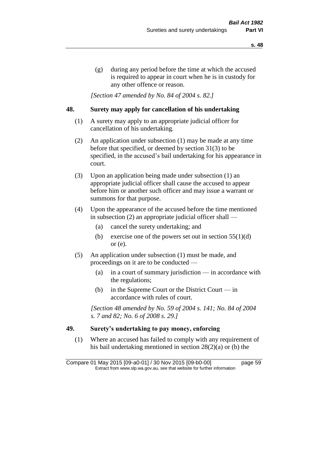(g) during any period before the time at which the accused is required to appear in court when he is in custody for any other offence or reason.

*[Section 47 amended by No. 84 of 2004 s. 82.]* 

#### **48. Surety may apply for cancellation of his undertaking**

- (1) A surety may apply to an appropriate judicial officer for cancellation of his undertaking.
- (2) An application under subsection (1) may be made at any time before that specified, or deemed by section 31(3) to be specified, in the accused's bail undertaking for his appearance in court.
- (3) Upon an application being made under subsection (1) an appropriate judicial officer shall cause the accused to appear before him or another such officer and may issue a warrant or summons for that purpose.
- (4) Upon the appearance of the accused before the time mentioned in subsection (2) an appropriate judicial officer shall —
	- (a) cancel the surety undertaking; and
	- (b) exercise one of the powers set out in section  $55(1)(d)$ or (e).
- (5) An application under subsection (1) must be made, and proceedings on it are to be conducted —
	- (a) in a court of summary jurisdiction in accordance with the regulations;
	- (b) in the Supreme Court or the District Court  $-\text{in}$ accordance with rules of court.

*[Section 48 amended by No. 59 of 2004 s. 141; No. 84 of 2004 s. 7 and 82; No. 6 of 2008 s. 29.]* 

# **49. Surety's undertaking to pay money, enforcing**

(1) Where an accused has failed to comply with any requirement of his bail undertaking mentioned in section 28(2)(a) or (b) the

Compare 01 May 2015 [09-a0-01] / 30 Nov 2015 [09-b0-00] page 59 Extract from www.slp.wa.gov.au, see that website for further information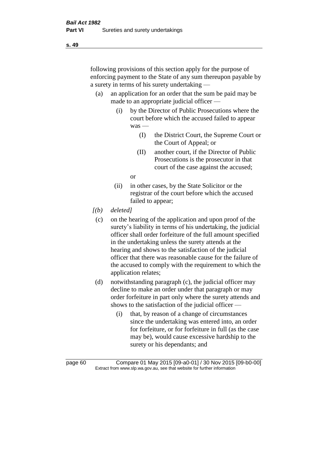following provisions of this section apply for the purpose of enforcing payment to the State of any sum thereupon payable by a surety in terms of his surety undertaking —

- (a) an application for an order that the sum be paid may be made to an appropriate judicial officer —
	- (i) by the Director of Public Prosecutions where the court before which the accused failed to appear was —
		- (I) the District Court, the Supreme Court or the Court of Appeal; or
		- (II) another court, if the Director of Public Prosecutions is the prosecutor in that court of the case against the accused;

or

- (ii) in other cases, by the State Solicitor or the registrar of the court before which the accused failed to appear;
- *[(b) deleted]*
	- (c) on the hearing of the application and upon proof of the surety's liability in terms of his undertaking, the judicial officer shall order forfeiture of the full amount specified in the undertaking unless the surety attends at the hearing and shows to the satisfaction of the judicial officer that there was reasonable cause for the failure of the accused to comply with the requirement to which the application relates;
- (d) notwithstanding paragraph (c), the judicial officer may decline to make an order under that paragraph or may order forfeiture in part only where the surety attends and shows to the satisfaction of the judicial officer —
	- (i) that, by reason of a change of circumstances since the undertaking was entered into, an order for forfeiture, or for forfeiture in full (as the case may be), would cause excessive hardship to the surety or his dependants; and

page 60 Compare 01 May 2015 [09-a0-01] / 30 Nov 2015 [09-b0-00] Extract from www.slp.wa.gov.au, see that website for further information

**s. 49**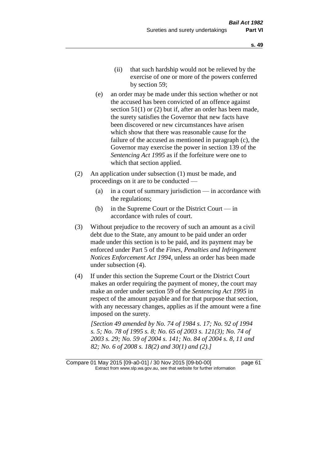- (e) an order may be made under this section whether or not the accused has been convicted of an offence against section 51(1) or (2) but if, after an order has been made, the surety satisfies the Governor that new facts have been discovered or new circumstances have arisen which show that there was reasonable cause for the failure of the accused as mentioned in paragraph (c), the Governor may exercise the power in section 139 of the *Sentencing Act 1995* as if the forfeiture were one to which that section applied.
- (2) An application under subsection (1) must be made, and proceedings on it are to be conducted —
	- (a) in a court of summary jurisdiction in accordance with the regulations;
	- (b) in the Supreme Court or the District Court  $-\text{in}$ accordance with rules of court.
- (3) Without prejudice to the recovery of such an amount as a civil debt due to the State, any amount to be paid under an order made under this section is to be paid, and its payment may be enforced under Part 5 of the *Fines, Penalties and Infringement Notices Enforcement Act 1994*, unless an order has been made under subsection (4).
- (4) If under this section the Supreme Court or the District Court makes an order requiring the payment of money, the court may make an order under section 59 of the *Sentencing Act 1995* in respect of the amount payable and for that purpose that section, with any necessary changes, applies as if the amount were a fine imposed on the surety.

*[Section 49 amended by No. 74 of 1984 s. 17; No. 92 of 1994 s. 5; No. 78 of 1995 s. 8; No. 65 of 2003 s. 121(3); No. 74 of 2003 s. 29; No. 59 of 2004 s. 141; No. 84 of 2004 s. 8, 11 and 82; No. 6 of 2008 s. 18(2) and 30(1) and (2).]* 

Compare 01 May 2015 [09-a0-01] / 30 Nov 2015 [09-b0-00] page 61 Extract from www.slp.wa.gov.au, see that website for further information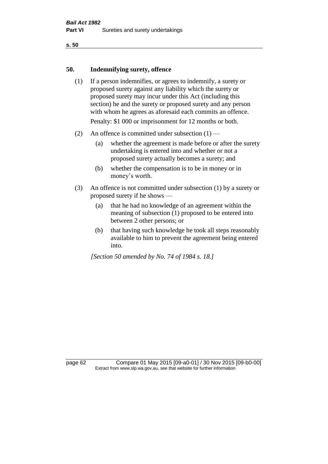#### **50. Indemnifying surety, offence**

- (1) If a person indemnifies, or agrees to indemnify, a surety or proposed surety against any liability which the surety or proposed surety may incur under this Act (including this section) he and the surety or proposed surety and any person with whom he agrees as aforesaid each commits an offence. Penalty: \$1 000 or imprisonment for 12 months or both.
- (2) An offence is committed under subsection  $(1)$ 
	- (a) whether the agreement is made before or after the surety undertaking is entered into and whether or not a proposed surety actually becomes a surety; and
	- (b) whether the compensation is to be in money or in money's worth.
- (3) An offence is not committed under subsection (1) by a surety or proposed surety if he shows —
	- (a) that he had no knowledge of an agreement within the meaning of subsection (1) proposed to be entered into between 2 other persons; or
	- (b) that having such knowledge he took all steps reasonably available to him to prevent the agreement being entered into.

*[Section 50 amended by No. 74 of 1984 s. 18.]* 

page 62 Compare 01 May 2015 [09-a0-01] / 30 Nov 2015 [09-b0-00] Extract from www.slp.wa.gov.au, see that website for further information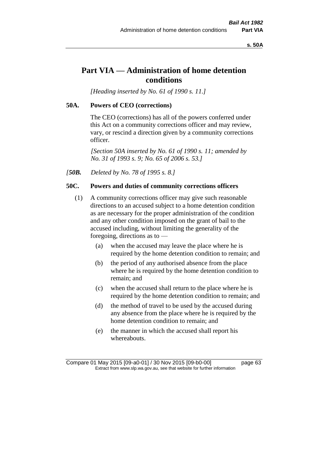**s. 50A**

# **Part VIA — Administration of home detention conditions**

*[Heading inserted by No. 61 of 1990 s. 11.]* 

#### **50A. Powers of CEO (corrections)**

The CEO (corrections) has all of the powers conferred under this Act on a community corrections officer and may review, vary, or rescind a direction given by a community corrections officer.

*[Section 50A inserted by No. 61 of 1990 s. 11; amended by No. 31 of 1993 s. 9; No. 65 of 2006 s. 53.]* 

*[50B. Deleted by No. 78 of 1995 s. 8.]* 

# **50C. Powers and duties of community corrections officers**

- (1) A community corrections officer may give such reasonable directions to an accused subject to a home detention condition as are necessary for the proper administration of the condition and any other condition imposed on the grant of bail to the accused including, without limiting the generality of the foregoing, directions as to —
	- (a) when the accused may leave the place where he is required by the home detention condition to remain; and
	- (b) the period of any authorised absence from the place where he is required by the home detention condition to remain; and
	- (c) when the accused shall return to the place where he is required by the home detention condition to remain; and
	- (d) the method of travel to be used by the accused during any absence from the place where he is required by the home detention condition to remain; and
	- (e) the manner in which the accused shall report his whereabouts.

Compare 01 May 2015 [09-a0-01] / 30 Nov 2015 [09-b0-00] page 63 Extract from www.slp.wa.gov.au, see that website for further information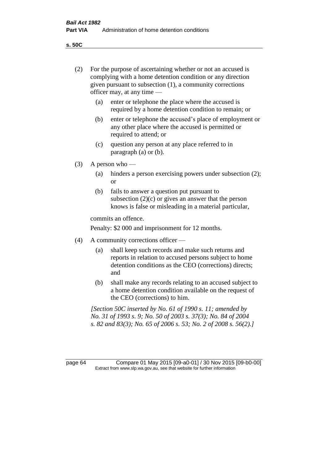**s. 50C**

| (2)     | For the purpose of ascertaining whether or not an accused is<br>complying with a home detention condition or any direction<br>given pursuant to subsection (1), a community corrections<br>officer may, at any time - |                                                                                                                                                                              |
|---------|-----------------------------------------------------------------------------------------------------------------------------------------------------------------------------------------------------------------------|------------------------------------------------------------------------------------------------------------------------------------------------------------------------------|
|         | (a)                                                                                                                                                                                                                   | enter or telephone the place where the accused is<br>required by a home detention condition to remain; or                                                                    |
|         | (b)                                                                                                                                                                                                                   | enter or telephone the accused's place of employment or<br>any other place where the accused is permitted or<br>required to attend; or                                       |
|         | (c)                                                                                                                                                                                                                   | question any person at any place referred to in<br>paragraph $(a)$ or $(b)$ .                                                                                                |
| (3)     | A person who $-$                                                                                                                                                                                                      |                                                                                                                                                                              |
|         | (a)                                                                                                                                                                                                                   | hinders a person exercising powers under subsection (2);<br><sub>or</sub>                                                                                                    |
|         | (b)                                                                                                                                                                                                                   | fails to answer a question put pursuant to<br>subsection $(2)(c)$ or gives an answer that the person<br>knows is false or misleading in a material particular,               |
|         | commits an offence.                                                                                                                                                                                                   |                                                                                                                                                                              |
|         | Penalty: \$2 000 and imprisonment for 12 months.                                                                                                                                                                      |                                                                                                                                                                              |
| (4)     | A community corrections officer -                                                                                                                                                                                     |                                                                                                                                                                              |
|         | (a)                                                                                                                                                                                                                   | shall keep such records and make such returns and<br>reports in relation to accused persons subject to home<br>detention conditions as the CEO (corrections) directs;<br>and |
|         | (b)                                                                                                                                                                                                                   | shall make any records relating to an accused subject to<br>a home detention condition available on the request of<br>the CEO (corrections) to him.                          |
|         | [Section 50C inserted by No. 61 of 1990 s. 11; amended by<br>No. 31 of 1993 s. 9; No. 50 of 2003 s. 37(3); No. 84 of 2004<br>s. 82 and 83(3); No. 65 of 2006 s. 53; No. 2 of 2008 s. 56(2).]                          |                                                                                                                                                                              |
| page 64 |                                                                                                                                                                                                                       | Compare 01 May 2015 [09-a0-01] / 30 Nov 2015 [09-b0-00]<br>Extract from www.slp.wa.gov.au, see that website for further information                                          |
|         |                                                                                                                                                                                                                       |                                                                                                                                                                              |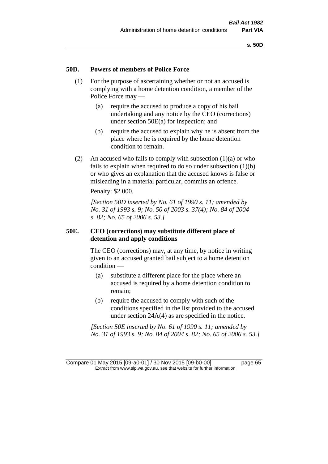#### **50D. Powers of members of Police Force**

- (1) For the purpose of ascertaining whether or not an accused is complying with a home detention condition, a member of the Police Force may —
	- (a) require the accused to produce a copy of his bail undertaking and any notice by the CEO (corrections) under section 50E(a) for inspection; and
	- (b) require the accused to explain why he is absent from the place where he is required by the home detention condition to remain.
- (2) An accused who fails to comply with subsection  $(1)(a)$  or who fails to explain when required to do so under subsection (1)(b) or who gives an explanation that the accused knows is false or misleading in a material particular, commits an offence.

Penalty: \$2 000.

*[Section 50D inserted by No. 61 of 1990 s. 11; amended by No. 31 of 1993 s. 9; No. 50 of 2003 s. 37(4); No. 84 of 2004 s. 82; No. 65 of 2006 s. 53.]* 

#### **50E. CEO (corrections) may substitute different place of detention and apply conditions**

The CEO (corrections) may, at any time, by notice in writing given to an accused granted bail subject to a home detention condition —

- (a) substitute a different place for the place where an accused is required by a home detention condition to remain;
- (b) require the accused to comply with such of the conditions specified in the list provided to the accused under section 24A(4) as are specified in the notice.

*[Section 50E inserted by No. 61 of 1990 s. 11; amended by No. 31 of 1993 s. 9; No. 84 of 2004 s. 82; No. 65 of 2006 s. 53.]* 

Compare 01 May 2015 [09-a0-01] / 30 Nov 2015 [09-b0-00] page 65 Extract from www.slp.wa.gov.au, see that website for further information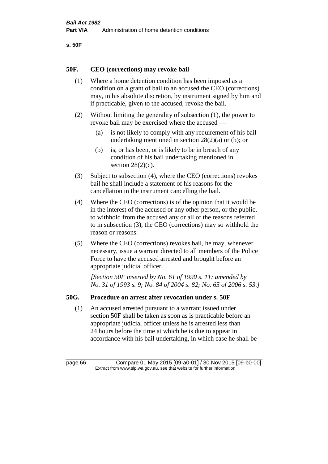```
s. 50F
```
# **50F. CEO (corrections) may revoke bail**

- (1) Where a home detention condition has been imposed as a condition on a grant of bail to an accused the CEO (corrections) may, in his absolute discretion, by instrument signed by him and if practicable, given to the accused, revoke the bail.
- (2) Without limiting the generality of subsection (1), the power to revoke bail may be exercised where the accused —
	- (a) is not likely to comply with any requirement of his bail undertaking mentioned in section 28(2)(a) or (b); or
	- (b) is, or has been, or is likely to be in breach of any condition of his bail undertaking mentioned in section  $28(2)(c)$ .
- (3) Subject to subsection (4), where the CEO (corrections) revokes bail he shall include a statement of his reasons for the cancellation in the instrument cancelling the bail.
- (4) Where the CEO (corrections) is of the opinion that it would be in the interest of the accused or any other person, or the public, to withhold from the accused any or all of the reasons referred to in subsection (3), the CEO (corrections) may so withhold the reason or reasons.
- (5) Where the CEO (corrections) revokes bail, he may, whenever necessary, issue a warrant directed to all members of the Police Force to have the accused arrested and brought before an appropriate judicial officer.

*[Section 50F inserted by No. 61 of 1990 s. 11; amended by No. 31 of 1993 s. 9; No. 84 of 2004 s. 82; No. 65 of 2006 s. 53.]* 

# **50G. Procedure on arrest after revocation under s. 50F**

(1) An accused arrested pursuant to a warrant issued under section 50F shall be taken as soon as is practicable before an appropriate judicial officer unless he is arrested less than 24 hours before the time at which he is due to appear in accordance with his bail undertaking, in which case he shall be

page 66 Compare 01 May 2015 [09-a0-01] / 30 Nov 2015 [09-b0-00] Extract from www.slp.wa.gov.au, see that website for further information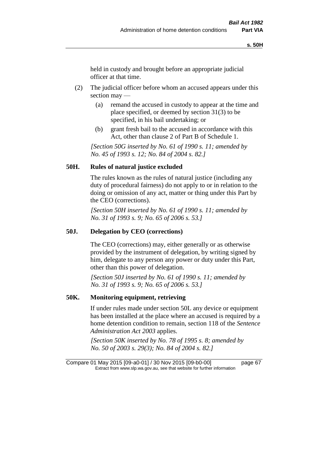held in custody and brought before an appropriate judicial officer at that time.

- (2) The judicial officer before whom an accused appears under this section may —
	- (a) remand the accused in custody to appear at the time and place specified, or deemed by section 31(3) to be specified, in his bail undertaking; or
	- (b) grant fresh bail to the accused in accordance with this Act, other than clause 2 of Part B of Schedule 1.

*[Section 50G inserted by No. 61 of 1990 s. 11; amended by No. 45 of 1993 s. 12; No. 84 of 2004 s. 82.]* 

# **50H. Rules of natural justice excluded**

The rules known as the rules of natural justice (including any duty of procedural fairness) do not apply to or in relation to the doing or omission of any act, matter or thing under this Part by the CEO (corrections).

*[Section 50H inserted by No. 61 of 1990 s. 11; amended by No. 31 of 1993 s. 9; No. 65 of 2006 s. 53.]* 

#### **50J. Delegation by CEO (corrections)**

The CEO (corrections) may, either generally or as otherwise provided by the instrument of delegation, by writing signed by him, delegate to any person any power or duty under this Part, other than this power of delegation.

*[Section 50J inserted by No. 61 of 1990 s. 11; amended by No. 31 of 1993 s. 9; No. 65 of 2006 s. 53.]* 

#### **50K. Monitoring equipment, retrieving**

If under rules made under section 50L any device or equipment has been installed at the place where an accused is required by a home detention condition to remain, section 118 of the *Sentence Administration Act 2003* applies.

*[Section 50K inserted by No. 78 of 1995 s. 8; amended by No. 50 of 2003 s. 29(3); No. 84 of 2004 s. 82.]* 

Compare 01 May 2015 [09-a0-01] / 30 Nov 2015 [09-b0-00] page 67 Extract from www.slp.wa.gov.au, see that website for further information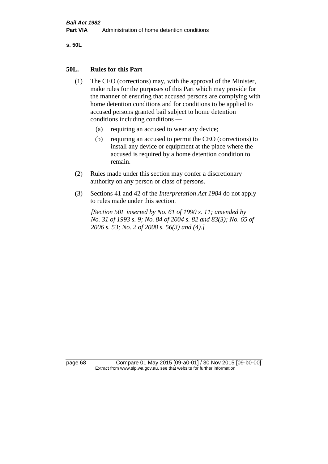**s. 50L**

#### **50L. Rules for this Part**

- (1) The CEO (corrections) may, with the approval of the Minister, make rules for the purposes of this Part which may provide for the manner of ensuring that accused persons are complying with home detention conditions and for conditions to be applied to accused persons granted bail subject to home detention conditions including conditions —
	- (a) requiring an accused to wear any device;
	- (b) requiring an accused to permit the CEO (corrections) to install any device or equipment at the place where the accused is required by a home detention condition to remain.
- (2) Rules made under this section may confer a discretionary authority on any person or class of persons.
- (3) Sections 41 and 42 of the *Interpretation Act 1984* do not apply to rules made under this section.

*[Section 50L inserted by No. 61 of 1990 s. 11; amended by No. 31 of 1993 s. 9; No. 84 of 2004 s. 82 and 83(3); No. 65 of 2006 s. 53; No. 2 of 2008 s. 56(3) and (4).]* 

page 68 Compare 01 May 2015 [09-a0-01] / 30 Nov 2015 [09-b0-00] Extract from www.slp.wa.gov.au, see that website for further information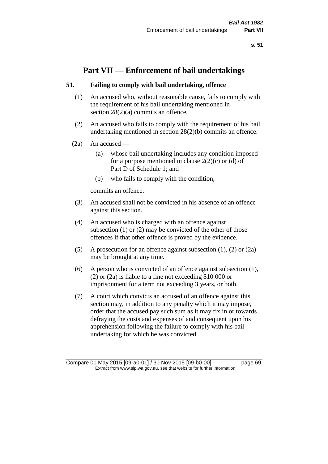# **Part VII — Enforcement of bail undertakings**

#### **51. Failing to comply with bail undertaking, offence**

- (1) An accused who, without reasonable cause, fails to comply with the requirement of his bail undertaking mentioned in section 28(2)(a) commits an offence.
- (2) An accused who fails to comply with the requirement of his bail undertaking mentioned in section 28(2)(b) commits an offence.
- (2a) An accused
	- (a) whose bail undertaking includes any condition imposed for a purpose mentioned in clause  $2(2)(c)$  or (d) of Part D of Schedule 1; and
	- (b) who fails to comply with the condition,

commits an offence.

- (3) An accused shall not be convicted in his absence of an offence against this section.
- (4) An accused who is charged with an offence against subsection (1) or (2) may be convicted of the other of those offences if that other offence is proved by the evidence.
- (5) A prosecution for an offence against subsection (1), (2) or (2a) may be brought at any time.
- (6) A person who is convicted of an offence against subsection (1), (2) or (2a) is liable to a fine not exceeding \$10 000 or imprisonment for a term not exceeding 3 years, or both.
- (7) A court which convicts an accused of an offence against this section may, in addition to any penalty which it may impose, order that the accused pay such sum as it may fix in or towards defraying the costs and expenses of and consequent upon his apprehension following the failure to comply with his bail undertaking for which he was convicted.

Compare 01 May 2015 [09-a0-01] / 30 Nov 2015 [09-b0-00] page 69 Extract from www.slp.wa.gov.au, see that website for further information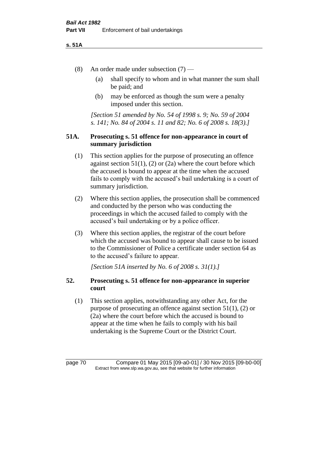#### **s. 51A**

- (8) An order made under subsection (7)
	- (a) shall specify to whom and in what manner the sum shall be paid; and
	- (b) may be enforced as though the sum were a penalty imposed under this section.

*[Section 51 amended by No. 54 of 1998 s. 9; No. 59 of 2004 s. 141; No. 84 of 2004 s. 11 and 82; No. 6 of 2008 s. 18(3).]*

# **51A. Prosecuting s. 51 offence for non-appearance in court of summary jurisdiction**

- (1) This section applies for the purpose of prosecuting an offence against section  $51(1)$ ,  $(2)$  or  $(2a)$  where the court before which the accused is bound to appear at the time when the accused fails to comply with the accused's bail undertaking is a court of summary jurisdiction.
- (2) Where this section applies, the prosecution shall be commenced and conducted by the person who was conducting the proceedings in which the accused failed to comply with the accused's bail undertaking or by a police officer.
- (3) Where this section applies, the registrar of the court before which the accused was bound to appear shall cause to be issued to the Commissioner of Police a certificate under section 64 as to the accused's failure to appear.

*[Section 51A inserted by No. 6 of 2008 s. 31(1).]*

# **52. Prosecuting s. 51 offence for non-appearance in superior court**

(1) This section applies, notwithstanding any other Act, for the purpose of prosecuting an offence against section 51(1), (2) or (2a) where the court before which the accused is bound to appear at the time when he fails to comply with his bail undertaking is the Supreme Court or the District Court.

page 70 Compare 01 May 2015 [09-a0-01] / 30 Nov 2015 [09-b0-00] Extract from www.slp.wa.gov.au, see that website for further information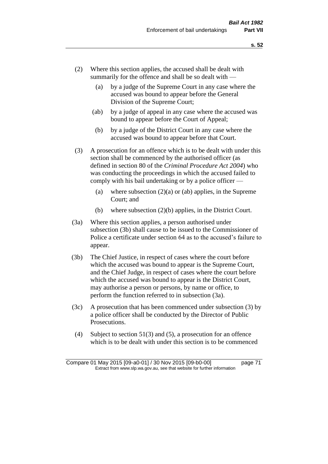- (2) Where this section applies, the accused shall be dealt with summarily for the offence and shall be so dealt with —
	- (a) by a judge of the Supreme Court in any case where the accused was bound to appear before the General Division of the Supreme Court;
	- (ab) by a judge of appeal in any case where the accused was bound to appear before the Court of Appeal;
	- (b) by a judge of the District Court in any case where the accused was bound to appear before that Court.
- (3) A prosecution for an offence which is to be dealt with under this section shall be commenced by the authorised officer (as defined in section 80 of the *Criminal Procedure Act 2004*) who was conducting the proceedings in which the accused failed to comply with his bail undertaking or by a police officer —
	- (a) where subsection  $(2)(a)$  or (ab) applies, in the Supreme Court; and
	- (b) where subsection (2)(b) applies, in the District Court.
- (3a) Where this section applies, a person authorised under subsection (3b) shall cause to be issued to the Commissioner of Police a certificate under section 64 as to the accused's failure to appear.
- (3b) The Chief Justice, in respect of cases where the court before which the accused was bound to appear is the Supreme Court, and the Chief Judge, in respect of cases where the court before which the accused was bound to appear is the District Court, may authorise a person or persons, by name or office, to perform the function referred to in subsection (3a).
- (3c) A prosecution that has been commenced under subsection (3) by a police officer shall be conducted by the Director of Public Prosecutions.
- (4) Subject to section 51(3) and (5), a prosecution for an offence which is to be dealt with under this section is to be commenced

Compare 01 May 2015 [09-a0-01] / 30 Nov 2015 [09-b0-00] page 71 Extract from www.slp.wa.gov.au, see that website for further information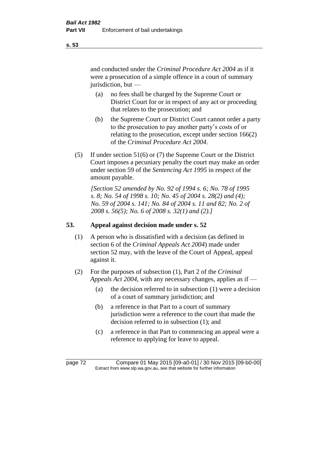and conducted under the *Criminal Procedure Act 2004* as if it were a prosecution of a simple offence in a court of summary jurisdiction, but —

- (a) no fees shall be charged by the Supreme Court or District Court for or in respect of any act or proceeding that relates to the prosecution; and
- (b) the Supreme Court or District Court cannot order a party to the prosecution to pay another party's costs of or relating to the prosecution, except under section 166(2) of the *Criminal Procedure Act 2004*.
- (5) If under section 51(6) or (7) the Supreme Court or the District Court imposes a pecuniary penalty the court may make an order under section 59 of the *Sentencing Act 1995* in respect of the amount payable.

*[Section 52 amended by No. 92 of 1994 s. 6; No. 78 of 1995 s. 8; No. 54 of 1998 s. 10; No. 45 of 2004 s. 28(2) and (4); No. 59 of 2004 s. 141; No. 84 of 2004 s. 11 and 82; No. 2 of 2008 s. 56(5); No. 6 of 2008 s. 32(1) and (2).]* 

# **53. Appeal against decision made under s. 52**

- (1) A person who is dissatisfied with a decision (as defined in section 6 of the *Criminal Appeals Act 2004*) made under section 52 may, with the leave of the Court of Appeal, appeal against it.
- (2) For the purposes of subsection (1), Part 2 of the *Criminal Appeals Act 2004*, with any necessary changes, applies as if —
	- (a) the decision referred to in subsection (1) were a decision of a court of summary jurisdiction; and
	- (b) a reference in that Part to a court of summary jurisdiction were a reference to the court that made the decision referred to in subsection (1); and
	- (c) a reference in that Part to commencing an appeal were a reference to applying for leave to appeal.

**s. 53**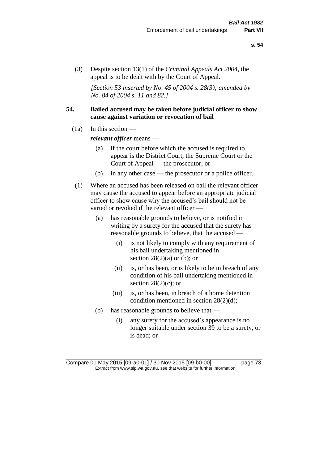(3) Despite section 13(1) of the *Criminal Appeals Act 2004*, the appeal is to be dealt with by the Court of Appeal.

*[Section 53 inserted by No. 45 of 2004 s. 28(3); amended by No. 84 of 2004 s. 11 and 82.]*

# **54. Bailed accused may be taken before judicial officer to show cause against variation or revocation of bail**

 $(1a)$  In this section —

*relevant officer* means —

- (a) if the court before which the accused is required to appear is the District Court, the Supreme Court or the Court of Appeal — the prosecutor; or
- (b) in any other case the prosecutor or a police officer.
- (1) Where an accused has been released on bail the relevant officer may cause the accused to appear before an appropriate judicial officer to show cause why the accused's bail should not be varied or revoked if the relevant officer —
	- (a) has reasonable grounds to believe, or is notified in writing by a surety for the accused that the surety has reasonable grounds to believe, that the accused —
		- (i) is not likely to comply with any requirement of his bail undertaking mentioned in section  $28(2)(a)$  or (b); or
		- (ii) is, or has been, or is likely to be in breach of any condition of his bail undertaking mentioned in section  $28(2)(c)$ ; or
		- (iii) is, or has been, in breach of a home detention condition mentioned in section 28(2)(d);
	- (b) has reasonable grounds to believe that
		- (i) any surety for the accused's appearance is no longer suitable under section 39 to be a surety, or is dead; or

Compare 01 May 2015 [09-a0-01] / 30 Nov 2015 [09-b0-00] page 73 Extract from www.slp.wa.gov.au, see that website for further information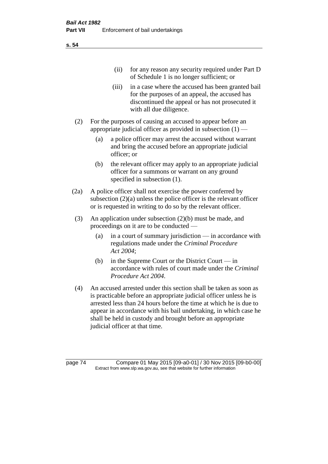(ii) for any reason any security required under Part D of Schedule 1 is no longer sufficient; or

- (iii) in a case where the accused has been granted bail for the purposes of an appeal, the accused has discontinued the appeal or has not prosecuted it with all due diligence.
- (2) For the purposes of causing an accused to appear before an appropriate judicial officer as provided in subsection (1) —
	- (a) a police officer may arrest the accused without warrant and bring the accused before an appropriate judicial officer; or
	- (b) the relevant officer may apply to an appropriate judicial officer for a summons or warrant on any ground specified in subsection (1).
- (2a) A police officer shall not exercise the power conferred by subsection (2)(a) unless the police officer is the relevant officer or is requested in writing to do so by the relevant officer.
- (3) An application under subsection (2)(b) must be made, and proceedings on it are to be conducted —
	- (a) in a court of summary jurisdiction in accordance with regulations made under the *Criminal Procedure Act 2004*;
	- (b) in the Supreme Court or the District Court  $-\text{in}$ accordance with rules of court made under the *Criminal Procedure Act 2004*.
- (4) An accused arrested under this section shall be taken as soon as is practicable before an appropriate judicial officer unless he is arrested less than 24 hours before the time at which he is due to appear in accordance with his bail undertaking, in which case he shall be held in custody and brought before an appropriate judicial officer at that time.

page 74 Compare 01 May 2015 [09-a0-01] / 30 Nov 2015 [09-b0-00] Extract from www.slp.wa.gov.au, see that website for further information

## **s. 54**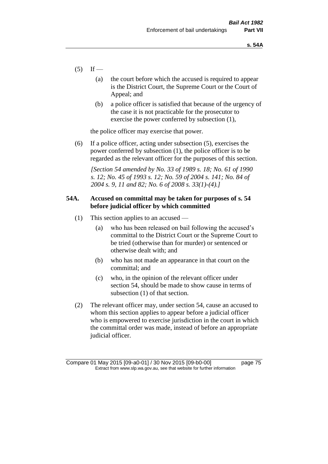- $(5)$  If
	- (a) the court before which the accused is required to appear is the District Court, the Supreme Court or the Court of Appeal; and
	- (b) a police officer is satisfied that because of the urgency of the case it is not practicable for the prosecutor to exercise the power conferred by subsection (1),

the police officer may exercise that power.

(6) If a police officer, acting under subsection (5), exercises the power conferred by subsection (1), the police officer is to be regarded as the relevant officer for the purposes of this section.

*[Section 54 amended by No. 33 of 1989 s. 18; No. 61 of 1990 s. 12; No. 45 of 1993 s. 12; No. 59 of 2004 s. 141; No. 84 of 2004 s. 9, 11 and 82; No. 6 of 2008 s. 33(1)-(4).]* 

# **54A. Accused on committal may be taken for purposes of s. 54 before judicial officer by which committed**

- (1) This section applies to an accused
	- (a) who has been released on bail following the accused's committal to the District Court or the Supreme Court to be tried (otherwise than for murder) or sentenced or otherwise dealt with; and
	- (b) who has not made an appearance in that court on the committal; and
	- (c) who, in the opinion of the relevant officer under section 54, should be made to show cause in terms of subsection (1) of that section.
- (2) The relevant officer may, under section 54, cause an accused to whom this section applies to appear before a judicial officer who is empowered to exercise jurisdiction in the court in which the committal order was made, instead of before an appropriate judicial officer.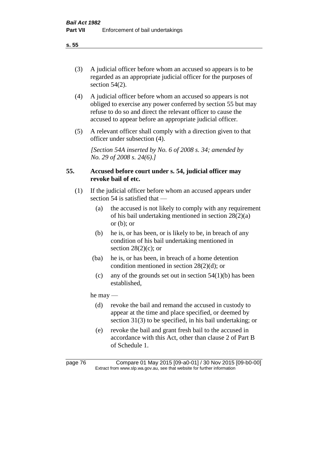(3) A judicial officer before whom an accused so appears is to be regarded as an appropriate judicial officer for the purposes of section 54(2).

- (4) A judicial officer before whom an accused so appears is not obliged to exercise any power conferred by section 55 but may refuse to do so and direct the relevant officer to cause the accused to appear before an appropriate judicial officer.
- (5) A relevant officer shall comply with a direction given to that officer under subsection (4).

*[Section 54A inserted by No. 6 of 2008 s. 34; amended by No. 29 of 2008 s. 24(6).]*

# **55. Accused before court under s. 54, judicial officer may revoke bail of etc.**

- (1) If the judicial officer before whom an accused appears under section 54 is satisfied that —
	- (a) the accused is not likely to comply with any requirement of his bail undertaking mentioned in section 28(2)(a) or  $(b)$ ; or
	- (b) he is, or has been, or is likely to be, in breach of any condition of his bail undertaking mentioned in section  $28(2)(c)$ ; or
	- (ba) he is, or has been, in breach of a home detention condition mentioned in section 28(2)(d); or
	- (c) any of the grounds set out in section  $54(1)(b)$  has been established,

he may —

- (d) revoke the bail and remand the accused in custody to appear at the time and place specified, or deemed by section 31(3) to be specified, in his bail undertaking; or
- (e) revoke the bail and grant fresh bail to the accused in accordance with this Act, other than clause 2 of Part B of Schedule 1.

page 76 Compare 01 May 2015 [09-a0-01] / 30 Nov 2015 [09-b0-00] Extract from www.slp.wa.gov.au, see that website for further information

**s. 55**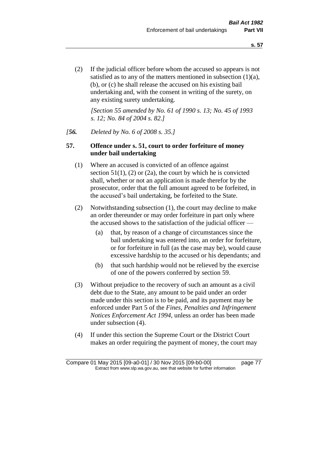(2) If the judicial officer before whom the accused so appears is not satisfied as to any of the matters mentioned in subsection (1)(a), (b), or (c) he shall release the accused on his existing bail undertaking and, with the consent in writing of the surety, on any existing surety undertaking.

*[Section 55 amended by No. 61 of 1990 s. 13; No. 45 of 1993 s. 12; No. 84 of 2004 s. 82.]* 

## *[56. Deleted by No. 6 of 2008 s. 35.]*

# **57. Offence under s. 51, court to order forfeiture of money under bail undertaking**

- (1) Where an accused is convicted of an offence against section  $51(1)$ ,  $(2)$  or  $(2a)$ , the court by which he is convicted shall, whether or not an application is made therefor by the prosecutor, order that the full amount agreed to be forfeited, in the accused's bail undertaking, be forfeited to the State.
- (2) Notwithstanding subsection (1), the court may decline to make an order thereunder or may order forfeiture in part only where the accused shows to the satisfaction of the judicial officer —
	- (a) that, by reason of a change of circumstances since the bail undertaking was entered into, an order for forfeiture, or for forfeiture in full (as the case may be), would cause excessive hardship to the accused or his dependants; and
	- (b) that such hardship would not be relieved by the exercise of one of the powers conferred by section 59.
- (3) Without prejudice to the recovery of such an amount as a civil debt due to the State, any amount to be paid under an order made under this section is to be paid, and its payment may be enforced under Part 5 of the *Fines, Penalties and Infringement Notices Enforcement Act 1994*, unless an order has been made under subsection (4).
- (4) If under this section the Supreme Court or the District Court makes an order requiring the payment of money, the court may

Compare 01 May 2015 [09-a0-01] / 30 Nov 2015 [09-b0-00] page 77 Extract from www.slp.wa.gov.au, see that website for further information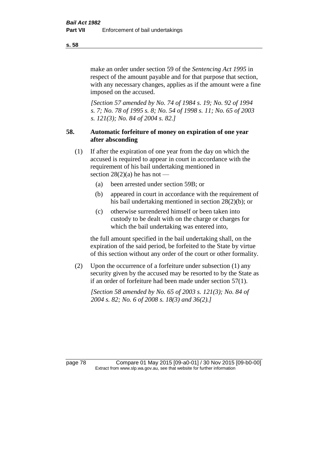make an order under section 59 of the *Sentencing Act 1995* in respect of the amount payable and for that purpose that section, with any necessary changes, applies as if the amount were a fine imposed on the accused.

*[Section 57 amended by No. 74 of 1984 s. 19; No. 92 of 1994 s. 7; No. 78 of 1995 s. 8; No. 54 of 1998 s. 11; No. 65 of 2003 s. 121(3); No. 84 of 2004 s. 82.]* 

# **58. Automatic forfeiture of money on expiration of one year after absconding**

- (1) If after the expiration of one year from the day on which the accused is required to appear in court in accordance with the requirement of his bail undertaking mentioned in section  $28(2)(a)$  he has not —
	- (a) been arrested under section 59B; or
	- (b) appeared in court in accordance with the requirement of his bail undertaking mentioned in section 28(2)(b); or
	- (c) otherwise surrendered himself or been taken into custody to be dealt with on the charge or charges for which the bail undertaking was entered into,

the full amount specified in the bail undertaking shall, on the expiration of the said period, be forfeited to the State by virtue of this section without any order of the court or other formality.

(2) Upon the occurrence of a forfeiture under subsection (1) any security given by the accused may be resorted to by the State as if an order of forfeiture had been made under section 57(1).

*[Section 58 amended by No. 65 of 2003 s. 121(3); No. 84 of 2004 s. 82; No. 6 of 2008 s. 18(3) and 36(2).]*

page 78 Compare 01 May 2015 [09-a0-01] / 30 Nov 2015 [09-b0-00] Extract from www.slp.wa.gov.au, see that website for further information

**s. 58**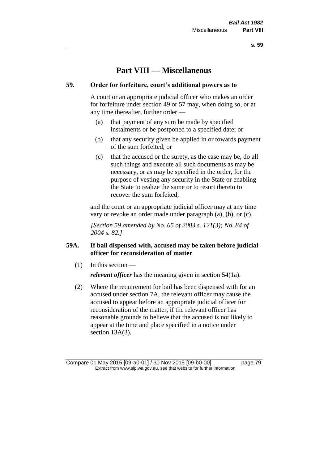**s. 59**

# **Part VIII — Miscellaneous**

# **59. Order for forfeiture, court's additional powers as to**

A court or an appropriate judicial officer who makes an order for forfeiture under section 49 or 57 may, when doing so, or at any time thereafter, further order —

- (a) that payment of any sum be made by specified instalments or be postponed to a specified date; or
- (b) that any security given be applied in or towards payment of the sum forfeited; or
- (c) that the accused or the surety, as the case may be, do all such things and execute all such documents as may be necessary, or as may be specified in the order, for the purpose of vesting any security in the State or enabling the State to realize the same or to resort thereto to recover the sum forfeited,

and the court or an appropriate judicial officer may at any time vary or revoke an order made under paragraph (a), (b), or (c).

*[Section 59 amended by No. 65 of 2003 s. 121(3); No. 84 of 2004 s. 82.]*

# **59A. If bail dispensed with, accused may be taken before judicial officer for reconsideration of matter**

 $(1)$  In this section —

*relevant officer* has the meaning given in section 54(1a).

(2) Where the requirement for bail has been dispensed with for an accused under section 7A, the relevant officer may cause the accused to appear before an appropriate judicial officer for reconsideration of the matter, if the relevant officer has reasonable grounds to believe that the accused is not likely to appear at the time and place specified in a notice under section 13A(3).

Compare 01 May 2015 [09-a0-01] / 30 Nov 2015 [09-b0-00] page 79 Extract from www.slp.wa.gov.au, see that website for further information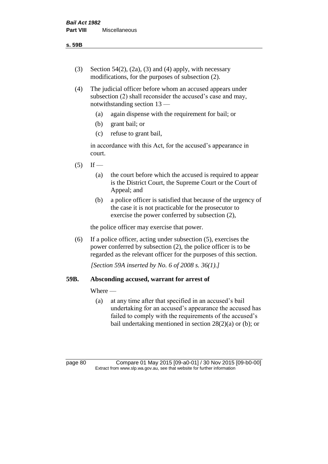- (3) Section 54(2), (2a), (3) and (4) apply, with necessary modifications, for the purposes of subsection (2).
- (4) The judicial officer before whom an accused appears under subsection (2) shall reconsider the accused's case and may, notwithstanding section 13 —
	- (a) again dispense with the requirement for bail; or
	- (b) grant bail; or
	- (c) refuse to grant bail,

in accordance with this Act, for the accused's appearance in court.

- $(5)$  If
	- (a) the court before which the accused is required to appear is the District Court, the Supreme Court or the Court of Appeal; and
	- (b) a police officer is satisfied that because of the urgency of the case it is not practicable for the prosecutor to exercise the power conferred by subsection (2),

the police officer may exercise that power.

(6) If a police officer, acting under subsection (5), exercises the power conferred by subsection (2), the police officer is to be regarded as the relevant officer for the purposes of this section.

*[Section 59A inserted by No. 6 of 2008 s. 36(1).]*

# **59B. Absconding accused, warrant for arrest of**

### Where —

(a) at any time after that specified in an accused's bail undertaking for an accused's appearance the accused has failed to comply with the requirements of the accused's bail undertaking mentioned in section  $28(2)(a)$  or (b); or

page 80 Compare 01 May 2015 [09-a0-01] / 30 Nov 2015 [09-b0-00] Extract from www.slp.wa.gov.au, see that website for further information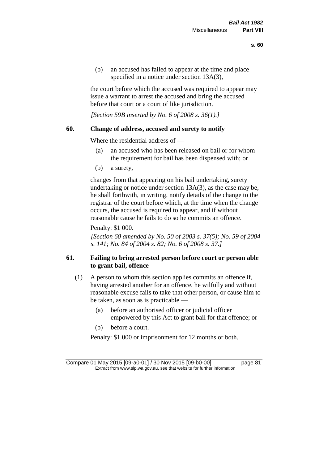(b) an accused has failed to appear at the time and place specified in a notice under section 13A(3),

the court before which the accused was required to appear may issue a warrant to arrest the accused and bring the accused before that court or a court of like jurisdiction.

*[Section 59B inserted by No. 6 of 2008 s. 36(1).]*

# **60. Change of address, accused and surety to notify**

Where the residential address of —

- (a) an accused who has been released on bail or for whom the requirement for bail has been dispensed with; or
- (b) a surety,

changes from that appearing on his bail undertaking, surety undertaking or notice under section 13A(3), as the case may be, he shall forthwith, in writing, notify details of the change to the registrar of the court before which, at the time when the change occurs, the accused is required to appear, and if without reasonable cause he fails to do so he commits an offence.

Penalty: \$1 000.

*[Section 60 amended by No. 50 of 2003 s. 37(5); No. 59 of 2004 s. 141; No. 84 of 2004 s. 82; No. 6 of 2008 s. 37.]*

# **61. Failing to bring arrested person before court or person able to grant bail, offence**

- (1) A person to whom this section applies commits an offence if, having arrested another for an offence, he wilfully and without reasonable excuse fails to take that other person, or cause him to be taken, as soon as is practicable —
	- (a) before an authorised officer or judicial officer empowered by this Act to grant bail for that offence; or
	- (b) before a court.

Penalty: \$1 000 or imprisonment for 12 months or both.

Compare 01 May 2015 [09-a0-01] / 30 Nov 2015 [09-b0-00] page 81 Extract from www.slp.wa.gov.au, see that website for further information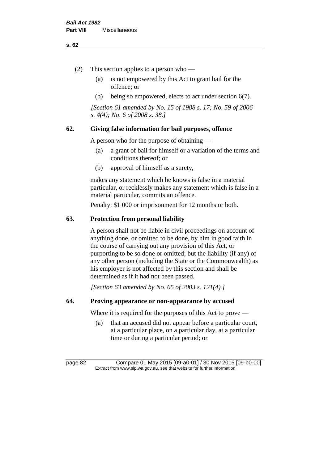#### **s. 62**

- (2) This section applies to a person who
	- (a) is not empowered by this Act to grant bail for the offence; or
	- (b) being so empowered, elects to act under section 6(7).

*[Section 61 amended by No. 15 of 1988 s. 17; No. 59 of 2006 s. 4(4); No. 6 of 2008 s. 38.]* 

# **62. Giving false information for bail purposes, offence**

A person who for the purpose of obtaining —

- (a) a grant of bail for himself or a variation of the terms and conditions thereof; or
- (b) approval of himself as a surety,

makes any statement which he knows is false in a material particular, or recklessly makes any statement which is false in a material particular, commits an offence.

Penalty: \$1 000 or imprisonment for 12 months or both.

#### **63. Protection from personal liability**

A person shall not be liable in civil proceedings on account of anything done, or omitted to be done, by him in good faith in the course of carrying out any provision of this Act, or purporting to be so done or omitted; but the liability (if any) of any other person (including the State or the Commonwealth) as his employer is not affected by this section and shall be determined as if it had not been passed.

*[Section 63 amended by No. 65 of 2003 s. 121(4).]*

# **64. Proving appearance or non-appearance by accused**

Where it is required for the purposes of this Act to prove —

(a) that an accused did not appear before a particular court, at a particular place, on a particular day, at a particular time or during a particular period; or

page 82 Compare 01 May 2015 [09-a0-01] / 30 Nov 2015 [09-b0-00] Extract from www.slp.wa.gov.au, see that website for further information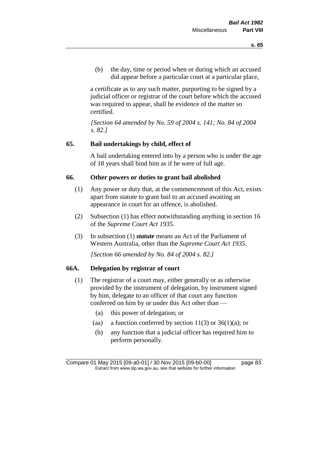(b) the day, time or period when or during which an accused did appear before a particular court at a particular place,

a certificate as to any such matter, purporting to be signed by a judicial officer or registrar of the court before which the accused was required to appear, shall be evidence of the matter so certified.

*[Section 64 amended by No. 59 of 2004 s. 141; No. 84 of 2004 s. 82.]* 

# **65. Bail undertakings by child, effect of**

A bail undertaking entered into by a person who is under the age of 18 years shall bind him as if he were of full age.

# **66. Other powers or duties to grant bail abolished**

- (1) Any power or duty that, at the commencement of this Act, exists apart from statute to grant bail to an accused awaiting an appearance in court for an offence, is abolished.
- (2) Subsection (1) has effect notwithstanding anything in section 16 of the *Supreme Court Act 1935*.
- (3) In subsection (1) *statute* means an Act of the Parliament of Western Australia, other than the *Supreme Court Act 1935*.

*[Section 66 amended by No. 84 of 2004 s. 82.]*

# **66A. Delegation by registrar of court**

- (1) The registrar of a court may, either generally or as otherwise provided by the instrument of delegation, by instrument signed by him, delegate to an officer of that court any function conferred on him by or under this Act other than —
	- (a) this power of delegation; or
	- (aa) a function conferred by section  $11(3)$  or  $36(1)(a)$ ; or
	- (b) any function that a judicial officer has required him to perform personally.

Compare 01 May 2015 [09-a0-01] / 30 Nov 2015 [09-b0-00] page 83 Extract from www.slp.wa.gov.au, see that website for further information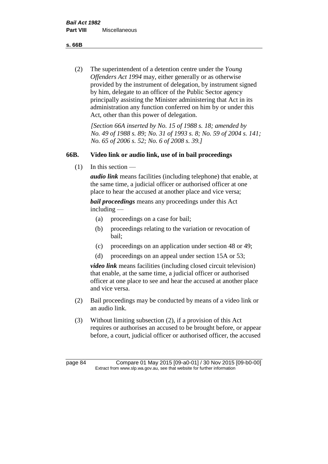**s. 66B**

(2) The superintendent of a detention centre under the *Young Offenders Act 1994* may, either generally or as otherwise provided by the instrument of delegation, by instrument signed by him, delegate to an officer of the Public Sector agency principally assisting the Minister administering that Act in its administration any function conferred on him by or under this Act, other than this power of delegation.

*[Section 66A inserted by No. 15 of 1988 s. 18; amended by No. 49 of 1988 s. 89; No. 31 of 1993 s. 8; No. 59 of 2004 s. 141; No. 65 of 2006 s. 52; No. 6 of 2008 s. 39.]* 

# **66B. Video link or audio link, use of in bail proceedings**

 $(1)$  In this section —

*audio link* means facilities (including telephone) that enable, at the same time, a judicial officer or authorised officer at one place to hear the accused at another place and vice versa;

*bail proceedings* means any proceedings under this Act including —

- (a) proceedings on a case for bail;
- (b) proceedings relating to the variation or revocation of bail;
- (c) proceedings on an application under section 48 or 49;
- (d) proceedings on an appeal under section 15A or 53;

*video link* means facilities (including closed circuit television) that enable, at the same time, a judicial officer or authorised officer at one place to see and hear the accused at another place and vice versa.

- (2) Bail proceedings may be conducted by means of a video link or an audio link.
- (3) Without limiting subsection (2), if a provision of this Act requires or authorises an accused to be brought before, or appear before, a court, judicial officer or authorised officer, the accused

page 84 Compare 01 May 2015 [09-a0-01] / 30 Nov 2015 [09-b0-00] Extract from www.slp.wa.gov.au, see that website for further information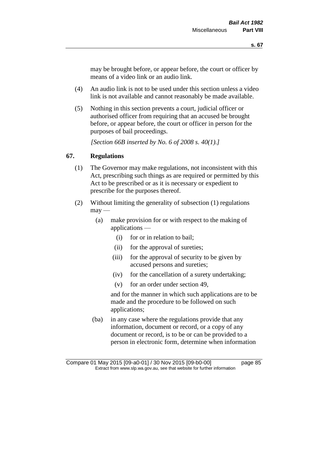may be brought before, or appear before, the court or officer by means of a video link or an audio link.

- (4) An audio link is not to be used under this section unless a video link is not available and cannot reasonably be made available.
- (5) Nothing in this section prevents a court, judicial officer or authorised officer from requiring that an accused be brought before, or appear before, the court or officer in person for the purposes of bail proceedings.

*[Section 66B inserted by No. 6 of 2008 s. 40(1).]*

# **67. Regulations**

- (1) The Governor may make regulations, not inconsistent with this Act, prescribing such things as are required or permitted by this Act to be prescribed or as it is necessary or expedient to prescribe for the purposes thereof.
- (2) Without limiting the generality of subsection (1) regulations  $\text{max}$  —
	- (a) make provision for or with respect to the making of applications —
		- (i) for or in relation to bail;
		- (ii) for the approval of sureties;
		- (iii) for the approval of security to be given by accused persons and sureties;
		- (iv) for the cancellation of a surety undertaking;
		- (v) for an order under section 49,

and for the manner in which such applications are to be made and the procedure to be followed on such applications;

(ba) in any case where the regulations provide that any information, document or record, or a copy of any document or record, is to be or can be provided to a person in electronic form, determine when information

Compare 01 May 2015 [09-a0-01] / 30 Nov 2015 [09-b0-00] page 85 Extract from www.slp.wa.gov.au, see that website for further information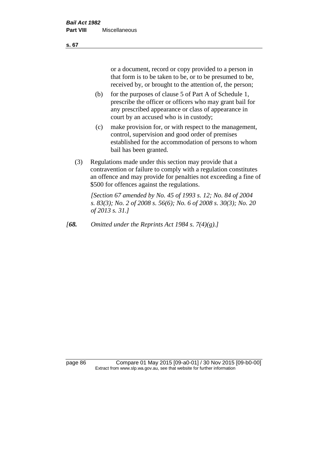or a document, record or copy provided to a person in that form is to be taken to be, or to be presumed to be, received by, or brought to the attention of, the person;

- (b) for the purposes of clause 5 of Part A of Schedule 1, prescribe the officer or officers who may grant bail for any prescribed appearance or class of appearance in court by an accused who is in custody;
- (c) make provision for, or with respect to the management, control, supervision and good order of premises established for the accommodation of persons to whom bail has been granted.
- (3) Regulations made under this section may provide that a contravention or failure to comply with a regulation constitutes an offence and may provide for penalties not exceeding a fine of \$500 for offences against the regulations.

*[Section 67 amended by No. 45 of 1993 s. 12; No. 84 of 2004 s. 83(3); No. 2 of 2008 s. 56(6); No. 6 of 2008 s. 30(3); No. 20 of 2013 s. 31.]* 

*[68. Omitted under the Reprints Act 1984 s. 7(4)(g).]*

page 86 Compare 01 May 2015 [09-a0-01] / 30 Nov 2015 [09-b0-00] Extract from www.slp.wa.gov.au, see that website for further information

**s. 67**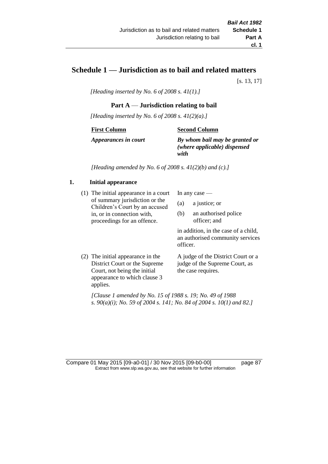# **Schedule 1 — Jurisdiction as to bail and related matters**

[s. 13, 17]

*[Heading inserted by No. 6 of 2008 s. 41(1).]*

# **Part A** — **Jurisdiction relating to bail**

*[Heading inserted by No. 6 of 2008 s. 41(2)(a).]*

#### **First Column**

#### **Second Column**

*Appearances in court*

*By whom bail may be granted or (where applicable) dispensed with*

*[Heading amended by No. 6 of 2008 s. 41(2)(b) and (c).]*

### **1. Initial appearance**

(1) The initial appearance in a court of summary jurisdiction or the Children's Court by an accused in, or in connection with, proceedings for an offence.

In any case —

- (a) a justice; or
- (b) an authorised police officer; and

in addition, in the case of a child, an authorised community services officer.

(2) The initial appearance in the District Court or the Supreme Court, not being the initial appearance to which clause 3 applies. A judge of the District Court or a judge of the Supreme Court, as the case requires.

*[Clause 1 amended by No. 15 of 1988 s. 19; No. 49 of 1988 s. 90(a)(i); No. 59 of 2004 s. 141; No. 84 of 2004 s. 10(1) and 82.]*

Compare 01 May 2015 [09-a0-01] / 30 Nov 2015 [09-b0-00] page 87 Extract from www.slp.wa.gov.au, see that website for further information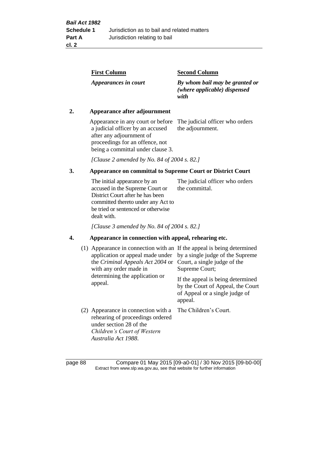| <b>First Column</b>  | <b>Second Column</b>                                                   |
|----------------------|------------------------------------------------------------------------|
| Appearances in court | By whom bail may be granted or<br>(where applicable) dispensed<br>with |

# **2. Appearance after adjournment**

Appearance in any court or before The judicial officer who orders a judicial officer by an accused after any adjournment of proceedings for an offence, not being a committal under clause 3.

the adjournment.

*[Clause 2 amended by No. 84 of 2004 s. 82.]*

# **3. Appearance on committal to Supreme Court or District Court**

The initial appearance by an accused in the Supreme Court or District Court after he has been committed thereto under any Act to be tried or sentenced or otherwise dealt with. The judicial officer who orders the committal.

*[Clause 3 amended by No. 84 of 2004 s. 82.]*

### **4. Appearance in connection with appeal, rehearing etc.**

| (1) Appearance in connection with an If the appeal is being determined<br>application or appeal made under<br>the Criminal Appeals Act 2004 or<br>with any order made in<br>determining the application or<br>appeal. | by a single judge of the Supreme<br>Court, a single judge of the<br>Supreme Court;<br>If the appeal is being determined<br>by the Court of Appeal, the Court<br>of Appeal or a single judge of<br>appeal. |
|-----------------------------------------------------------------------------------------------------------------------------------------------------------------------------------------------------------------------|-----------------------------------------------------------------------------------------------------------------------------------------------------------------------------------------------------------|
| (2) Appearance in connection with a<br>rehearing of proceedings ordered<br>under section 28 of the<br>Children's Court of Western<br>Australia Act 1988.                                                              | The Children's Court.                                                                                                                                                                                     |

page 88 Compare 01 May 2015 [09-a0-01] / 30 Nov 2015 [09-b0-00] Extract from www.slp.wa.gov.au, see that website for further information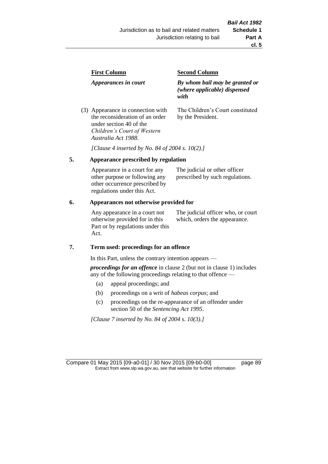| <b>First Column</b>                                                  | <b>Second Column</b>                                                   |
|----------------------------------------------------------------------|------------------------------------------------------------------------|
| Appearances in court                                                 | By whom bail may be granted or<br>(where applicable) dispensed<br>with |
| (3) Appearance in connection with<br>the reconsideration of an order | The Children's Court constituted<br>by the President.                  |

*[Clause 4 inserted by No. 84 of 2004 s. 10(2).]*

#### **5. Appearance prescribed by regulation**

under section 40 of the *Children's Court of Western* 

*Australia Act 1988*.

| Appearance in a court for any  | The judicial or other officer   |
|--------------------------------|---------------------------------|
| other purpose or following any | prescribed by such regulations. |
| other occurrence prescribed by |                                 |
| regulations under this Act.    |                                 |

### **6. Appearances not otherwise provided for**

Any appearance in a court not otherwise provided for in this Part or by regulations under this Act.

The judicial officer who, or court which, orders the appearance.

#### **7. Term used: proceedings for an offence**

In this Part, unless the contrary intention appears —

*proceedings for an offence* in clause 2 (but not in clause 1) includes any of the following proceedings relating to that offence —

- (a) appeal proceedings; and
- (b) proceedings on a writ of *habeas corpus*; and
- (c) proceedings on the re-appearance of an offender under section 50 of the *Sentencing Act 1995*.

*[Clause 7 inserted by No. 84 of 2004 s. 10(3).]*

Compare 01 May 2015 [09-a0-01] / 30 Nov 2015 [09-b0-00] page 89 Extract from www.slp.wa.gov.au, see that website for further information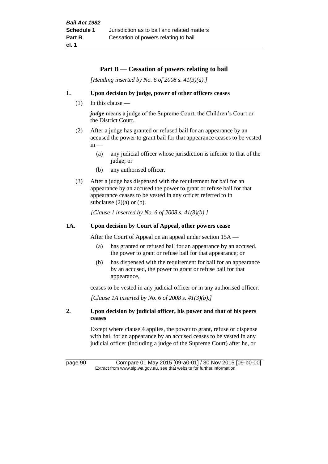# **Part B** — **Cessation of powers relating to bail**

*[Heading inserted by No. 6 of 2008 s. 41(3)(a).]*

### **1. Upon decision by judge, power of other officers ceases**

(1) In this clause —

*judge* means a judge of the Supreme Court, the Children's Court or the District Court.

- (2) After a judge has granted or refused bail for an appearance by an accused the power to grant bail for that appearance ceases to be vested  $in -$ 
	- (a) any judicial officer whose jurisdiction is inferior to that of the judge; or
	- (b) any authorised officer.
- (3) After a judge has dispensed with the requirement for bail for an appearance by an accused the power to grant or refuse bail for that appearance ceases to be vested in any officer referred to in subclause  $(2)(a)$  or  $(b)$ .

*[Clause 1 inserted by No. 6 of 2008 s. 41(3)(b).]*

### **1A. Upon decision by Court of Appeal, other powers cease**

After the Court of Appeal on an appeal under section 15A —

- (a) has granted or refused bail for an appearance by an accused, the power to grant or refuse bail for that appearance; or
- (b) has dispensed with the requirement for bail for an appearance by an accused, the power to grant or refuse bail for that appearance,

ceases to be vested in any judicial officer or in any authorised officer.

*[Clause 1A inserted by No. 6 of 2008 s. 41(3)(b).]*

### **2. Upon decision by judicial officer, his power and that of his peers ceases**

Except where clause 4 applies, the power to grant, refuse or dispense with bail for an appearance by an accused ceases to be vested in any judicial officer (including a judge of the Supreme Court) after he, or

page 90 Compare 01 May 2015 [09-a0-01] / 30 Nov 2015 [09-b0-00] Extract from www.slp.wa.gov.au, see that website for further information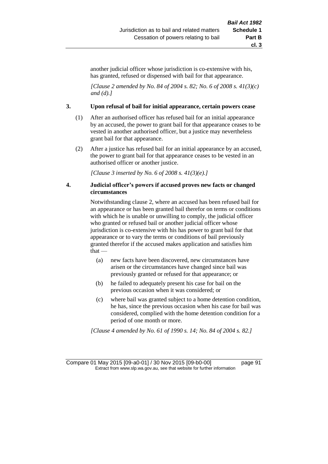another judicial officer whose jurisdiction is co-extensive with his, has granted, refused or dispensed with bail for that appearance.

*[Clause 2 amended by No. 84 of 2004 s. 82; No. 6 of 2008 s. 41(3)(c) and (d).]*

### **3. Upon refusal of bail for initial appearance, certain powers cease**

- (1) After an authorised officer has refused bail for an initial appearance by an accused, the power to grant bail for that appearance ceases to be vested in another authorised officer, but a justice may nevertheless grant bail for that appearance.
- (2) After a justice has refused bail for an initial appearance by an accused, the power to grant bail for that appearance ceases to be vested in an authorised officer or another justice.

*[Clause 3 inserted by No. 6 of 2008 s. 41(3)(e).]*

### **4. Judicial officer's powers if accused proves new facts or changed circumstances**

Notwithstanding clause 2, where an accused has been refused bail for an appearance or has been granted bail therefor on terms or conditions with which he is unable or unwilling to comply, the judicial officer who granted or refused bail or another judicial officer whose jurisdiction is co-extensive with his has power to grant bail for that appearance or to vary the terms or conditions of bail previously granted therefor if the accused makes application and satisfies him that —

- (a) new facts have been discovered, new circumstances have arisen or the circumstances have changed since bail was previously granted or refused for that appearance; or
- (b) he failed to adequately present his case for bail on the previous occasion when it was considered; or
- (c) where bail was granted subject to a home detention condition, he has, since the previous occasion when his case for bail was considered, complied with the home detention condition for a period of one month or more.

*[Clause 4 amended by No. 61 of 1990 s. 14; No. 84 of 2004 s. 82.]*

Compare 01 May 2015 [09-a0-01] / 30 Nov 2015 [09-b0-00] page 91 Extract from www.slp.wa.gov.au, see that website for further information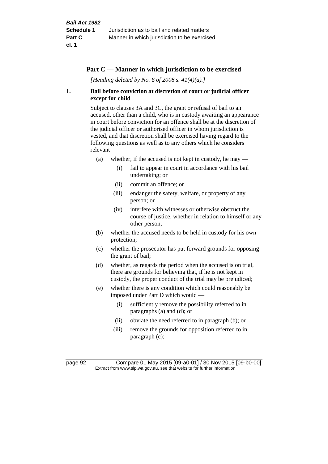# **Part C — Manner in which jurisdiction to be exercised**

*[Heading deleted by No. 6 of 2008 s. 41(4)(a).]*

# **1. Bail before conviction at discretion of court or judicial officer except for child**

Subject to clauses 3A and 3C, the grant or refusal of bail to an accused, other than a child, who is in custody awaiting an appearance in court before conviction for an offence shall be at the discretion of the judicial officer or authorised officer in whom jurisdiction is vested, and that discretion shall be exercised having regard to the following questions as well as to any others which he considers relevant —

- (a) whether, if the accused is not kept in custody, he may  $-$ 
	- (i) fail to appear in court in accordance with his bail undertaking; or
	- (ii) commit an offence; or
	- (iii) endanger the safety, welfare, or property of any person; or
	- (iv) interfere with witnesses or otherwise obstruct the course of justice, whether in relation to himself or any other person;
- (b) whether the accused needs to be held in custody for his own protection;
- (c) whether the prosecutor has put forward grounds for opposing the grant of bail;
- (d) whether, as regards the period when the accused is on trial, there are grounds for believing that, if he is not kept in custody, the proper conduct of the trial may be prejudiced;
- (e) whether there is any condition which could reasonably be imposed under Part D which would —
	- (i) sufficiently remove the possibility referred to in paragraphs (a) and (d); or
	- (ii) obviate the need referred to in paragraph (b); or
	- (iii) remove the grounds for opposition referred to in paragraph (c);

page 92 Compare 01 May 2015 [09-a0-01] / 30 Nov 2015 [09-b0-00] Extract from www.slp.wa.gov.au, see that website for further information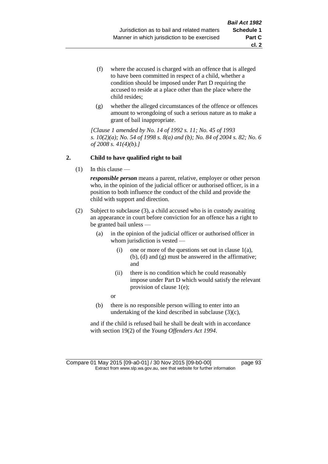- (f) where the accused is charged with an offence that is alleged to have been committed in respect of a child, whether a condition should be imposed under Part D requiring the accused to reside at a place other than the place where the child resides;
- (g) whether the alleged circumstances of the offence or offences amount to wrongdoing of such a serious nature as to make a grant of bail inappropriate.

*[Clause 1 amended by No. 14 of 1992 s. 11; No. 45 of 1993 s. 10(2)(a); No. 54 of 1998 s. 8(a) and (b); No. 84 of 2004 s. 82; No. 6 of 2008 s. 41(4)(b).]*

# **2. Child to have qualified right to bail**

(1) In this clause —

*responsible person* means a parent, relative, employer or other person who, in the opinion of the judicial officer or authorised officer, is in a position to both influence the conduct of the child and provide the child with support and direction.

- (2) Subject to subclause (3), a child accused who is in custody awaiting an appearance in court before conviction for an offence has a right to be granted bail unless —
	- (a) in the opinion of the judicial officer or authorised officer in whom jurisdiction is vested —
		- (i) one or more of the questions set out in clause  $1(a)$ , (b), (d) and (g) must be answered in the affirmative; and
		- (ii) there is no condition which he could reasonably impose under Part D which would satisfy the relevant provision of clause 1(e);

or

(b) there is no responsible person willing to enter into an undertaking of the kind described in subclause (3)(c),

and if the child is refused bail he shall be dealt with in accordance with section 19(2) of the *Young Offenders Act 1994*.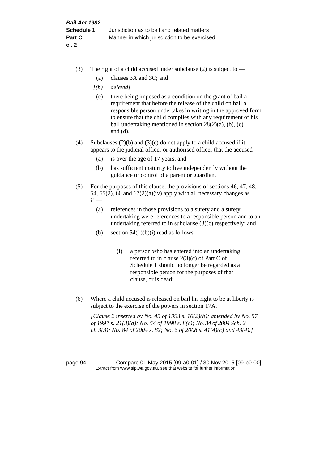- (3) The right of a child accused under subclause (2) is subject to  $-$ 
	- (a) clauses 3A and 3C; and
	- *[(b) deleted]*
	- (c) there being imposed as a condition on the grant of bail a requirement that before the release of the child on bail a responsible person undertakes in writing in the approved form to ensure that the child complies with any requirement of his bail undertaking mentioned in section  $28(2)(a)$ , (b), (c) and (d).
- (4) Subclauses (2)(b) and (3)(c) do not apply to a child accused if it appears to the judicial officer or authorised officer that the accused —
	- (a) is over the age of 17 years; and
	- (b) has sufficient maturity to live independently without the guidance or control of a parent or guardian.
- (5) For the purposes of this clause, the provisions of sections 46, 47, 48, 54, 55(2), 60 and  $67(2)(a)(iv)$  apply with all necessary changes as  $if -$ 
	- (a) references in those provisions to a surety and a surety undertaking were references to a responsible person and to an undertaking referred to in subclause (3)(c) respectively; and
	- (b) section  $54(1)(b)(i)$  read as follows
		- (i) a person who has entered into an undertaking referred to in clause 2(3)(c) of Part C of Schedule 1 should no longer be regarded as a responsible person for the purposes of that clause, or is dead;
- (6) Where a child accused is released on bail his right to be at liberty is subject to the exercise of the powers in section 17A.

*[Clause 2 inserted by No. 45 of 1993 s. 10(2)(b); amended by No. 57 of 1997 s. 21(3)(a); No. 54 of 1998 s. 8(c); No. 34 of 2004 Sch. 2 cl. 3(3); No. 84 of 2004 s. 82; No. 6 of 2008 s. 41(4)(c) and 43(4).]*

page 94 Compare 01 May 2015 [09-a0-01] / 30 Nov 2015 [09-b0-00] Extract from www.slp.wa.gov.au, see that website for further information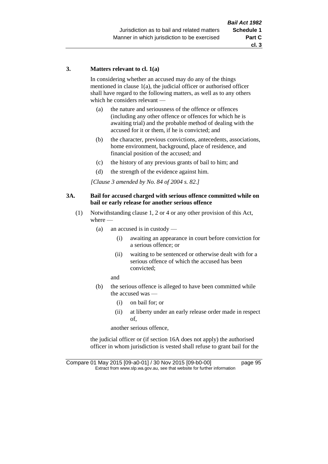## **3. Matters relevant to cl. 1(a)**

In considering whether an accused may do any of the things mentioned in clause 1(a), the judicial officer or authorised officer shall have regard to the following matters, as well as to any others which he considers relevant —

- (a) the nature and seriousness of the offence or offences (including any other offence or offences for which he is awaiting trial) and the probable method of dealing with the accused for it or them, if he is convicted; and
- (b) the character, previous convictions, antecedents, associations, home environment, background, place of residence, and financial position of the accused; and
- (c) the history of any previous grants of bail to him; and
- (d) the strength of the evidence against him.

*[Clause 3 amended by No. 84 of 2004 s. 82.]*

# **3A. Bail for accused charged with serious offence committed while on bail or early release for another serious offence**

- (1) Notwithstanding clause 1, 2 or 4 or any other provision of this Act, where —
	- (a) an accused is in custody
		- (i) awaiting an appearance in court before conviction for a serious offence; or
		- (ii) waiting to be sentenced or otherwise dealt with for a serious offence of which the accused has been convicted;

and

- (b) the serious offence is alleged to have been committed while the accused was —
	- (i) on bail for; or
	- (ii) at liberty under an early release order made in respect of,

another serious offence,

the judicial officer or (if section 16A does not apply) the authorised officer in whom jurisdiction is vested shall refuse to grant bail for the

Compare 01 May 2015 [09-a0-01] / 30 Nov 2015 [09-b0-00] page 95 Extract from www.slp.wa.gov.au, see that website for further information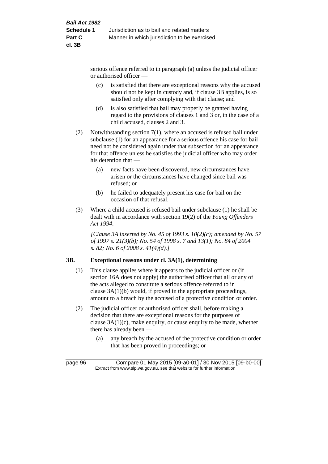serious offence referred to in paragraph (a) unless the judicial officer or authorised officer —

- (c) is satisfied that there are exceptional reasons why the accused should not be kept in custody and, if clause 3B applies, is so satisfied only after complying with that clause; and
- (d) is also satisfied that bail may properly be granted having regard to the provisions of clauses 1 and 3 or, in the case of a child accused, clauses 2 and 3.
- (2) Notwithstanding section 7(1), where an accused is refused bail under subclause (1) for an appearance for a serious offence his case for bail need not be considered again under that subsection for an appearance for that offence unless he satisfies the judicial officer who may order his detention that —
	- (a) new facts have been discovered, new circumstances have arisen or the circumstances have changed since bail was refused; or
	- (b) he failed to adequately present his case for bail on the occasion of that refusal.
- (3) Where a child accused is refused bail under subclause (1) he shall be dealt with in accordance with section 19(2) of the *Young Offenders Act 1994*.

*[Clause 3A inserted by No. 45 of 1993 s. 10(2)(c); amended by No. 57 of 1997 s. 21(3)(b); No. 54 of 1998 s. 7 and 13(1); No. 84 of 2004 s. 82; No. 6 of 2008 s. 41(4)(d).]*

# **3B. Exceptional reasons under cl. 3A(1), determining**

- (1) This clause applies where it appears to the judicial officer or (if section 16A does not apply) the authorised officer that all or any of the acts alleged to constitute a serious offence referred to in clause 3A(1)(b) would, if proved in the appropriate proceedings, amount to a breach by the accused of a protective condition or order.
- (2) The judicial officer or authorised officer shall, before making a decision that there are exceptional reasons for the purposes of clause 3A(1)(c), make enquiry, or cause enquiry to be made, whether there has already been —
	- (a) any breach by the accused of the protective condition or order that has been proved in proceedings; or

page 96 Compare 01 May 2015 [09-a0-01] / 30 Nov 2015 [09-b0-00] Extract from www.slp.wa.gov.au, see that website for further information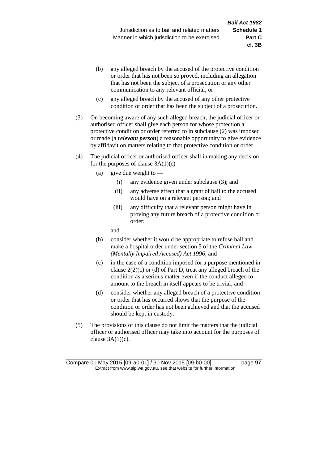- (b) any alleged breach by the accused of the protective condition or order that has not been so proved, including an allegation that has not been the subject of a prosecution or any other communication to any relevant official; or
- (c) any alleged breach by the accused of any other protective condition or order that has been the subject of a prosecution.
- (3) On becoming aware of any such alleged breach, the judicial officer or authorised officer shall give each person for whose protection a protective condition or order referred to in subclause (2) was imposed or made (a *relevant person*) a reasonable opportunity to give evidence by affidavit on matters relating to that protective condition or order.
- (4) The judicial officer or authorised officer shall in making any decision for the purposes of clause  $3A(1)(c)$  —
	- (a) give due weight to  $-$ 
		- (i) any evidence given under subclause (3); and
		- (ii) any adverse effect that a grant of bail to the accused would have on a relevant person; and
		- (iii) any difficulty that a relevant person might have in proving any future breach of a protective condition or order;

and

- (b) consider whether it would be appropriate to refuse bail and make a hospital order under section 5 of the *Criminal Law (Mentally Impaired Accused) Act 1996*; and
- (c) in the case of a condition imposed for a purpose mentioned in clause  $2(2)(c)$  or (d) of Part D, treat any alleged breach of the condition as a serious matter even if the conduct alleged to amount to the breach in itself appears to be trivial; and
- (d) consider whether any alleged breach of a protective condition or order that has occurred shows that the purpose of the condition or order has not been achieved and that the accused should be kept in custody.
- (5) The provisions of this clause do not limit the matters that the judicial officer or authorised officer may take into account for the purposes of clause  $3A(1)(c)$ .

**cl. 3B**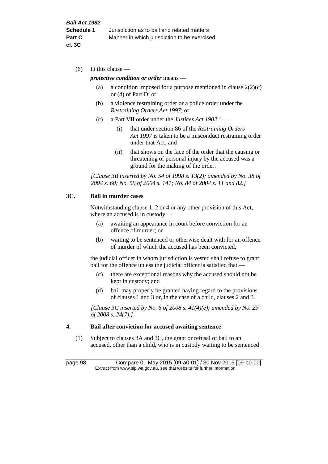(6) In this clause —

# *protective condition or order* means —

- (a) a condition imposed for a purpose mentioned in clause  $2(2)(c)$ or (d) of Part D; or
- (b) a violence restraining order or a police order under the *Restraining Orders Act 1997*; or
- (c) a Part VII order under the *Justices Act 1902* <sup>3</sup>
	- (i) that under section 86 of the *Restraining Orders Act 1997* is taken to be a misconduct restraining order under that Act; and
	- (ii) that shows on the face of the order that the causing or threatening of personal injury by the accused was a ground for the making of the order.

*[Clause 3B inserted by No. 54 of 1998 s. 13(2); amended by No. 38 of 2004 s. 60; No. 59 of 2004 s. 141; No. 84 of 2004 s. 11 and 82.]*

## **3C. Bail in murder cases**

Notwithstanding clause 1, 2 or 4 or any other provision of this Act, where an accused is in custody —

- (a) awaiting an appearance in court before conviction for an offence of murder; or
- (b) waiting to be sentenced or otherwise dealt with for an offence of murder of which the accused has been convicted,

the judicial officer in whom jurisdiction is vested shall refuse to grant bail for the offence unless the judicial officer is satisfied that

- (c) there are exceptional reasons why the accused should not be kept in custody; and
- (d) bail may properly be granted having regard to the provisions of clauses 1 and 3 or, in the case of a child, clauses 2 and 3.

*[Clause 3C inserted by No. 6 of 2008 s. 41(4)(e); amended by No. 29 of 2008 s. 24(7).]*

### **4. Bail after conviction for accused awaiting sentence**

(1) Subject to clauses 3A and 3C, the grant or refusal of bail to an accused, other than a child, who is in custody waiting to be sentenced

page 98 Compare 01 May 2015 [09-a0-01] / 30 Nov 2015 [09-b0-00] Extract from www.slp.wa.gov.au, see that website for further information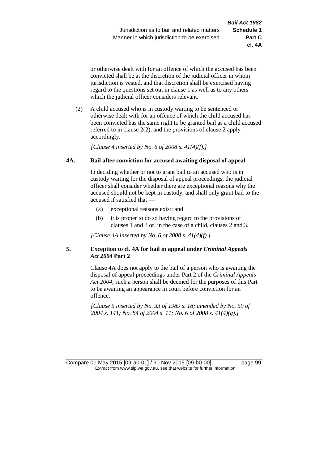or otherwise dealt with for an offence of which the accused has been convicted shall be at the discretion of the judicial officer in whom jurisdiction is vested, and that discretion shall be exercised having regard to the questions set out in clause 1 as well as to any others which the judicial officer considers relevant.

(2) A child accused who is in custody waiting to be sentenced or otherwise dealt with for an offence of which the child accused has been convicted has the same right to be granted bail as a child accused referred to in clause 2(2), and the provisions of clause 2 apply accordingly.

*[Clause 4 inserted by No. 6 of 2008 s. 41(4)(f).]*

# **4A. Bail after conviction for accused awaiting disposal of appeal**

In deciding whether or not to grant bail to an accused who is in custody waiting for the disposal of appeal proceedings, the judicial officer shall consider whether there are exceptional reasons why the accused should not be kept in custody, and shall only grant bail to the accused if satisfied that —

- (a) exceptional reasons exist; and
- (b) it is proper to do so having regard to the provisions of clauses 1 and 3 or, in the case of a child, clauses 2 and 3.

*[Clause 4A inserted by No. 6 of 2008 s. 41(4)(f).]*

# **5. Exception to cl. 4A for bail in appeal under** *Criminal Appeals Act 2004* **Part 2**

Clause 4A does not apply to the bail of a person who is awaiting the disposal of appeal proceedings under Part 2 of the *Criminal Appeals Act 2004*; such a person shall be deemed for the purposes of this Part to be awaiting an appearance in court before conviction for an offence.

*[Clause 5 inserted by No. 33 of 1989 s. 18; amended by No. 59 of 2004 s. 141; No. 84 of 2004 s. 11; No. 6 of 2008 s. 41(4)(g).]*

Compare 01 May 2015 [09-a0-01] / 30 Nov 2015 [09-b0-00] page 99 Extract from www.slp.wa.gov.au, see that website for further information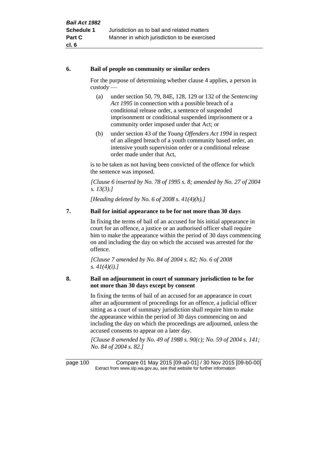# **6. Bail of people on community or similar orders**

For the purpose of determining whether clause 4 applies, a person in custody —

- (a) under section 50, 79, 84E, 128, 129 or 132 of the *Sentencing Act 1995* in connection with a possible breach of a conditional release order, a sentence of suspended imprisonment or conditional suspended imprisonment or a community order imposed under that Act; or
- (b) under section 43 of the *Young Offenders Act 1994* in respect of an alleged breach of a youth community based order, an intensive youth supervision order or a conditional release order made under that Act,

is to be taken as not having been convicted of the offence for which the sentence was imposed.

*[Clause 6 inserted by No. 78 of 1995 s. 8; amended by No. 27 of 2004 s. 13(3).]*

*[Heading deleted by No. 6 of 2008 s. 41(4)(h).]*

# **7. Bail for initial appearance to be for not more than 30 days**

In fixing the terms of bail of an accused for his initial appearance in court for an offence, a justice or an authorised officer shall require him to make the appearance within the period of 30 days commencing on and including the day on which the accused was arrested for the offence.

*[Clause 7 amended by No. 84 of 2004 s. 82; No. 6 of 2008 s. 41(4)(i).]*

# **8. Bail on adjournment in court of summary jurisdiction to be for not more than 30 days except by consent**

In fixing the terms of bail of an accused for an appearance in court after an adjournment of proceedings for an offence, a judicial officer sitting as a court of summary jurisdiction shall require him to make the appearance within the period of 30 days commencing on and including the day on which the proceedings are adjourned, unless the accused consents to appear on a later day.

*[Clause 8 amended by No. 49 of 1988 s. 90(c); No. 59 of 2004 s. 141; No. 84 of 2004 s. 82.]*

page 100 Compare 01 May 2015 [09-a0-01] / 30 Nov 2015 [09-b0-00] Extract from www.slp.wa.gov.au, see that website for further information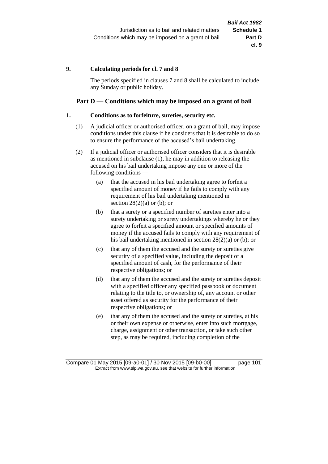# **9. Calculating periods for cl. 7 and 8**

The periods specified in clauses 7 and 8 shall be calculated to include any Sunday or public holiday.

# **Part D — Conditions which may be imposed on a grant of bail**

## **1. Conditions as to forfeiture, sureties, security etc.**

- (1) A judicial officer or authorised officer, on a grant of bail, may impose conditions under this clause if he considers that it is desirable to do so to ensure the performance of the accused's bail undertaking.
- (2) If a judicial officer or authorised officer considers that it is desirable as mentioned in subclause (1), he may in addition to releasing the accused on his bail undertaking impose any one or more of the following conditions —
	- (a) that the accused in his bail undertaking agree to forfeit a specified amount of money if he fails to comply with any requirement of his bail undertaking mentioned in section  $28(2)(a)$  or (b); or
	- (b) that a surety or a specified number of sureties enter into a surety undertaking or surety undertakings whereby he or they agree to forfeit a specified amount or specified amounts of money if the accused fails to comply with any requirement of his bail undertaking mentioned in section 28(2)(a) or (b); or
	- (c) that any of them the accused and the surety or sureties give security of a specified value, including the deposit of a specified amount of cash, for the performance of their respective obligations; or
	- (d) that any of them the accused and the surety or sureties deposit with a specified officer any specified passbook or document relating to the title to, or ownership of, any account or other asset offered as security for the performance of their respective obligations; or
	- (e) that any of them the accused and the surety or sureties, at his or their own expense or otherwise, enter into such mortgage, charge, assignment or other transaction, or take such other step, as may be required, including completion of the

Compare 01 May 2015 [09-a0-01] / 30 Nov 2015 [09-b0-00] page 101 Extract from www.slp.wa.gov.au, see that website for further information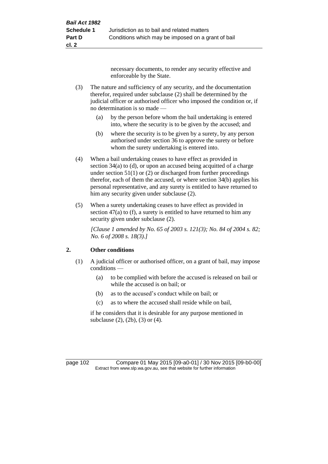necessary documents, to render any security effective and enforceable by the State.

- (3) The nature and sufficiency of any security, and the documentation therefor, required under subclause (2) shall be determined by the judicial officer or authorised officer who imposed the condition or, if no determination is so made —
	- (a) by the person before whom the bail undertaking is entered into, where the security is to be given by the accused; and
	- (b) where the security is to be given by a surety, by any person authorised under section 36 to approve the surety or before whom the surety undertaking is entered into.
- (4) When a bail undertaking ceases to have effect as provided in section 34(a) to (d), or upon an accused being acquitted of a charge under section  $51(1)$  or (2) or discharged from further proceedings therefor, each of them the accused, or where section 34(b) applies his personal representative, and any surety is entitled to have returned to him any security given under subclause (2).
- (5) When a surety undertaking ceases to have effect as provided in section 47(a) to (f), a surety is entitled to have returned to him any security given under subclause  $(2)$ .

*[Clause 1 amended by No. 65 of 2003 s. 121(3); No. 84 of 2004 s. 82; No. 6 of 2008 s. 18(3).]*

# **2. Other conditions**

- (1) A judicial officer or authorised officer, on a grant of bail, may impose conditions —
	- (a) to be complied with before the accused is released on bail or while the accused is on bail; or
	- (b) as to the accused's conduct while on bail; or
	- (c) as to where the accused shall reside while on bail,

if he considers that it is desirable for any purpose mentioned in subclause (2), (2b), (3) or (4).

page 102 Compare 01 May 2015 [09-a0-01] / 30 Nov 2015 [09-b0-00] Extract from www.slp.wa.gov.au, see that website for further information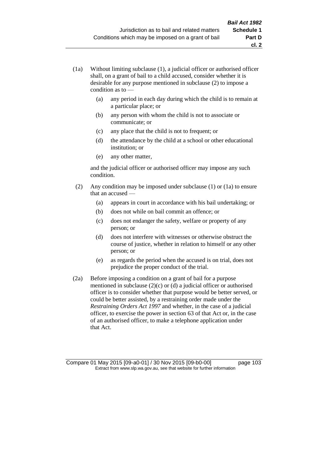(a) any period in each day during which the child is to remain at a particular place; or

**cl. 2**

- (b) any person with whom the child is not to associate or communicate; or
- (c) any place that the child is not to frequent; or
- (d) the attendance by the child at a school or other educational institution; or
- (e) any other matter,

and the judicial officer or authorised officer may impose any such condition.

- (2) Any condition may be imposed under subclause (1) or (1a) to ensure that an accused —
	- (a) appears in court in accordance with his bail undertaking; or
	- (b) does not while on bail commit an offence; or
	- (c) does not endanger the safety, welfare or property of any person; or
	- (d) does not interfere with witnesses or otherwise obstruct the course of justice, whether in relation to himself or any other person; or
	- (e) as regards the period when the accused is on trial, does not prejudice the proper conduct of the trial.
- (2a) Before imposing a condition on a grant of bail for a purpose mentioned in subclause (2)(c) or (d) a judicial officer or authorised officer is to consider whether that purpose would be better served, or could be better assisted, by a restraining order made under the *Restraining Orders Act 1997* and whether, in the case of a judicial officer, to exercise the power in section 63 of that Act or, in the case of an authorised officer, to make a telephone application under that Act.

Compare 01 May 2015 [09-a0-01] / 30 Nov 2015 [09-b0-00] page 103 Extract from www.slp.wa.gov.au, see that website for further information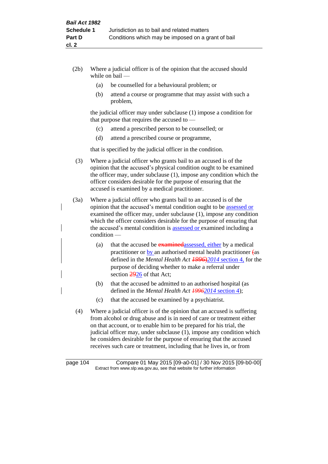- (2b) Where a judicial officer is of the opinion that the accused should while on bail —
	- (a) be counselled for a behavioural problem; or
	- (b) attend a course or programme that may assist with such a problem,

the judicial officer may under subclause (1) impose a condition for that purpose that requires the accused to —

- (c) attend a prescribed person to be counselled; or
- (d) attend a prescribed course or programme,

that is specified by the judicial officer in the condition.

- (3) Where a judicial officer who grants bail to an accused is of the opinion that the accused's physical condition ought to be examined the officer may, under subclause (1), impose any condition which the officer considers desirable for the purpose of ensuring that the accused is examined by a medical practitioner.
- (3a) Where a judicial officer who grants bail to an accused is of the opinion that the accused's mental condition ought to be assessed or examined the officer may, under subclause (1), impose any condition which the officer considers desirable for the purpose of ensuring that the accused's mental condition is assessed or examined including a condition —
	- (a) that the accused be **examined**assessed, either by a medical practitioner or by an authorised mental health practitioner (as defined in the *Mental Health Act 1996*)*2014* section 4, for the purpose of deciding whether to make a referral under section 2926 of that Act;
	- (b) that the accused be admitted to an authorised hospital (as defined in the *Mental Health Act 19962014* section 4);
	- (c) that the accused be examined by a psychiatrist.
- (4) Where a judicial officer is of the opinion that an accused is suffering from alcohol or drug abuse and is in need of care or treatment either on that account, or to enable him to be prepared for his trial, the judicial officer may, under subclause (1), impose any condition which he considers desirable for the purpose of ensuring that the accused receives such care or treatment, including that he lives in, or from

page 104 Compare 01 May 2015 [09-a0-01] / 30 Nov 2015 [09-b0-00] Extract from www.slp.wa.gov.au, see that website for further information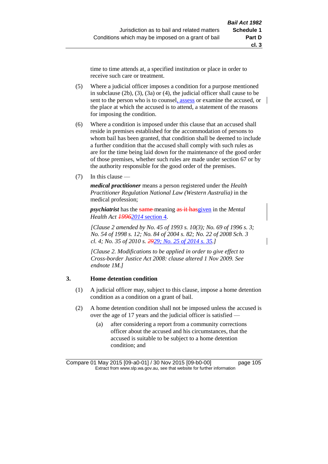time to time attends at, a specified institution or place in order to receive such care or treatment.

- (5) Where a judicial officer imposes a condition for a purpose mentioned in subclause (2b), (3), (3a) or (4), the judicial officer shall cause to be sent to the person who is to counsel, assess or examine the accused, or the place at which the accused is to attend, a statement of the reasons for imposing the condition.
- (6) Where a condition is imposed under this clause that an accused shall reside in premises established for the accommodation of persons to whom bail has been granted, that condition shall be deemed to include a further condition that the accused shall comply with such rules as are for the time being laid down for the maintenance of the good order of those premises, whether such rules are made under section 67 or by the authority responsible for the good order of the premises.
- (7) In this clause —

*medical practitioner* means a person registered under the *Health Practitioner Regulation National Law (Western Australia)* in the medical profession;

*psychiatrist* has the same meaning as it hasgiven in the *Mental Health Act 19962014* section 4.

*[Clause 2 amended by No. 45 of 1993 s. 10(3); No. 69 of 1996 s. 3; No. 54 of 1998 s. 12; No. 84 of 2004 s. 82; No. 22 of 2008 Sch. 3 cl. 4; No. 35 of 2010 s. 2929; No. 25 of 2014 s. 35.]*

*[Clause 2. Modifications to be applied in order to give effect to Cross-border Justice Act 2008: clause altered 1 Nov 2009. See endnote 1M.]*

### **3. Home detention condition**

- (1) A judicial officer may, subject to this clause, impose a home detention condition as a condition on a grant of bail.
- (2) A home detention condition shall not be imposed unless the accused is over the age of 17 years and the judicial officer is satisfied —
	- (a) after considering a report from a community corrections officer about the accused and his circumstances, that the accused is suitable to be subject to a home detention condition; and

Compare 01 May 2015 [09-a0-01] / 30 Nov 2015 [09-b0-00] page 105 Extract from www.slp.wa.gov.au, see that website for further information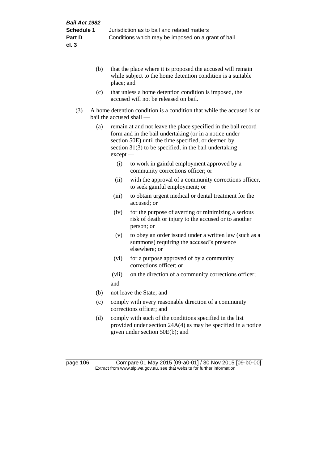- (b) that the place where it is proposed the accused will remain while subject to the home detention condition is a suitable place; and
- (c) that unless a home detention condition is imposed, the accused will not be released on bail.
- (3) A home detention condition is a condition that while the accused is on bail the accused shall —
	- (a) remain at and not leave the place specified in the bail record form and in the bail undertaking (or in a notice under section 50E) until the time specified, or deemed by section 31(3) to be specified, in the bail undertaking except —
		- (i) to work in gainful employment approved by a community corrections officer; or
		- (ii) with the approval of a community corrections officer, to seek gainful employment; or
		- (iii) to obtain urgent medical or dental treatment for the accused; or
		- (iv) for the purpose of averting or minimizing a serious risk of death or injury to the accused or to another person; or
		- (v) to obey an order issued under a written law (such as a summons) requiring the accused's presence elsewhere; or
		- (vi) for a purpose approved of by a community corrections officer; or
		- (vii) on the direction of a community corrections officer; and
	- (b) not leave the State; and
	- (c) comply with every reasonable direction of a community corrections officer; and
	- (d) comply with such of the conditions specified in the list provided under section 24A(4) as may be specified in a notice given under section 50E(b); and

page 106 Compare 01 May 2015 [09-a0-01] / 30 Nov 2015 [09-b0-00] Extract from www.slp.wa.gov.au, see that website for further information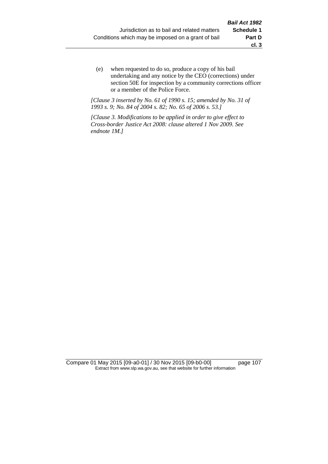(e) when requested to do so, produce a copy of his bail undertaking and any notice by the CEO (corrections) under section 50E for inspection by a community corrections officer or a member of the Police Force.

*[Clause 3 inserted by No. 61 of 1990 s. 15; amended by No. 31 of 1993 s. 9; No. 84 of 2004 s. 82; No. 65 of 2006 s. 53.]*

*[Clause 3. Modifications to be applied in order to give effect to Cross-border Justice Act 2008: clause altered 1 Nov 2009. See endnote 1M.]*

Compare 01 May 2015 [09-a0-01] / 30 Nov 2015 [09-b0-00] page 107 Extract from www.slp.wa.gov.au, see that website for further information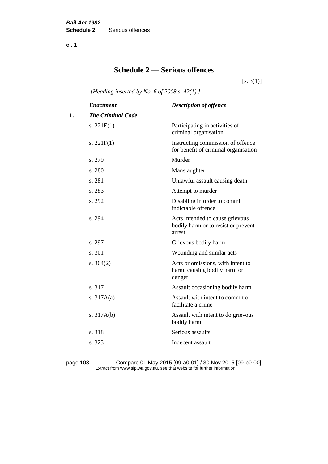**cl. 1**

## **Schedule 2 — Serious offences**

 $[s. 3(1)]$ 

*[Heading inserted by No. 6 of 2008 s. 42(1).]*

|    | <b>Enactment</b>         | <b>Description of offence</b>                                                    |
|----|--------------------------|----------------------------------------------------------------------------------|
| 1. | <b>The Criminal Code</b> |                                                                                  |
|    | s. $221E(1)$             | Participating in activities of<br>criminal organisation                          |
|    | s. $221F(1)$             | Instructing commission of offence<br>for benefit of criminal organisation        |
|    | s. 279                   | Murder                                                                           |
|    | s. 280                   | Manslaughter                                                                     |
|    | s. 281                   | Unlawful assault causing death                                                   |
|    | s. 283                   | Attempt to murder                                                                |
|    | s. 292                   | Disabling in order to commit<br>indictable offence                               |
|    | s. 294                   | Acts intended to cause grievous<br>bodily harm or to resist or prevent<br>arrest |
|    | s. 297                   | Grievous bodily harm                                                             |
|    | s. 301                   | Wounding and similar acts                                                        |
|    | s. $304(2)$              | Acts or omissions, with intent to<br>harm, causing bodily harm or<br>danger      |
|    | s. 317                   | Assault occasioning bodily harm                                                  |
|    | s. $317A(a)$             | Assault with intent to commit or<br>facilitate a crime                           |
|    | s. $317A(b)$             | Assault with intent to do grievous<br>bodily harm                                |
|    | s. 318                   | Serious assaults                                                                 |
|    | s. 323                   | Indecent assault                                                                 |
|    |                          |                                                                                  |

page 108 Compare 01 May 2015 [09-a0-01] / 30 Nov 2015 [09-b0-00] Extract from www.slp.wa.gov.au, see that website for further information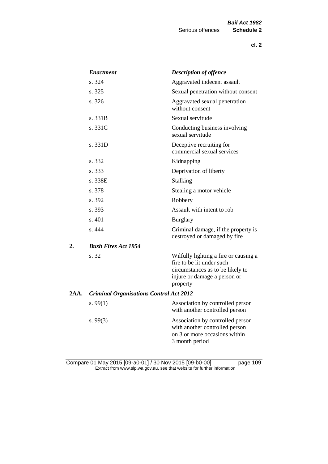|      | <b>Enactment</b>                               | <b>Description of offence</b>                                                                                                                      |  |
|------|------------------------------------------------|----------------------------------------------------------------------------------------------------------------------------------------------------|--|
|      | s. 324                                         | Aggravated indecent assault                                                                                                                        |  |
|      | s. 325                                         | Sexual penetration without consent                                                                                                                 |  |
|      | s. 326                                         | Aggravated sexual penetration<br>without consent                                                                                                   |  |
|      | s. 331B                                        | Sexual servitude                                                                                                                                   |  |
|      | s. 331C                                        | Conducting business involving<br>sexual servitude                                                                                                  |  |
|      | s. 331D                                        | Deceptive recruiting for<br>commercial sexual services                                                                                             |  |
|      | s. 332                                         | Kidnapping                                                                                                                                         |  |
|      | s. 333                                         | Deprivation of liberty                                                                                                                             |  |
|      | s. 338E                                        | <b>Stalking</b>                                                                                                                                    |  |
|      | s. 378                                         | Stealing a motor vehicle                                                                                                                           |  |
|      | s. 392                                         | Robbery                                                                                                                                            |  |
|      | s. 393                                         | Assault with intent to rob                                                                                                                         |  |
|      | s. 401                                         | <b>Burglary</b>                                                                                                                                    |  |
|      | s. 444                                         | Criminal damage, if the property is<br>destroyed or damaged by fire                                                                                |  |
| 2.   | <b>Bush Fires Act 1954</b>                     |                                                                                                                                                    |  |
|      | s. 32                                          | Wilfully lighting a fire or causing a<br>fire to be lit under such<br>circumstances as to be likely to<br>injure or damage a person or<br>property |  |
| 2AA. | <b>Criminal Organisations Control Act 2012</b> |                                                                                                                                                    |  |
|      | s. $99(1)$                                     | Association by controlled person<br>with another controlled person                                                                                 |  |
|      | s.99(3)                                        | Association by controlled person<br>with another controlled person<br>on 3 or more occasions within<br>3 month period                              |  |

Compare 01 May 2015 [09-a0-01] / 30 Nov 2015 [09-b0-00] page 109 Extract from www.slp.wa.gov.au, see that website for further information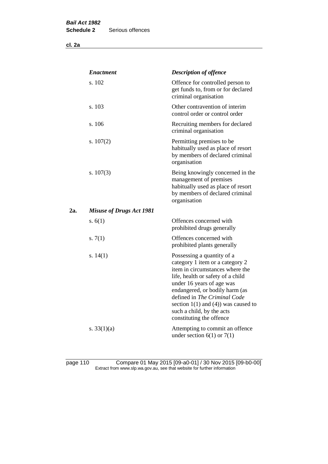**cl. 2a**

|     | <b>Enactment</b>                | <b>Description of offence</b>                                                                                                                                                                                                                                                                                                             |
|-----|---------------------------------|-------------------------------------------------------------------------------------------------------------------------------------------------------------------------------------------------------------------------------------------------------------------------------------------------------------------------------------------|
|     | s. 102                          | Offence for controlled person to<br>get funds to, from or for declared<br>criminal organisation                                                                                                                                                                                                                                           |
|     | s. 103                          | Other contravention of interim<br>control order or control order                                                                                                                                                                                                                                                                          |
|     | s. 106                          | Recruiting members for declared<br>criminal organisation                                                                                                                                                                                                                                                                                  |
|     | s. $107(2)$                     | Permitting premises to be<br>habitually used as place of resort<br>by members of declared criminal<br>organisation                                                                                                                                                                                                                        |
|     | s. $107(3)$                     | Being knowingly concerned in the<br>management of premises<br>habitually used as place of resort<br>by members of declared criminal<br>organisation                                                                                                                                                                                       |
| 2а. | <b>Misuse of Drugs Act 1981</b> |                                                                                                                                                                                                                                                                                                                                           |
|     | s. $6(1)$                       | Offences concerned with<br>prohibited drugs generally                                                                                                                                                                                                                                                                                     |
|     | s. $7(1)$                       | Offences concerned with<br>prohibited plants generally                                                                                                                                                                                                                                                                                    |
|     | s. $14(1)$                      | Possessing a quantity of a<br>category 1 item or a category 2<br>item in circumstances where the<br>life, health or safety of a child<br>under 16 years of age was<br>endangered, or bodily harm (as<br>defined in The Criminal Code<br>section $1(1)$ and $(4)$ ) was caused to<br>such a child, by the acts<br>constituting the offence |
|     | s. $33(1)(a)$                   | Attempting to commit an offence<br>under section $6(1)$ or $7(1)$                                                                                                                                                                                                                                                                         |

page 110 Compare 01 May 2015 [09-a0-01] / 30 Nov 2015 [09-b0-00] Extract from www.slp.wa.gov.au, see that website for further information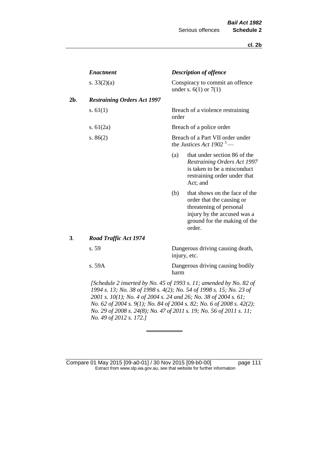| <b>Enactment</b>                   | <b>Description of offence</b>                                                                                                                                         |
|------------------------------------|-----------------------------------------------------------------------------------------------------------------------------------------------------------------------|
| s. $33(2)(a)$                      | Conspiracy to commit an offence<br>under s. $6(1)$ or $7(1)$                                                                                                          |
| <b>Restraining Orders Act 1997</b> |                                                                                                                                                                       |
| s. $61(1)$                         | Breach of a violence restraining<br>order                                                                                                                             |
| s. $61(2a)$                        | Breach of a police order                                                                                                                                              |
| s. $86(2)$                         | Breach of a Part VII order under<br>the Justices Act 1902 <sup>3</sup> —                                                                                              |
|                                    | that under section 86 of the<br>(a)<br>Restraining Orders Act 1997<br>is taken to be a misconduct<br>restraining order under that<br>Act; and                         |
|                                    | that shows on the face of the<br>(b)<br>order that the causing or<br>threatening of personal<br>injury by the accused was a<br>ground for the making of the<br>order. |
| <b>Road Traffic Act 1974</b>       |                                                                                                                                                                       |
| s. 59                              | Dangerous driving causing death,<br>injury, etc.                                                                                                                      |
| s. 59A                             | Dangerous driving causing bodily<br>harm                                                                                                                              |

*1994 s. 13; No. 38 of 1998 s. 4(2); No. 54 of 1998 s. 15; No. 23 of 2001 s. 10(1); No. 4 of 2004 s. 24 and 26; No. 38 of 2004 s. 61; No. 62 of 2004 s. 9(1); No. 84 of 2004 s. 82; No. 6 of 2008 s. 42(2); No. 29 of 2008 s. 24(8); No. 47 of 2011 s. 19; No. 56 of 2011 s. 11; No. 49 of 2012 s. 172.]* 

Compare 01 May 2015 [09-a0-01] / 30 Nov 2015 [09-b0-00] page 111 Extract from www.slp.wa.gov.au, see that website for further information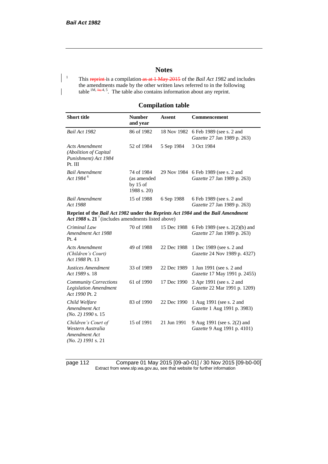## **Notes**

<sup>1</sup> This reprint is a compilation as at 1 May 2015 of the *Bail Act 1982* and includes the amendments made by the other written laws referred to in the following table  $1M$ ,  $\frac{1}{4a}$ , 4, 5. The table also contains information about any reprint.

## **Compilation table**

| <b>Short title</b>                                                                                                                                | <b>Number</b><br>and year                              | <b>Assent</b> | Commencement                                                        |
|---------------------------------------------------------------------------------------------------------------------------------------------------|--------------------------------------------------------|---------------|---------------------------------------------------------------------|
| Bail Act 1982                                                                                                                                     | 86 of 1982                                             | 18 Nov 1982   | 6 Feb 1989 (see s. 2 and<br>Gazette 27 Jan 1989 p. 263)             |
| <b>Acts Amendment</b><br>(Abolition of Capital<br>Punishment) Act 1984<br>Pt. III                                                                 | 52 of 1984                                             | 5 Sep 1984    | 3 Oct 1984                                                          |
| <b>Bail Amendment</b><br>Act 1984 <sup>6</sup>                                                                                                    | 74 of 1984<br>(as amended<br>by $15$ of<br>1988 s. 20) |               | 29 Nov 1984 6 Feb 1989 (see s. 2 and<br>Gazette 27 Jan 1989 p. 263) |
| <b>Bail Amendment</b><br>Act 1988                                                                                                                 | 15 of 1988                                             | 6 Sep 1988    | 6 Feb 1989 (see s. 2 and<br>Gazette 27 Jan 1989 p. 263)             |
| Reprint of the Bail Act 1982 under the Reprints Act 1984 and the Bail Amendment<br>Act 1988 s. 21 <sup>7</sup> (includes amendments listed above) |                                                        |               |                                                                     |
| Criminal Law<br>Amendment Act 1988<br>Pt.4                                                                                                        | 70 of 1988                                             | 15 Dec 1988   | 6 Feb 1989 (see s. 2(2)(b) and<br>Gazette 27 Jan 1989 p. 263)       |
| <b>Acts Amendment</b><br>(Children's Court)<br>Act 1988 Pt. 13                                                                                    | 49 of 1988                                             | 22 Dec 1988   | 1 Dec 1989 (see s. 2 and<br>Gazette 24 Nov 1989 p. 4327)            |
| Justices Amendment<br>Act 1989 s. 18                                                                                                              | 33 of 1989                                             | 22 Dec 1989   | 1 Jun 1991 (see s. 2 and<br>Gazette 17 May 1991 p. 2455)            |
| <b>Community Corrections</b><br><b>Legislation Amendment</b><br>Act 1990 Pt. 2                                                                    | 61 of 1990                                             | 17 Dec 1990   | 3 Apr 1991 (see s. 2 and<br>Gazette 22 Mar 1991 p. 1209)            |
| Child Welfare<br>Amendment Act<br>$(No. 2)$ 1990 s. 15                                                                                            | 83 of 1990                                             | 22 Dec 1990   | 1 Aug 1991 (see s. 2 and<br>Gazette 1 Aug 1991 p. 3983)             |
| Children's Court of<br>Western Australia<br>Amendment Act<br>$(No. 2)$ 1991 s. 21                                                                 | 15 of 1991                                             | 21 Jun 1991   | 9 Aug 1991 (see s. 2(2) and<br>Gazette 9 Aug 1991 p. 4101)          |

page 112 Compare 01 May 2015 [09-a0-01] / 30 Nov 2015 [09-b0-00] Extract from www.slp.wa.gov.au, see that website for further information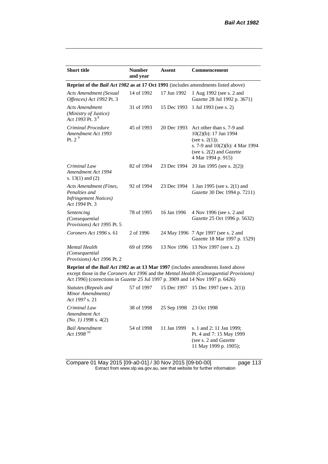| <b>Short title</b>                                                                         | <b>Number</b><br>and year | <b>Assent</b> | <b>Commencement</b>                                                                                                                                                      |  |
|--------------------------------------------------------------------------------------------|---------------------------|---------------|--------------------------------------------------------------------------------------------------------------------------------------------------------------------------|--|
| Reprint of the <i>Bail Act 1982</i> as at 17 Oct 1991 (includes amendments listed above)   |                           |               |                                                                                                                                                                          |  |
| <b>Acts Amendment (Sexual</b><br>Offences) Act 1992 Pt. 3                                  | 14 of 1992                | 17 Jun 1992   | 1 Aug 1992 (see s. 2 and<br>Gazette 28 Jul 1992 p. 3671)                                                                                                                 |  |
| <b>Acts Amendment</b><br>(Ministry of Justice)<br>Act 1993 Pt. 3 <sup>8</sup>              | 31 of 1993                | 15 Dec 1993   | 1 Jul 1993 (see s. 2)                                                                                                                                                    |  |
| Criminal Procedure<br>Amendment Act 1993<br>Pt. $29$                                       | 45 of 1993                | 20 Dec 1993   | Act other than s. 7-9 and<br>10(2)(b): 17 Jan 1994<br>(see s. $2(1)$ );<br>s. 7-9 and $10(2)(b)$ : 4 Mar 1994<br>(see s. $2(2)$ and <i>Gazette</i><br>4 Mar 1994 p. 915) |  |
| Criminal Law<br>Amendment Act 1994<br>s. $13(1)$ and $(2)$                                 | 82 of 1994                | 23 Dec 1994   | 20 Jan 1995 (see s. 2(2))                                                                                                                                                |  |
| Acts Amendment (Fines,<br>Penalties and<br><b>Infringement Notices</b> )<br>Act 1994 Pt. 3 | 92 of 1994                | 23 Dec 1994   | 1 Jan 1995 (see s. 2(1) and<br>Gazette 30 Dec 1994 p. 7211)                                                                                                              |  |
| Sentencing<br>(Consequential<br>Provisions) Act 1995 Pt. 5                                 | 78 of 1995                | 16 Jan 1996   | 4 Nov 1996 (see s. 2 and<br>Gazette 25 Oct 1996 p. 5632)                                                                                                                 |  |
| Coroners Act 1996 s. 61                                                                    | 2 of 1996                 |               | 24 May 1996 7 Apr 1997 (see s. 2 and<br>Gazette 18 Mar 1997 p. 1529)                                                                                                     |  |
| <b>Mental Health</b><br>(Consequential<br>Provisions) Act 1996 Pt. 2                       | 69 of 1996                |               | 13 Nov 1996 13 Nov 1997 (see s. 2)                                                                                                                                       |  |
| <b>Reprint of the Rail Act 1982 as at 13 Mar 1997</b> (includes amendments listed above    |                           |               |                                                                                                                                                                          |  |

**Reprint of the** *Bail Act 1982* **as at 13 Mar 1997** (includes amendments listed above except those in the *Coroners Act 1996* and the *Mental Health (Consequential Provisions) Act 1996*) (corrections in *Gazette* 25 Jul 1997 p. 3909 and 14 Nov 1997 p. 6426)

| Statutes (Repeals and<br>Minor Amendments)<br>Act 1997 s. 21 |            |                         | 57 of 1997 15 Dec 1997 15 Dec 1997 (see s. 2(1))                                                                |
|--------------------------------------------------------------|------------|-------------------------|-----------------------------------------------------------------------------------------------------------------|
| Criminal Law<br>Amendment Act<br>$(No. 1)$ 1998 s. 4(2)      | 38 of 1998 | 25 Sep 1998 23 Oct 1998 |                                                                                                                 |
| <b>Bail Amendment</b><br>Act 1998 <sup>10</sup>              | 54 of 1998 | 11 Jan 1999             | s. 1 and 2: 11 Jan 1999;<br>Pt. 4 and 7: 15 May 1999<br>(see s. 2 and <i>Gazette</i> )<br>11 May 1999 p. 1905); |

Compare 01 May 2015 [09-a0-01] / 30 Nov 2015 [09-b0-00] page 113 Extract from www.slp.wa.gov.au, see that website for further information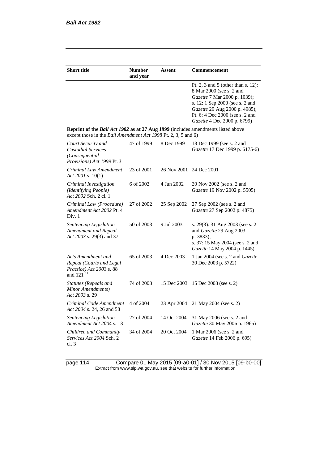| <b>Short title</b>                                                                                                                                        | <b>Number</b><br>and year | Assent                  | Commencement                                                                                                                                                                                                                         |
|-----------------------------------------------------------------------------------------------------------------------------------------------------------|---------------------------|-------------------------|--------------------------------------------------------------------------------------------------------------------------------------------------------------------------------------------------------------------------------------|
|                                                                                                                                                           |                           |                         | Pt. 2, 3 and 5 (other than s. 12):<br>8 Mar 2000 (see s. 2 and<br>Gazette 7 Mar 2000 p. 1039);<br>s. 12: 1 Sep 2000 (see s. 2 and<br>Gazette 29 Aug 2000 p. 4985);<br>Pt. 6: 4 Dec 2000 (see s. 2 and<br>Gazette 4 Dec 2000 p. 6799) |
| <b>Reprint of the Bail Act 1982 as at 27 Aug 1999</b> (includes amendments listed above<br>except those in the Bail Amendment Act 1998 Pt. 2, 3, 5 and 6) |                           |                         |                                                                                                                                                                                                                                      |
| Court Security and<br><b>Custodial Services</b><br>(Consequential)<br>Provisions) Act 1999 Pt. 3                                                          | 47 of 1999                | 8 Dec 1999              | 18 Dec 1999 (see s. 2 and<br>Gazette 17 Dec 1999 p. 6175-6)                                                                                                                                                                          |
| Criminal Law Amendment<br>Act 2001 s. $10(1)$                                                                                                             | 23 of 2001                | 26 Nov 2001 24 Dec 2001 |                                                                                                                                                                                                                                      |
| Criminal Investigation<br>(Identifying People)<br>Act 2002 Sch. 2 cl. 1                                                                                   | 6 of 2002                 | 4 Jun 2002              | 20 Nov 2002 (see s. 2 and<br>Gazette 19 Nov 2002 p. 5505)                                                                                                                                                                            |
| Criminal Law (Procedure)<br>Amendment Act 2002 Pt. 4<br>Div. 1                                                                                            | 27 of 2002                | 25 Sep 2002             | 27 Sep 2002 (see s. 2 and<br>Gazette 27 Sep 2002 p. 4875)                                                                                                                                                                            |
| Sentencing Legislation<br>Amendment and Repeal<br>Act 2003 s. 29(3) and 37                                                                                | 50 of 2003                | 9 Jul 2003              | s. 29(3): 31 Aug 2003 (see s. 2)<br>and Gazette 29 Aug 2003<br>p. 3833);<br>s. 37: 15 May 2004 (see s. 2 and<br>Gazette 14 May 2004 p. 1445)                                                                                         |
| Acts Amendment and<br>Repeal (Courts and Legal<br>Practice) Act 2003 s. 88<br>and 121 <sup>11</sup>                                                       | 65 of 2003                | 4 Dec 2003              | 1 Jan 2004 (see s. 2 and <i>Gazette</i><br>30 Dec 2003 p. 5722)                                                                                                                                                                      |
| <b>Statutes (Repeals and</b><br>Minor Amendments)<br>Act 2003 s. 29                                                                                       | 74 of 2003                | 15 Dec 2003             | 15 Dec 2003 (see s. 2)                                                                                                                                                                                                               |
| Criminal Code Amendment<br>Act 2004 s. 24, 26 and 58                                                                                                      | 4 of 2004                 | 23 Apr 2004             | 21 May 2004 (see s. 2)                                                                                                                                                                                                               |
| <b>Sentencing Legislation</b><br>Amendment Act 2004 s. 13                                                                                                 | 27 of 2004                | 14 Oct 2004             | 31 May 2006 (see s. 2 and<br>Gazette 30 May 2006 p. 1965)                                                                                                                                                                            |
| Children and Community<br>Services Act 2004 Sch. 2<br>cl. 3                                                                                               | 34 of 2004                | 20 Oct 2004             | 1 Mar 2006 (see s. 2 and<br>Gazette 14 Feb 2006 p. 695)                                                                                                                                                                              |

page 114 Compare 01 May 2015 [09-a0-01] / 30 Nov 2015 [09-b0-00] Extract from www.slp.wa.gov.au, see that website for further information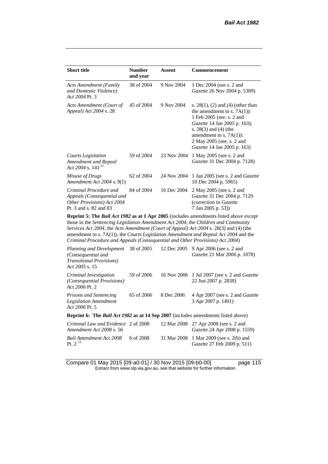| <b>Short title</b>                                                                                           | <b>Number</b><br>and year | Assent      | Commencement                                                                                                                                                                                                                                                           |
|--------------------------------------------------------------------------------------------------------------|---------------------------|-------------|------------------------------------------------------------------------------------------------------------------------------------------------------------------------------------------------------------------------------------------------------------------------|
| <b>Acts Amendment (Family</b><br>and Domestic Violence)<br>Act 2004 Pt. 3                                    | 38 of 2004                | 9 Nov 2004  | 1 Dec 2004 (see s. 2 and<br><i>Gazette</i> 26 Nov 2004 p. 5309)                                                                                                                                                                                                        |
| Acts Amendment (Court of<br>Appeal) Act 2004 s. 28                                                           | 45 of 2004                | 9 Nov 2004  | s. $28(1)$ , (2) and (4) (other than<br>the amendment to s. $7A(1)$ :<br>1 Feb 2005 (see. s. 2 and<br><i>Gazette</i> 14 Jan 2005 p. 163);<br>s. $28(3)$ and $(4)$ (the<br>amendment to s. $7A(1)$ :<br>2 May 2005 (see. s. 2 and<br><i>Gazette</i> 14 Jan 2005 p. 163) |
| Courts Legislation<br>Amendment and Repeal<br>Act 2004 s. 141 <sup>12</sup>                                  | 59 of 2004                | 23 Nov 2004 | 1 May 2005 (see s. 2 and<br>Gazette 31 Dec 2004 p. 7128)                                                                                                                                                                                                               |
| Misuse of Drugs<br>Amendment Act 2004 s. 9(1)                                                                | 62 of 2004                | 24 Nov 2004 | 1 Jan 2005 (see s. 2 and <i>Gazette</i><br>10 Dec 2004 p. 5965)                                                                                                                                                                                                        |
| Criminal Procedure and<br>Appeals (Consequential and<br>Other Provisions) Act 2004<br>Pt. 3 and s. 82 and 83 | 84 of 2004                | 16 Dec 2004 | 2 May 2005 (see s. 2 and<br>Gazette 31 Dec 2004 p. 7129<br>(correction in Gazette)<br>7 Jan 2005 p. 53))                                                                                                                                                               |

**Reprint 5: The** *Bail Act 1982* **as at 1 Apr 2005** (includes amendments listed above except those in the *Sentencing Legislation Amendment Act 2004*, the *Children and Community Services Act 2004*, the *Acts Amendment (Court of Appeal) Act 2004* s. 28(3) and (4) (the amendment to s. 7A(1)), the *Courts Legislation Amendment and Repeal Act 2004* and the *Criminal Procedure and Appeals (Consequential and Other Provisions) Act 2004*)

| Planning and Development 38 of 2005<br>(Consequential and<br><b>Transitional Provisions</b> )<br>Act 2005 s. 15 |            | 12 Dec 2005 | 9 Apr 2006 (see s. 2 and<br>Gazette 21 Mar 2006 p. 1078)                     |
|-----------------------------------------------------------------------------------------------------------------|------------|-------------|------------------------------------------------------------------------------|
| Criminal Investigation<br>(Consequential Provisions)<br>Act 2006 Pt. 2                                          | 59 of 2006 |             | 16 Nov 2006 1 Jul 2007 (see s. 2 and <i>Gazette</i><br>22 Jun 2007 p. 2838)  |
| <b>Prisons and Sentencing</b><br><b>Legislation Amendment</b><br>Act 2006 Pt. 5                                 | 65 of 2006 | 8 Dec 2006  | 4 Apr 2007 (see s. 2 and <i>Gazette</i><br>3 Apr 2007 p. 1491)               |
| Reprint 6: The Bail Act 1982 as at 14 Sep 2007 (includes amendments listed above)                               |            |             |                                                                              |
| Criminal Law and Evidence 2 of 2008<br>Amendment Act 2008 s. 56                                                 |            |             | 12 Mar 2008 27 Apr 2008 (see s. 2 and<br><i>Gazette</i> 24 Apr 2008 p. 1559) |
| Bail Amendment Act 2008<br>Pt. $2^{13}$                                                                         | 6 of 2008  |             | 31 Mar 2008 1 Mar 2009 (see s. 2(b) and<br>Gazette 27 Feb 2009 p. 511)       |

Compare 01 May 2015 [09-a0-01] / 30 Nov 2015 [09-b0-00] page 115 Extract from www.slp.wa.gov.au, see that website for further information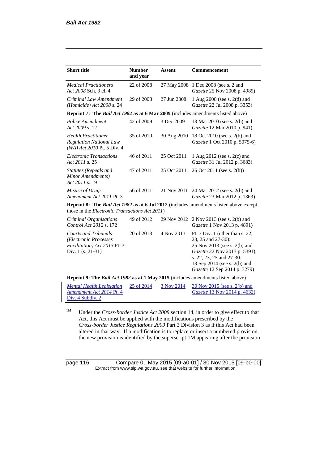| <b>Short title</b>                                                                                                                                      | <b>Number</b><br>and year | <b>Assent</b> | Commencement                                                                                                                                                                                                       |
|---------------------------------------------------------------------------------------------------------------------------------------------------------|---------------------------|---------------|--------------------------------------------------------------------------------------------------------------------------------------------------------------------------------------------------------------------|
| <b>Medical Practitioners</b><br>Act 2008 Sch. 3 cl. 4                                                                                                   | 22 of 2008                |               | 27 May 2008 1 Dec 2008 (see s. 2 and<br>Gazette 25 Nov 2008 p. 4989)                                                                                                                                               |
| Criminal Law Amendment<br>(Homicide) Act 2008 s. 24                                                                                                     | 29 of 2008                | 27 Jun 2008   | 1 Aug 2008 (see s. 2(d) and<br>Gazette 22 Jul 2008 p. 3353)                                                                                                                                                        |
| <b>Reprint 7: The Bail Act 1982 as at 6 Mar 2009</b> (includes amendments listed above)                                                                 |                           |               |                                                                                                                                                                                                                    |
| Police Amendment<br>Act 2009 s. 12                                                                                                                      | 42 of 2009                | 3 Dec 2009    | 13 Mar 2010 (see s. 2(b) and<br>Gazette 12 Mar 2010 p. 941)                                                                                                                                                        |
| <b>Health Practitioner</b><br><b>Regulation National Law</b><br>(WA) Act 2010 Pt. 5 Div. 4                                                              | 35 of 2010                | 30 Aug 2010   | 18 Oct 2010 (see s. 2(b) and<br>Gazette 1 Oct 2010 p. 5075-6)                                                                                                                                                      |
| <b>Electronic Transactions</b><br>Act 2011 s. 25                                                                                                        | 46 of 2011                | 25 Oct 2011   | 1 Aug 2012 (see s. 2(c) and<br>Gazette 31 Jul 2012 p. 3683)                                                                                                                                                        |
| <b>Statutes (Repeals and</b><br>Minor Amendments)<br>Act 2011 s. 19                                                                                     | 47 of 2011                | 25 Oct 2011   | 26 Oct 2011 (see s. 2(b))                                                                                                                                                                                          |
| Misuse of Drugs<br>Amendment Act 2011 Pt. 3                                                                                                             | 56 of 2011                | 21 Nov 2011   | 24 Mar 2012 (see s. 2(b) and<br>Gazette 23 Mar 2012 p. 1363)                                                                                                                                                       |
| <b>Reprint 8: The Bail Act 1982 as at 6 Jul 2012</b> (includes amendments listed above except<br>those in the <i>Electronic Transactions Act 2011</i> ) |                           |               |                                                                                                                                                                                                                    |
| Criminal Organisations<br>Control Act 2012 s. 172                                                                                                       | 49 of 2012                | 29 Nov 2012   | 2 Nov 2013 (see s. 2(b) and<br>Gazette 1 Nov 2013 p. 4891)                                                                                                                                                         |
| <b>Courts and Tribunals</b><br>(Electronic Processes<br>Facilitation) Act 2013 Pt. 3<br>Div. 1 (s. 21-31)                                               | 20 of 2013                | 4 Nov 2013    | Pt. 3 Div. 1 (other than s. 22,<br>23, 25 and 27-30):<br>25 Nov 2013 (see s. 2(b) and<br>Gazette 22 Nov 2013 p. 5391);<br>s. 22, 23, 25 and 27-30:<br>13 Sep 2014 (see s. 2(b) and<br>Gazette 12 Sep 2014 p. 3279) |

**Reprint 9: The** *Bail Act 1982* **as at 1 May 2015** (includes amendments listed above)

| <b>Mental Health Legislation</b> | 25 of 2014 | 3 Nov 2014 | $30$ Nov 2015 (see s. 2(b) and      |
|----------------------------------|------------|------------|-------------------------------------|
| Amendment Act 2014 Pt. 4         |            |            | <i>Gazette</i> 13 Nov 2014 p. 4632) |
| Div. 4 Subdiv. 2                 |            |            |                                     |

<sup>1M</sup> Under the *Cross-border Justice Act 2008* section 14, in order to give effect to that Act, this Act must be applied with the modifications prescribed by the *Cross-border Justice Regulations 2009* Part 3 Division 3 as if this Act had been altered in that way. If a modification is to replace or insert a numbered provision, the new provision is identified by the superscript 1M appearing after the provision

page 116 Compare 01 May 2015 [09-a0-01] / 30 Nov 2015 [09-b0-00] Extract from www.slp.wa.gov.au, see that website for further information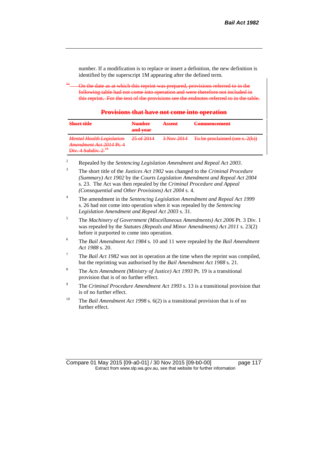number. If a modification is to replace or insert a definition, the new definition is identified by the superscript 1M appearing after the defined term.

On the date as at which this reprint was prepared, provisions referred to in the following table had not come into operation and were therefore not included in this reprint. For the text of the provisions see the endnotes referred to in the table.

**Provisions that have not come into operation**

| <b>Short title</b>                                                                                                  | <b>Number</b>                    | A ceant          | Commoncomont                                                       |
|---------------------------------------------------------------------------------------------------------------------|----------------------------------|------------------|--------------------------------------------------------------------|
|                                                                                                                     | and year                         | <b>PERMIT IS</b> |                                                                    |
| <b>Mental Health Legislation</b><br>$A$ mandmant $A$ at $2014$ Dt $A$<br>Div A Subdiv $2^{14}$<br>_________________ | 25.6014<br><del>23 01 2014</del> | $3$ Nov 2014     | To be included (see 2(b))<br><u> 10 00 proclamed (see s. 2(0))</u> |

- <sup>2</sup> Repealed by the *Sentencing Legislation Amendment and Repeal Act 2003*.
- <sup>3</sup> The short title of the *Justices Act 1902* was changed to the *Criminal Procedure (Summary) Act 1902* by the *Courts Legislation Amendment and Repeal Act 2004*  s. 23. The Act was then repealed by the *Criminal Procedure and Appeal (Consequential and Other Provisions) Act 2004* s. 4.
- <sup>4</sup> The amendment in the *Sentencing Legislation Amendment and Repeal Act 1999* s. 26 had not come into operation when it was repealed by the *Sentencing Legislation Amendment and Repeal Act 2003* s. 31.
- <sup>5</sup> The *Machinery of Government (Miscellaneous Amendments) Act 2006* Pt. 3 Div. 1 was repealed by the *Statutes (Repeals and Minor Amendments) Act 2011* s. 23(2) before it purported to come into operation.
- 6 The *Bail Amendment Act 1984* s. 10 and 11 were repealed by the *Bail Amendment Act 1988* s. 20.
- <sup>7</sup> The *Bail Act 1982* was not in operation at the time when the reprint was compiled, but the reprinting was authorised by the *Bail Amendment Act 1988* s. 21.
- <sup>8</sup> The *Acts Amendment (Ministry of Justice) Act 1993* Pt. 19 is a transitional provision that is of no further effect.
- <sup>9</sup> The *Criminal Procedure Amendment Act 1993* s. 13 is a transitional provision that is of no further effect.
- <sup>10</sup> The *Bail Amendment Act 1998* s. 6(2) is a transitional provision that is of no further effect.

Compare 01 May 2015 [09-a0-01] / 30 Nov 2015 [09-b0-00] page 117 Extract from www.slp.wa.gov.au, see that website for further information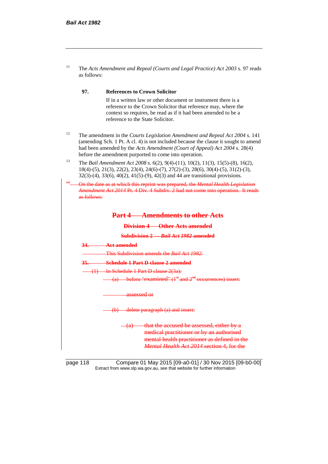| The Acts Amendment and Repeal (Courts and Legal Practice) Act 2003 s. 97 reads |
|--------------------------------------------------------------------------------|
| as follows:                                                                    |

## **97. References to Crown Solicitor**

If in a written law or other document or instrument there is a reference to the Crown Solicitor that reference may, where the context so requires, be read as if it had been amended to be a reference to the State Solicitor.

- <sup>12</sup> The amendment in the *Courts Legislation Amendment and Repeal Act 2004* s. 141 (amending Sch. 1 Pt. A cl. 4) is not included because the clause it sought to amend had been amended by the *Acts Amendment (Court of Appeal) Act 2004* s. 28(4) before the amendment purported to come into operation.
- <sup>13</sup> The *Bail Amendment Act 2008* s. 6(2), 9(4)-(11), 10(2), 11(3), 15(5)-(8), 16(2), 18(4)-(5), 21(3), 22(2), 23(4), 24(6)-(7), 27(2)-(3), 28(6), 30(4)-(5), 31(2)-(3), 32(3)-(4), 33(6), 40(2), 41(5)-(9), 42(3) and 44 are transitional provisions.

| as follows: | On the date as at which this reprint was prepared, the Mental Health Legislation<br>Amendment Act 2014 Pt. 4 Div. 4 Subdiv. 2 had not come into operation. It reads                                  |
|-------------|------------------------------------------------------------------------------------------------------------------------------------------------------------------------------------------------------|
|             | <b>Amendments to other Acts</b><br><b>Part 4—</b>                                                                                                                                                    |
|             | <b>Division 4 Other Acts amended</b>                                                                                                                                                                 |
|             | <b>Subdivision 2 --- Bail Act 1982 amended</b>                                                                                                                                                       |
| 34.         | Act amended                                                                                                                                                                                          |
|             | This Subdivision amends the <i>Bail Act 1982</i> .                                                                                                                                                   |
| <u>35.</u>  | Schedule 1 Part D clause 2 amended                                                                                                                                                                   |
|             | (1) In Schedule 1 Part D clause 2(3a):                                                                                                                                                               |
|             | (a) before "examined" $(1st$ and $2nd$ occurrences) insert:                                                                                                                                          |
|             | assessed or                                                                                                                                                                                          |
|             | (b) delete paragraph (a) and insert:                                                                                                                                                                 |
|             | that the accused be assessed, either by a<br><del>(a)</del><br>medical practitioner or by an authorised<br>mental health practitioner as defined in the<br>Mental Health Act 2014 section 4, for the |

page 118 Compare 01 May 2015 [09-a0-01] / 30 Nov 2015 [09-b0-00] Extract from www.slp.wa.gov.au, see that website for further information